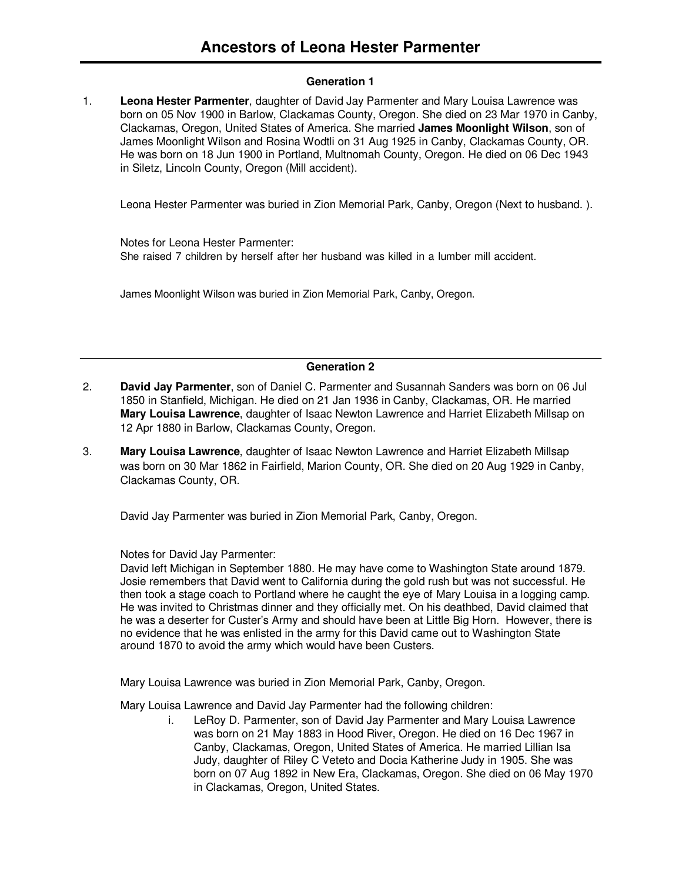# **Generation 1**

1. **Leona Hester Parmenter**, daughter of David Jay Parmenter and Mary Louisa Lawrence was born on 05 Nov 1900 in Barlow, Clackamas County, Oregon. She died on 23 Mar 1970 in Canby, Clackamas, Oregon, United States of America. She married **James Moonlight Wilson**, son of James Moonlight Wilson and Rosina Wodtli on 31 Aug 1925 in Canby, Clackamas County, OR. He was born on 18 Jun 1900 in Portland, Multnomah County, Oregon. He died on 06 Dec 1943 in Siletz, Lincoln County, Oregon (Mill accident).

Leona Hester Parmenter was buried in Zion Memorial Park, Canby, Oregon (Next to husband. ).

Notes for Leona Hester Parmenter: She raised 7 children by herself after her husband was killed in a lumber mill accident.

James Moonlight Wilson was buried in Zion Memorial Park, Canby, Oregon.

### **Generation 2**

- 2. **David Jay Parmenter**, son of Daniel C. Parmenter and Susannah Sanders was born on 06 Jul 1850 in Stanfield, Michigan. He died on 21 Jan 1936 in Canby, Clackamas, OR. He married **Mary Louisa Lawrence**, daughter of Isaac Newton Lawrence and Harriet Elizabeth Millsap on 12 Apr 1880 in Barlow, Clackamas County, Oregon.
- 3. **Mary Louisa Lawrence**, daughter of Isaac Newton Lawrence and Harriet Elizabeth Millsap was born on 30 Mar 1862 in Fairfield, Marion County, OR. She died on 20 Aug 1929 in Canby, Clackamas County, OR.

David Jay Parmenter was buried in Zion Memorial Park, Canby, Oregon.

# Notes for David Jay Parmenter:

David left Michigan in September 1880. He may have come to Washington State around 1879. Josie remembers that David went to California during the gold rush but was not successful. He then took a stage coach to Portland where he caught the eye of Mary Louisa in a logging camp. He was invited to Christmas dinner and they officially met. On his deathbed, David claimed that he was a deserter for Custer's Army and should have been at Little Big Horn. However, there is no evidence that he was enlisted in the army for this David came out to Washington State around 1870 to avoid the army which would have been Custers.

Mary Louisa Lawrence was buried in Zion Memorial Park, Canby, Oregon.

Mary Louisa Lawrence and David Jay Parmenter had the following children:

i. LeRoy D. Parmenter, son of David Jay Parmenter and Mary Louisa Lawrence was born on 21 May 1883 in Hood River, Oregon. He died on 16 Dec 1967 in Canby, Clackamas, Oregon, United States of America. He married Lillian Isa Judy, daughter of Riley C Veteto and Docia Katherine Judy in 1905. She was born on 07 Aug 1892 in New Era, Clackamas, Oregon. She died on 06 May 1970 in Clackamas, Oregon, United States.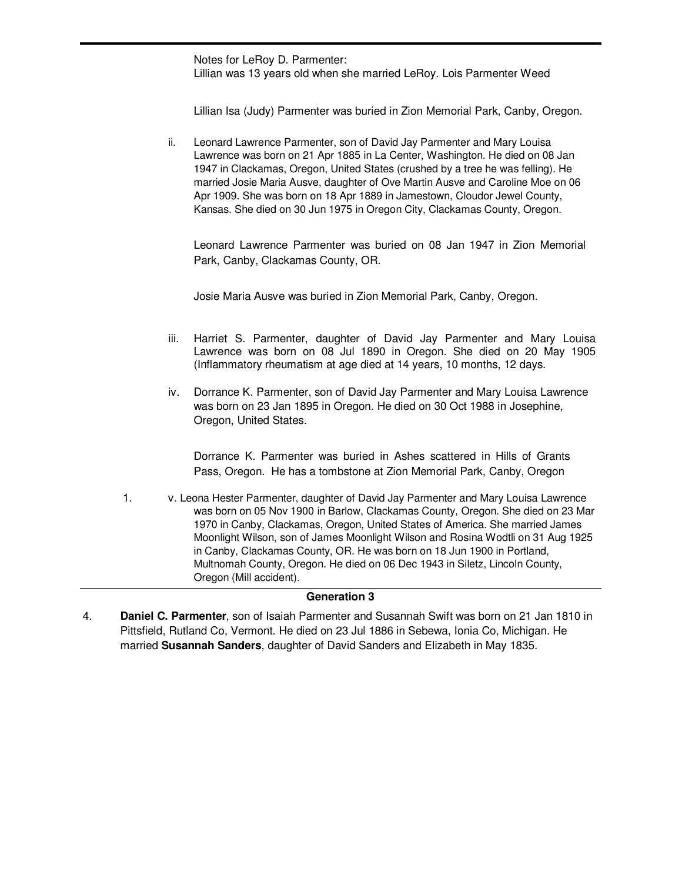Notes for LeRoy D. Parmenter: Lillian was 13 years old when she married LeRoy. Lois Parmenter Weed

Lillian Isa (Judy) Parmenter was buried in Zion Memorial Park, Canby, Oregon.

ii. Leonard Lawrence Parmenter, son of David Jay Parmenter and Mary Louisa Lawrence was born on 21 Apr 1885 in La Center, Washington. He died on 08 Jan 1947 in Clackamas, Oregon, United States (crushed by a tree he was felling). He married Josie Maria Ausve, daughter of Ove Martin Ausve and Caroline Moe on 06 Apr 1909. She was born on 18 Apr 1889 in Jamestown, Cloudor Jewel County, Kansas. She died on 30 Jun 1975 in Oregon City, Clackamas County, Oregon.

Leonard Lawrence Parmenter was buried on 08 Jan 1947 in Zion Memorial Park, Canby, Clackamas County, OR.

Josie Maria Ausve was buried in Zion Memorial Park, Canby, Oregon.

- iii. Harriet S. Parmenter, daughter of David Jay Parmenter and Mary Louisa Lawrence was born on 08 Jul 1890 in Oregon. She died on 20 May 1905 (Inflammatory rheumatism at age died at 14 years, 10 months, 12 days.
- iv. Dorrance K. Parmenter, son of David Jay Parmenter and Mary Louisa Lawrence was born on 23 Jan 1895 in Oregon. He died on 30 Oct 1988 in Josephine, Oregon, United States.

Dorrance K. Parmenter was buried in Ashes scattered in Hills of Grants Pass, Oregon. He has a tombstone at Zion Memorial Park, Canby, Oregon

1. v. Leona Hester Parmenter, daughter of David Jay Parmenter and Mary Louisa Lawrence was born on 05 Nov 1900 in Barlow, Clackamas County, Oregon. She died on 23 Mar 1970 in Canby, Clackamas, Oregon, United States of America. She married James Moonlight Wilson, son of James Moonlight Wilson and Rosina Wodtli on 31 Aug 1925 in Canby, Clackamas County, OR. He was born on 18 Jun 1900 in Portland, Multnomah County, Oregon. He died on 06 Dec 1943 in Siletz, Lincoln County, Oregon (Mill accident).

### **Generation 3**

4. **Daniel C. Parmenter**, son of Isaiah Parmenter and Susannah Swift was born on 21 Jan 1810 in Pittsfield, Rutland Co, Vermont. He died on 23 Jul 1886 in Sebewa, Ionia Co, Michigan. He married **Susannah Sanders**, daughter of David Sanders and Elizabeth in May 1835.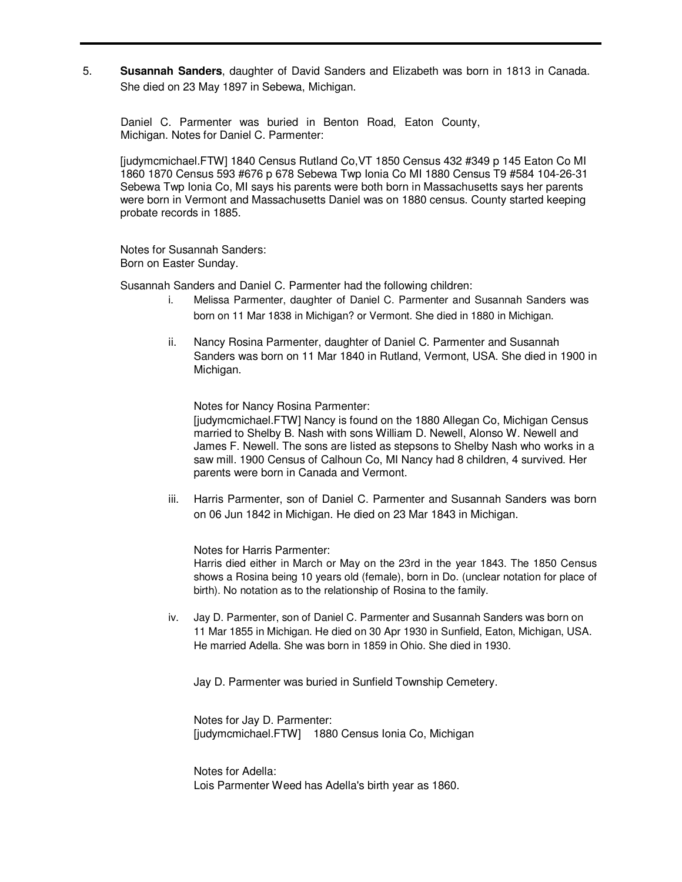5. **Susannah Sanders**, daughter of David Sanders and Elizabeth was born in 1813 in Canada. She died on 23 May 1897 in Sebewa, Michigan.

Daniel C. Parmenter was buried in Benton Road, Eaton County, Michigan. Notes for Daniel C. Parmenter:

[judymcmichael.FTW] 1840 Census Rutland Co,VT 1850 Census 432 #349 p 145 Eaton Co MI 1860 1870 Census 593 #676 p 678 Sebewa Twp Ionia Co MI 1880 Census T9 #584 104-26-31 Sebewa Twp Ionia Co, MI says his parents were both born in Massachusetts says her parents were born in Vermont and Massachusetts Daniel was on 1880 census. County started keeping probate records in 1885.

Notes for Susannah Sanders: Born on Easter Sunday.

Susannah Sanders and Daniel C. Parmenter had the following children:

- i. Melissa Parmenter, daughter of Daniel C. Parmenter and Susannah Sanders was born on 11 Mar 1838 in Michigan? or Vermont. She died in 1880 in Michigan.
- ii. Nancy Rosina Parmenter, daughter of Daniel C. Parmenter and Susannah Sanders was born on 11 Mar 1840 in Rutland, Vermont, USA. She died in 1900 in Michigan.

Notes for Nancy Rosina Parmenter:

[judymcmichael.FTW] Nancy is found on the 1880 Allegan Co, Michigan Census married to Shelby B. Nash with sons William D. Newell, Alonso W. Newell and James F. Newell. The sons are listed as stepsons to Shelby Nash who works in a saw mill. 1900 Census of Calhoun Co, MI Nancy had 8 children, 4 survived. Her parents were born in Canada and Vermont.

iii. Harris Parmenter, son of Daniel C. Parmenter and Susannah Sanders was born on 06 Jun 1842 in Michigan. He died on 23 Mar 1843 in Michigan.

Notes for Harris Parmenter:

Harris died either in March or May on the 23rd in the year 1843. The 1850 Census shows a Rosina being 10 years old (female), born in Do. (unclear notation for place of birth). No notation as to the relationship of Rosina to the family.

iv. Jay D. Parmenter, son of Daniel C. Parmenter and Susannah Sanders was born on 11 Mar 1855 in Michigan. He died on 30 Apr 1930 in Sunfield, Eaton, Michigan, USA. He married Adella. She was born in 1859 in Ohio. She died in 1930.

Jay D. Parmenter was buried in Sunfield Township Cemetery.

Notes for Jay D. Parmenter: [judymcmichael.FTW] 1880 Census Ionia Co, Michigan

Notes for Adella: Lois Parmenter Weed has Adella's birth year as 1860.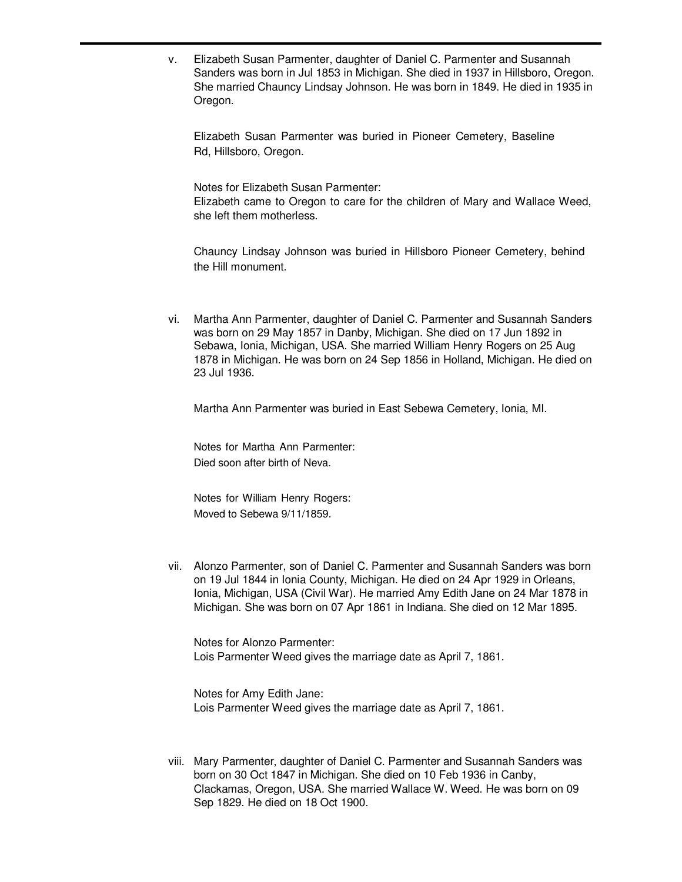v. Elizabeth Susan Parmenter, daughter of Daniel C. Parmenter and Susannah Sanders was born in Jul 1853 in Michigan. She died in 1937 in Hillsboro, Oregon. She married Chauncy Lindsay Johnson. He was born in 1849. He died in 1935 in Oregon.

Elizabeth Susan Parmenter was buried in Pioneer Cemetery, Baseline Rd, Hillsboro, Oregon.

Notes for Elizabeth Susan Parmenter: Elizabeth came to Oregon to care for the children of Mary and Wallace Weed, she left them motherless.

Chauncy Lindsay Johnson was buried in Hillsboro Pioneer Cemetery, behind the Hill monument.

vi. Martha Ann Parmenter, daughter of Daniel C. Parmenter and Susannah Sanders was born on 29 May 1857 in Danby, Michigan. She died on 17 Jun 1892 in Sebawa, Ionia, Michigan, USA. She married William Henry Rogers on 25 Aug 1878 in Michigan. He was born on 24 Sep 1856 in Holland, Michigan. He died on 23 Jul 1936.

Martha Ann Parmenter was buried in East Sebewa Cemetery, Ionia, MI.

Notes for Martha Ann Parmenter: Died soon after birth of Neva.

Notes for William Henry Rogers: Moved to Sebewa 9/11/1859.

vii. Alonzo Parmenter, son of Daniel C. Parmenter and Susannah Sanders was born on 19 Jul 1844 in Ionia County, Michigan. He died on 24 Apr 1929 in Orleans, Ionia, Michigan, USA (Civil War). He married Amy Edith Jane on 24 Mar 1878 in Michigan. She was born on 07 Apr 1861 in Indiana. She died on 12 Mar 1895.

Notes for Alonzo Parmenter: Lois Parmenter Weed gives the marriage date as April 7, 1861.

Notes for Amy Edith Jane: Lois Parmenter Weed gives the marriage date as April 7, 1861.

viii. Mary Parmenter, daughter of Daniel C. Parmenter and Susannah Sanders was born on 30 Oct 1847 in Michigan. She died on 10 Feb 1936 in Canby, Clackamas, Oregon, USA. She married Wallace W. Weed. He was born on 09 Sep 1829. He died on 18 Oct 1900.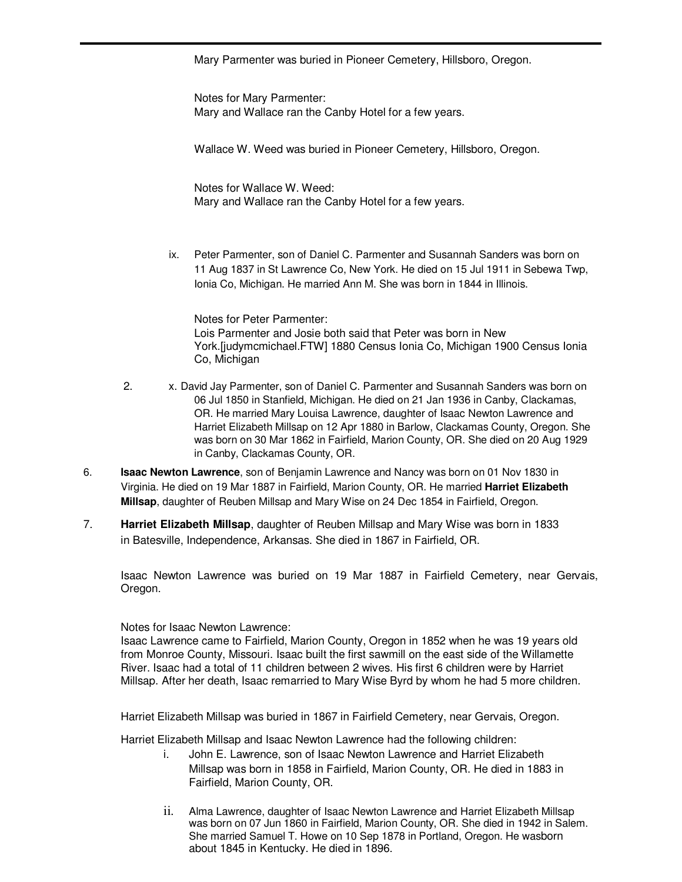Mary Parmenter was buried in Pioneer Cemetery, Hillsboro, Oregon.

Notes for Mary Parmenter: Mary and Wallace ran the Canby Hotel for a few years.

Wallace W. Weed was buried in Pioneer Cemetery, Hillsboro, Oregon.

Notes for Wallace W. Weed: Mary and Wallace ran the Canby Hotel for a few years.

ix. Peter Parmenter, son of Daniel C. Parmenter and Susannah Sanders was born on 11 Aug 1837 in St Lawrence Co, New York. He died on 15 Jul 1911 in Sebewa Twp, Ionia Co, Michigan. He married Ann M. She was born in 1844 in Illinois.

Notes for Peter Parmenter: Lois Parmenter and Josie both said that Peter was born in New York.[judymcmichael.FTW] 1880 Census Ionia Co, Michigan 1900 Census Ionia Co, Michigan

- 2. x. David Jay Parmenter, son of Daniel C. Parmenter and Susannah Sanders was born on 06 Jul 1850 in Stanfield, Michigan. He died on 21 Jan 1936 in Canby, Clackamas, OR. He married Mary Louisa Lawrence, daughter of Isaac Newton Lawrence and Harriet Elizabeth Millsap on 12 Apr 1880 in Barlow, Clackamas County, Oregon. She was born on 30 Mar 1862 in Fairfield, Marion County, OR. She died on 20 Aug 1929 in Canby, Clackamas County, OR.
- 6. **Isaac Newton Lawrence**, son of Benjamin Lawrence and Nancy was born on 01 Nov 1830 in Virginia. He died on 19 Mar 1887 in Fairfield, Marion County, OR. He married **Harriet Elizabeth Millsap**, daughter of Reuben Millsap and Mary Wise on 24 Dec 1854 in Fairfield, Oregon.
- 7. **Harriet Elizabeth Millsap**, daughter of Reuben Millsap and Mary Wise was born in 1833 in Batesville, Independence, Arkansas. She died in 1867 in Fairfield, OR.

Isaac Newton Lawrence was buried on 19 Mar 1887 in Fairfield Cemetery, near Gervais, Oregon.

Notes for Isaac Newton Lawrence:

Isaac Lawrence came to Fairfield, Marion County, Oregon in 1852 when he was 19 years old from Monroe County, Missouri. Isaac built the first sawmill on the east side of the Willamette River. Isaac had a total of 11 children between 2 wives. His first 6 children were by Harriet Millsap. After her death, Isaac remarried to Mary Wise Byrd by whom he had 5 more children.

Harriet Elizabeth Millsap was buried in 1867 in Fairfield Cemetery, near Gervais, Oregon.

Harriet Elizabeth Millsap and Isaac Newton Lawrence had the following children:

- i. John E. Lawrence, son of Isaac Newton Lawrence and Harriet Elizabeth Millsap was born in 1858 in Fairfield, Marion County, OR. He died in 1883 in Fairfield, Marion County, OR.
- ii. Alma Lawrence, daughter of Isaac Newton Lawrence and Harriet Elizabeth Millsap was born on 07 Jun 1860 in Fairfield, Marion County, OR. She died in 1942 in Salem. She married Samuel T. Howe on 10 Sep 1878 in Portland, Oregon. He wasborn about 1845 in Kentucky. He died in 1896.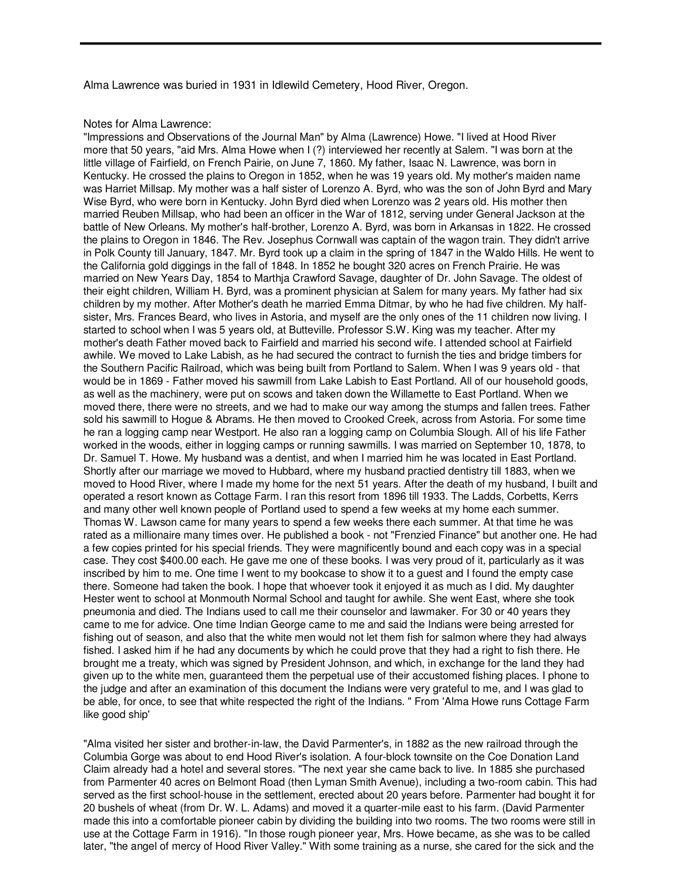Alma Lawrence was buried in 1931 in Idlewild Cemetery, Hood River, Oregon.

#### Notes for Alma Lawrence:

"Impressions and Observations of the Journal Man" by Alma (Lawrence) Howe. "I lived at Hood River more that 50 years, "aid Mrs. Alma Howe when I (?) interviewed her recently at Salem. "I was born at the little village of Fairfield, on French Pairie, on June 7, 1860. My father, Isaac N. Lawrence, was born in Kentucky. He crossed the plains to Oregon in 1852, when he was 19 years old. My mother's maiden name was Harriet Millsap. My mother was a half sister of Lorenzo A. Byrd, who was the son of John Byrd and Mary Wise Byrd, who were born in Kentucky. John Byrd died when Lorenzo was 2 years old. His mother then married Reuben Millsap, who had been an officer in the War of 1812, serving under General Jackson at the battle of New Orleans. My mother's half-brother, Lorenzo A. Byrd, was born in Arkansas in 1822. He crossed the plains to Oregon in 1846. The Rev. Josephus Cornwall was captain of the wagon train. They didn't arrive in Polk County till January, 1847. Mr. Byrd took up a claim in the spring of 1847 in the Waldo Hills. He went to the California gold diggings in the fall of 1848. In 1852 he bought 320 acres on French Prairie. He was married on New Years Day, 1854 to Marthja Crawford Savage, daughter of Dr. John Savage. The oldest of their eight children, William H. Byrd, was a prominent physician at Salem for many years. My father had six children by my mother. After Mother's death he married Emma Ditmar, by who he had five children. My halfsister, Mrs. Frances Beard, who lives in Astoria, and myself are the only ones of the 11 children now living. I started to school when I was 5 years old, at Butteville. Professor S.W. King was my teacher. After my mother's death Father moved back to Fairfield and married his second wife. I attended school at Fairfield awhile. We moved to Lake Labish, as he had secured the contract to furnish the ties and bridge timbers for the Southern Pacific Railroad, which was being built from Portland to Salem. When I was 9 years old - that would be in 1869 - Father moved his sawmill from Lake Labish to East Portland. All of our household goods, as well as the machinery, were put on scows and taken down the Willamette to East Portland. When we moved there, there were no streets, and we had to make our way among the stumps and fallen trees. Father sold his sawmill to Hogue & Abrams. He then moved to Crooked Creek, across from Astoria. For some time he ran a logging camp near Westport. He also ran a logging camp on Columbia Slough. All of his life Father worked in the woods, either in logging camps or running sawmills. I was married on September 10, 1878, to Dr. Samuel T. Howe. My husband was a dentist, and when I married him he was located in East Portland. Shortly after our marriage we moved to Hubbard, where my husband practied dentistry till 1883, when we moved to Hood River, where I made my home for the next 51 years. After the death of my husband, I built and operated a resort known as Cottage Farm. I ran this resort from 1896 till 1933. The Ladds, Corbetts, Kerrs and many other well known people of Portland used to spend a few weeks at my home each summer. Thomas W. Lawson came for many years to spend a few weeks there each summer. At that time he was rated as a millionaire many times over. He published a book - not "Frenzied Finance" but another one. He had a few copies printed for his special friends. They were magnificently bound and each copy was in a special case. They cost \$400.00 each. He gave me one of these books. I was very proud of it, particularly as it was inscribed by him to me. One time I went to my bookcase to show it to a guest and I found the empty case there. Someone had taken the book. I hope that whoever took it enjoyed it as much as I did. My daughter Hester went to school at Monmouth Normal School and taught for awhile. She went East, where she took pneumonia and died. The Indians used to call me their counselor and lawmaker. For 30 or 40 years they came to me for advice. One time Indian George came to me and said the Indians were being arrested for fishing out of season, and also that the white men would not let them fish for salmon where they had always fished. I asked him if he had any documents by which he could prove that they had a right to fish there. He brought me a treaty, which was signed by President Johnson, and which, in exchange for the land they had given up to the white men, guaranteed them the perpetual use of their accustomed fishing places. I phone to the judge and after an examination of this document the Indians were very grateful to me, and I was glad to be able, for once, to see that white respected the right of the Indians. " From 'Alma Howe runs Cottage Farm like good ship'

"Alma visited her sister and brother-in-law, the David Parmenter's, in 1882 as the new railroad through the Columbia Gorge was about to end Hood River's isolation. A four-block townsite on the Coe Donation Land Claim already had a hotel and several stores. "The next year she came back to live. In 1885 she purchased from Parmenter 40 acres on Belmont Road (then Lyman Smith Avenue), including a two-room cabin. This had served as the first school-house in the settlement, erected about 20 years before. Parmenter had bought it for 20 bushels of wheat (from Dr. W. L. Adams) and moved it a quarter-mile east to his farm. (David Parmenter made this into a comfortable pioneer cabin by dividing the building into two rooms. The two rooms were still in use at the Cottage Farm in 1916). "In those rough pioneer year, Mrs. Howe became, as she was to be called later, "the angel of mercy of Hood River Valley." With some training as a nurse, she cared for the sick and the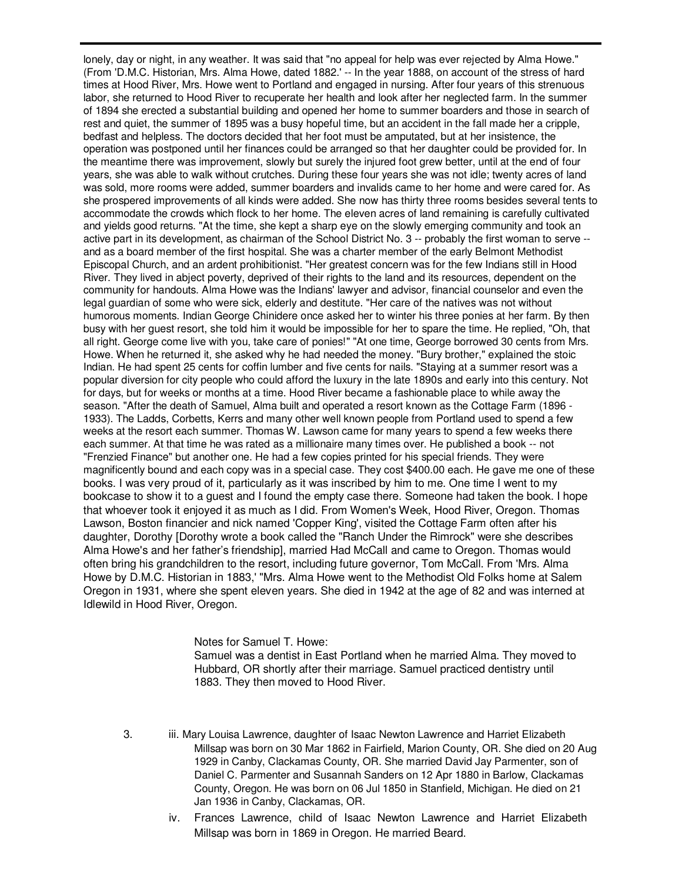lonely, day or night, in any weather. It was said that "no appeal for help was ever rejected by Alma Howe." (From 'D.M.C. Historian, Mrs. Alma Howe, dated 1882.' -- In the year 1888, on account of the stress of hard times at Hood River, Mrs. Howe went to Portland and engaged in nursing. After four years of this strenuous labor, she returned to Hood River to recuperate her health and look after her neglected farm. In the summer of 1894 she erected a substantial building and opened her home to summer boarders and those in search of rest and quiet, the summer of 1895 was a busy hopeful time, but an accident in the fall made her a cripple, bedfast and helpless. The doctors decided that her foot must be amputated, but at her insistence, the operation was postponed until her finances could be arranged so that her daughter could be provided for. In the meantime there was improvement, slowly but surely the injured foot grew better, until at the end of four years, she was able to walk without crutches. During these four years she was not idle; twenty acres of land was sold, more rooms were added, summer boarders and invalids came to her home and were cared for. As she prospered improvements of all kinds were added. She now has thirty three rooms besides several tents to accommodate the crowds which flock to her home. The eleven acres of land remaining is carefully cultivated and yields good returns. "At the time, she kept a sharp eye on the slowly emerging community and took an active part in its development, as chairman of the School District No. 3 -- probably the first woman to serve - and as a board member of the first hospital. She was a charter member of the early Belmont Methodist Episcopal Church, and an ardent prohibitionist. "Her greatest concern was for the few Indians still in Hood River. They lived in abject poverty, deprived of their rights to the land and its resources, dependent on the community for handouts. Alma Howe was the Indians' lawyer and advisor, financial counselor and even the legal guardian of some who were sick, elderly and destitute. "Her care of the natives was not without humorous moments. Indian George Chinidere once asked her to winter his three ponies at her farm. By then busy with her guest resort, she told him it would be impossible for her to spare the time. He replied, "Oh, that all right. George come live with you, take care of ponies!" "At one time, George borrowed 30 cents from Mrs. Howe. When he returned it, she asked why he had needed the money. "Bury brother," explained the stoic Indian. He had spent 25 cents for coffin lumber and five cents for nails. "Staying at a summer resort was a popular diversion for city people who could afford the luxury in the late 1890s and early into this century. Not for days, but for weeks or months at a time. Hood River became a fashionable place to while away the season. "After the death of Samuel, Alma built and operated a resort known as the Cottage Farm (1896 - 1933). The Ladds, Corbetts, Kerrs and many other well known people from Portland used to spend a few weeks at the resort each summer. Thomas W. Lawson came for many years to spend a few weeks there each summer. At that time he was rated as a millionaire many times over. He published a book -- not "Frenzied Finance" but another one. He had a few copies printed for his special friends. They were magnificently bound and each copy was in a special case. They cost \$400.00 each. He gave me one of these books. I was very proud of it, particularly as it was inscribed by him to me. One time I went to my bookcase to show it to a guest and I found the empty case there. Someone had taken the book. I hope that whoever took it enjoyed it as much as I did. From Women's Week, Hood River, Oregon. Thomas Lawson, Boston financier and nick named 'Copper King', visited the Cottage Farm often after his daughter, Dorothy [Dorothy wrote a book called the "Ranch Under the Rimrock" were she describes Alma Howe's and her father's friendship], married Had McCall and came to Oregon. Thomas would often bring his grandchildren to the resort, including future governor, Tom McCall. From 'Mrs. Alma Howe by D.M.C. Historian in 1883,' "Mrs. Alma Howe went to the Methodist Old Folks home at Salem Oregon in 1931, where she spent eleven years. She died in 1942 at the age of 82 and was interned at Idlewild in Hood River, Oregon.

> Notes for Samuel T. Howe: Samuel was a dentist in East Portland when he married Alma. They moved to Hubbard, OR shortly after their marriage. Samuel practiced dentistry until 1883. They then moved to Hood River.

- 3. iii. Mary Louisa Lawrence, daughter of Isaac Newton Lawrence and Harriet Elizabeth Millsap was born on 30 Mar 1862 in Fairfield, Marion County, OR. She died on 20 Aug 1929 in Canby, Clackamas County, OR. She married David Jay Parmenter, son of Daniel C. Parmenter and Susannah Sanders on 12 Apr 1880 in Barlow, Clackamas County, Oregon. He was born on 06 Jul 1850 in Stanfield, Michigan. He died on 21 Jan 1936 in Canby, Clackamas, OR.
	- iv. Frances Lawrence, child of Isaac Newton Lawrence and Harriet Elizabeth Millsap was born in 1869 in Oregon. He married Beard.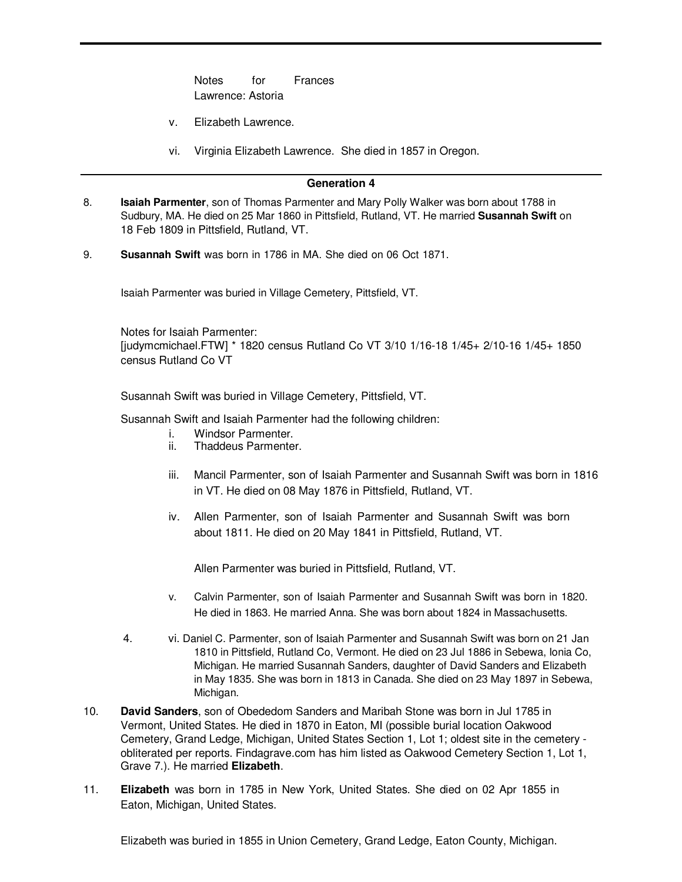Notes for Frances Lawrence: Astoria

- v. Elizabeth Lawrence.
- vi. Virginia Elizabeth Lawrence. She died in 1857 in Oregon.

#### **Generation 4**

- 8. **Isaiah Parmenter**, son of Thomas Parmenter and Mary Polly Walker was born about 1788 in Sudbury, MA. He died on 25 Mar 1860 in Pittsfield, Rutland, VT. He married **Susannah Swift** on 18 Feb 1809 in Pittsfield, Rutland, VT.
- 9. **Susannah Swift** was born in 1786 in MA. She died on 06 Oct 1871.

Isaiah Parmenter was buried in Village Cemetery, Pittsfield, VT.

Notes for Isaiah Parmenter: [judymcmichael.FTW] \* 1820 census Rutland Co VT 3/10 1/16-18 1/45+ 2/10-16 1/45+ 1850 census Rutland Co VT

Susannah Swift was buried in Village Cemetery, Pittsfield, VT.

Susannah Swift and Isaiah Parmenter had the following children:

- i. Windsor Parmenter.
- ii. Thaddeus Parmenter.
- iii. Mancil Parmenter, son of Isaiah Parmenter and Susannah Swift was born in 1816 in VT. He died on 08 May 1876 in Pittsfield, Rutland, VT.
- iv. Allen Parmenter, son of Isaiah Parmenter and Susannah Swift was born about 1811. He died on 20 May 1841 in Pittsfield, Rutland, VT.

Allen Parmenter was buried in Pittsfield, Rutland, VT.

- v. Calvin Parmenter, son of Isaiah Parmenter and Susannah Swift was born in 1820. He died in 1863. He married Anna. She was born about 1824 in Massachusetts.
- 4. vi. Daniel C. Parmenter, son of Isaiah Parmenter and Susannah Swift was born on 21 Jan 1810 in Pittsfield, Rutland Co, Vermont. He died on 23 Jul 1886 in Sebewa, Ionia Co, Michigan. He married Susannah Sanders, daughter of David Sanders and Elizabeth in May 1835. She was born in 1813 in Canada. She died on 23 May 1897 in Sebewa, Michigan.
- 10. **David Sanders**, son of Obededom Sanders and Maribah Stone was born in Jul 1785 in Vermont, United States. He died in 1870 in Eaton, MI (possible burial location Oakwood Cemetery, Grand Ledge, Michigan, United States Section 1, Lot 1; oldest site in the cemetery obliterated per reports. Findagrave.com has him listed as Oakwood Cemetery Section 1, Lot 1, Grave 7.). He married **Elizabeth**.
- 11. **Elizabeth** was born in 1785 in New York, United States. She died on 02 Apr 1855 in Eaton, Michigan, United States.

Elizabeth was buried in 1855 in Union Cemetery, Grand Ledge, Eaton County, Michigan.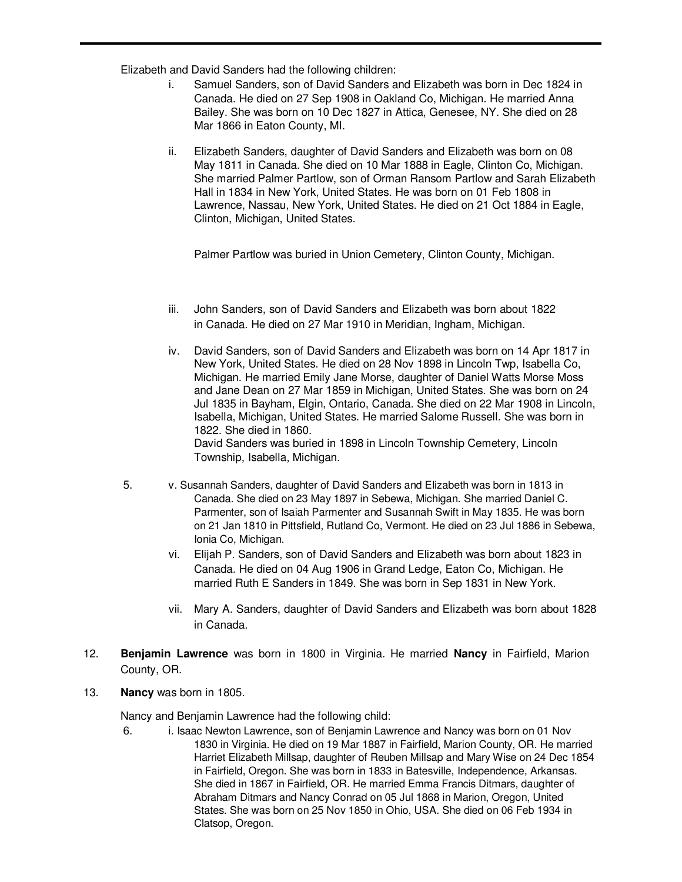Elizabeth and David Sanders had the following children:

- i. Samuel Sanders, son of David Sanders and Elizabeth was born in Dec 1824 in Canada. He died on 27 Sep 1908 in Oakland Co, Michigan. He married Anna Bailey. She was born on 10 Dec 1827 in Attica, Genesee, NY. She died on 28 Mar 1866 in Eaton County, MI.
- ii. Elizabeth Sanders, daughter of David Sanders and Elizabeth was born on 08 May 1811 in Canada. She died on 10 Mar 1888 in Eagle, Clinton Co, Michigan. She married Palmer Partlow, son of Orman Ransom Partlow and Sarah Elizabeth Hall in 1834 in New York, United States. He was born on 01 Feb 1808 in Lawrence, Nassau, New York, United States. He died on 21 Oct 1884 in Eagle, Clinton, Michigan, United States.

Palmer Partlow was buried in Union Cemetery, Clinton County, Michigan.

- iii. John Sanders, son of David Sanders and Elizabeth was born about 1822 in Canada. He died on 27 Mar 1910 in Meridian, Ingham, Michigan.
- iv. David Sanders, son of David Sanders and Elizabeth was born on 14 Apr 1817 in New York, United States. He died on 28 Nov 1898 in Lincoln Twp, Isabella Co, Michigan. He married Emily Jane Morse, daughter of Daniel Watts Morse Moss and Jane Dean on 27 Mar 1859 in Michigan, United States. She was born on 24 Jul 1835 in Bayham, Elgin, Ontario, Canada. She died on 22 Mar 1908 in Lincoln, Isabella, Michigan, United States. He married Salome Russell. She was born in 1822. She died in 1860. David Sanders was buried in 1898 in Lincoln Township Cemetery, Lincoln

Township, Isabella, Michigan.

- 5. v. Susannah Sanders, daughter of David Sanders and Elizabeth was born in 1813 in Canada. She died on 23 May 1897 in Sebewa, Michigan. She married Daniel C. Parmenter, son of Isaiah Parmenter and Susannah Swift in May 1835. He was born on 21 Jan 1810 in Pittsfield, Rutland Co, Vermont. He died on 23 Jul 1886 in Sebewa, Ionia Co, Michigan.
	- vi. Elijah P. Sanders, son of David Sanders and Elizabeth was born about 1823 in Canada. He died on 04 Aug 1906 in Grand Ledge, Eaton Co, Michigan. He married Ruth E Sanders in 1849. She was born in Sep 1831 in New York.
	- vii. Mary A. Sanders, daughter of David Sanders and Elizabeth was born about 1828 in Canada.
- 12. **Benjamin Lawrence** was born in 1800 in Virginia. He married **Nancy** in Fairfield, Marion County, OR.
- 13. **Nancy** was born in 1805.

Nancy and Benjamin Lawrence had the following child:

6. i. Isaac Newton Lawrence, son of Benjamin Lawrence and Nancy was born on 01 Nov 1830 in Virginia. He died on 19 Mar 1887 in Fairfield, Marion County, OR. He married Harriet Elizabeth Millsap, daughter of Reuben Millsap and Mary Wise on 24 Dec 1854 in Fairfield, Oregon. She was born in 1833 in Batesville, Independence, Arkansas. She died in 1867 in Fairfield, OR. He married Emma Francis Ditmars, daughter of Abraham Ditmars and Nancy Conrad on 05 Jul 1868 in Marion, Oregon, United States. She was born on 25 Nov 1850 in Ohio, USA. She died on 06 Feb 1934 in Clatsop, Oregon.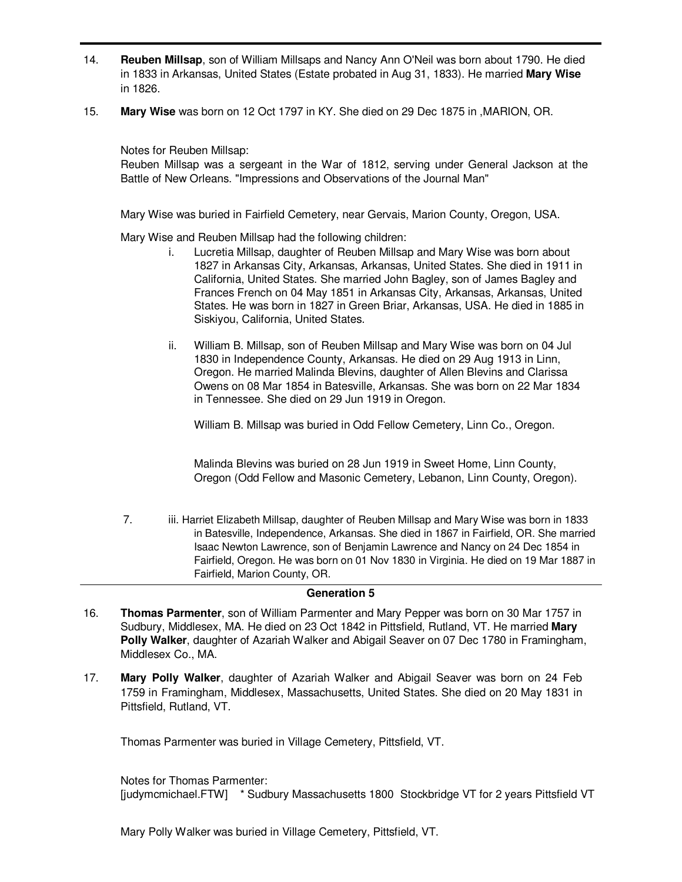- 14. **Reuben Millsap**, son of William Millsaps and Nancy Ann O'Neil was born about 1790. He died in 1833 in Arkansas, United States (Estate probated in Aug 31, 1833). He married **Mary Wise** in 1826.
- 15. **Mary Wise** was born on 12 Oct 1797 in KY. She died on 29 Dec 1875 in ,MARION, OR.

Notes for Reuben Millsap:

Reuben Millsap was a sergeant in the War of 1812, serving under General Jackson at the Battle of New Orleans. "Impressions and Observations of the Journal Man"

Mary Wise was buried in Fairfield Cemetery, near Gervais, Marion County, Oregon, USA.

Mary Wise and Reuben Millsap had the following children:

- i. Lucretia Millsap, daughter of Reuben Millsap and Mary Wise was born about 1827 in Arkansas City, Arkansas, Arkansas, United States. She died in 1911 in California, United States. She married John Bagley, son of James Bagley and Frances French on 04 May 1851 in Arkansas City, Arkansas, Arkansas, United States. He was born in 1827 in Green Briar, Arkansas, USA. He died in 1885 in Siskiyou, California, United States.
- ii. William B. Millsap, son of Reuben Millsap and Mary Wise was born on 04 Jul 1830 in Independence County, Arkansas. He died on 29 Aug 1913 in Linn, Oregon. He married Malinda Blevins, daughter of Allen Blevins and Clarissa Owens on 08 Mar 1854 in Batesville, Arkansas. She was born on 22 Mar 1834 in Tennessee. She died on 29 Jun 1919 in Oregon.

William B. Millsap was buried in Odd Fellow Cemetery, Linn Co., Oregon.

Malinda Blevins was buried on 28 Jun 1919 in Sweet Home, Linn County, Oregon (Odd Fellow and Masonic Cemetery, Lebanon, Linn County, Oregon).

7. iii. Harriet Elizabeth Millsap, daughter of Reuben Millsap and Mary Wise was born in 1833 in Batesville, Independence, Arkansas. She died in 1867 in Fairfield, OR. She married Isaac Newton Lawrence, son of Benjamin Lawrence and Nancy on 24 Dec 1854 in Fairfield, Oregon. He was born on 01 Nov 1830 in Virginia. He died on 19 Mar 1887 in Fairfield, Marion County, OR.

### **Generation 5**

- 16. **Thomas Parmenter**, son of William Parmenter and Mary Pepper was born on 30 Mar 1757 in Sudbury, Middlesex, MA. He died on 23 Oct 1842 in Pittsfield, Rutland, VT. He married **Mary Polly Walker**, daughter of Azariah Walker and Abigail Seaver on 07 Dec 1780 in Framingham, Middlesex Co., MA.
- 17. **Mary Polly Walker**, daughter of Azariah Walker and Abigail Seaver was born on 24 Feb 1759 in Framingham, Middlesex, Massachusetts, United States. She died on 20 May 1831 in Pittsfield, Rutland, VT.

Thomas Parmenter was buried in Village Cemetery, Pittsfield, VT.

Notes for Thomas Parmenter:

[judymcmichael.FTW] \* Sudbury Massachusetts 1800 Stockbridge VT for 2 years Pittsfield VT

Mary Polly Walker was buried in Village Cemetery, Pittsfield, VT.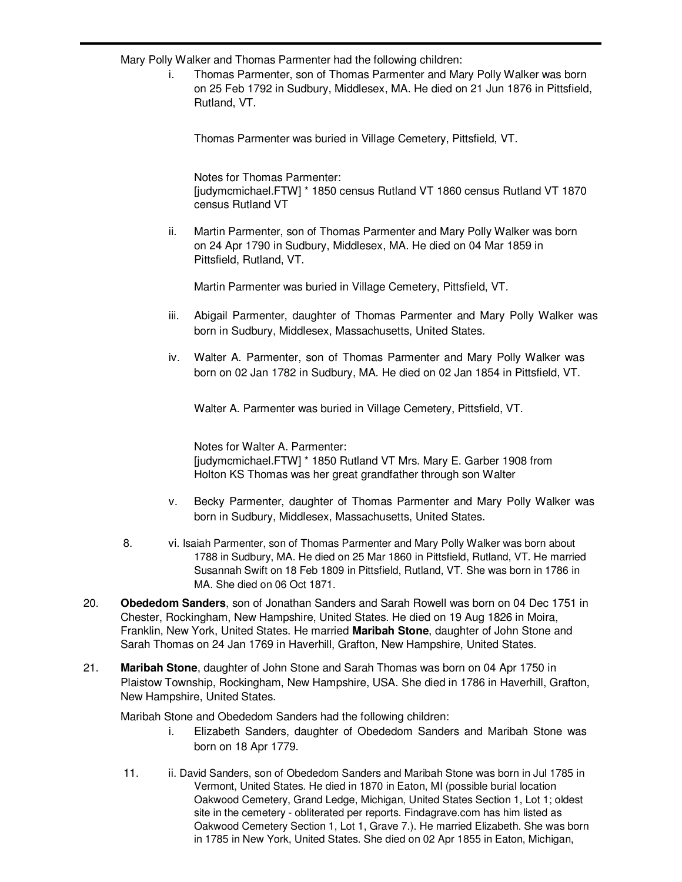Mary Polly Walker and Thomas Parmenter had the following children:

i. Thomas Parmenter, son of Thomas Parmenter and Mary Polly Walker was born on 25 Feb 1792 in Sudbury, Middlesex, MA. He died on 21 Jun 1876 in Pittsfield, Rutland, VT.

Thomas Parmenter was buried in Village Cemetery, Pittsfield, VT.

Notes for Thomas Parmenter: [judymcmichael.FTW] \* 1850 census Rutland VT 1860 census Rutland VT 1870 census Rutland VT

ii. Martin Parmenter, son of Thomas Parmenter and Mary Polly Walker was born on 24 Apr 1790 in Sudbury, Middlesex, MA. He died on 04 Mar 1859 in Pittsfield, Rutland, VT.

Martin Parmenter was buried in Village Cemetery, Pittsfield, VT.

- iii. Abigail Parmenter, daughter of Thomas Parmenter and Mary Polly Walker was born in Sudbury, Middlesex, Massachusetts, United States.
- iv. Walter A. Parmenter, son of Thomas Parmenter and Mary Polly Walker was born on 02 Jan 1782 in Sudbury, MA. He died on 02 Jan 1854 in Pittsfield, VT.

Walter A. Parmenter was buried in Village Cemetery, Pittsfield, VT.

Notes for Walter A. Parmenter: [judymcmichael.FTW] \* 1850 Rutland VT Mrs. Mary E. Garber 1908 from Holton KS Thomas was her great grandfather through son Walter

- v. Becky Parmenter, daughter of Thomas Parmenter and Mary Polly Walker was born in Sudbury, Middlesex, Massachusetts, United States.
- 8. vi. Isaiah Parmenter, son of Thomas Parmenter and Mary Polly Walker was born about 1788 in Sudbury, MA. He died on 25 Mar 1860 in Pittsfield, Rutland, VT. He married Susannah Swift on 18 Feb 1809 in Pittsfield, Rutland, VT. She was born in 1786 in MA. She died on 06 Oct 1871.
- 20. **Obededom Sanders**, son of Jonathan Sanders and Sarah Rowell was born on 04 Dec 1751 in Chester, Rockingham, New Hampshire, United States. He died on 19 Aug 1826 in Moira, Franklin, New York, United States. He married **Maribah Stone**, daughter of John Stone and Sarah Thomas on 24 Jan 1769 in Haverhill, Grafton, New Hampshire, United States.
- 21. **Maribah Stone**, daughter of John Stone and Sarah Thomas was born on 04 Apr 1750 in Plaistow Township, Rockingham, New Hampshire, USA. She died in 1786 in Haverhill, Grafton, New Hampshire, United States.

Maribah Stone and Obededom Sanders had the following children:

- i. Elizabeth Sanders, daughter of Obededom Sanders and Maribah Stone was born on 18 Apr 1779.
- 11. ii. David Sanders, son of Obededom Sanders and Maribah Stone was born in Jul 1785 in Vermont, United States. He died in 1870 in Eaton, MI (possible burial location Oakwood Cemetery, Grand Ledge, Michigan, United States Section 1, Lot 1; oldest site in the cemetery - obliterated per reports. Findagrave.com has him listed as Oakwood Cemetery Section 1, Lot 1, Grave 7.). He married Elizabeth. She was born in 1785 in New York, United States. She died on 02 Apr 1855 in Eaton, Michigan,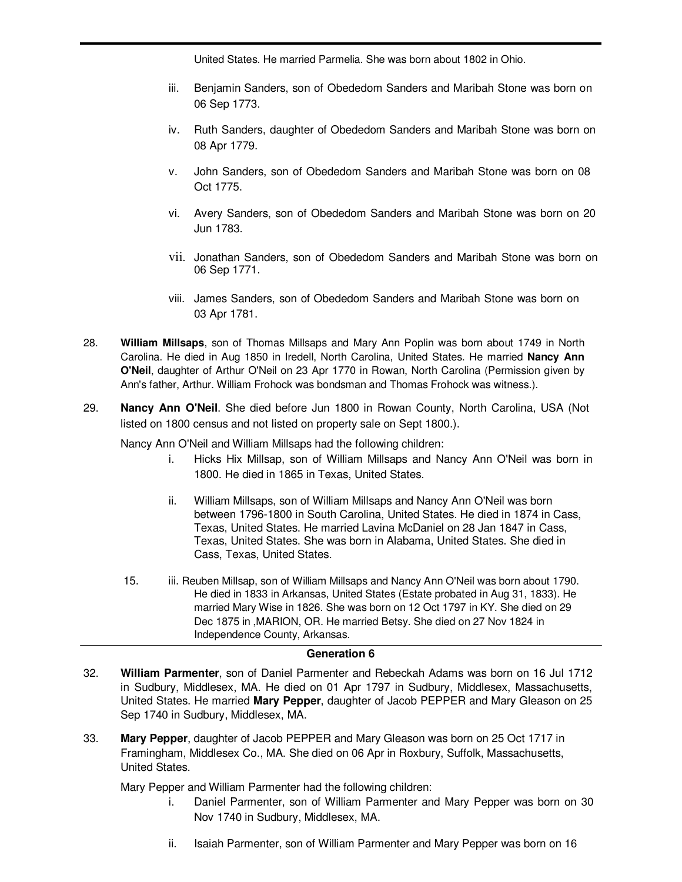United States. He married Parmelia. She was born about 1802 in Ohio.

- iii. Benjamin Sanders, son of Obededom Sanders and Maribah Stone was born on 06 Sep 1773.
- iv. Ruth Sanders, daughter of Obededom Sanders and Maribah Stone was born on 08 Apr 1779.
- v. John Sanders, son of Obededom Sanders and Maribah Stone was born on 08 Oct 1775.
- vi. Avery Sanders, son of Obededom Sanders and Maribah Stone was born on 20 Jun 1783.
- vii. Jonathan Sanders, son of Obededom Sanders and Maribah Stone was born on 06 Sep 1771.
- viii. James Sanders, son of Obededom Sanders and Maribah Stone was born on 03 Apr 1781.
- 28. **William Millsaps**, son of Thomas Millsaps and Mary Ann Poplin was born about 1749 in North Carolina. He died in Aug 1850 in Iredell, North Carolina, United States. He married **Nancy Ann O'Neil**, daughter of Arthur O'Neil on 23 Apr 1770 in Rowan, North Carolina (Permission given by Ann's father, Arthur. William Frohock was bondsman and Thomas Frohock was witness.).
- 29. **Nancy Ann O'Neil**. She died before Jun 1800 in Rowan County, North Carolina, USA (Not listed on 1800 census and not listed on property sale on Sept 1800.).

Nancy Ann O'Neil and William Millsaps had the following children:

- i. Hicks Hix Millsap, son of William Millsaps and Nancy Ann O'Neil was born in 1800. He died in 1865 in Texas, United States.
- ii. William Millsaps, son of William Millsaps and Nancy Ann O'Neil was born between 1796-1800 in South Carolina, United States. He died in 1874 in Cass, Texas, United States. He married Lavina McDaniel on 28 Jan 1847 in Cass, Texas, United States. She was born in Alabama, United States. She died in Cass, Texas, United States.
- 15. iii. Reuben Millsap, son of William Millsaps and Nancy Ann O'Neil was born about 1790. He died in 1833 in Arkansas, United States (Estate probated in Aug 31, 1833). He married Mary Wise in 1826. She was born on 12 Oct 1797 in KY. She died on 29 Dec 1875 in ,MARION, OR. He married Betsy. She died on 27 Nov 1824 in Independence County, Arkansas.

### **Generation 6**

- 32. **William Parmenter**, son of Daniel Parmenter and Rebeckah Adams was born on 16 Jul 1712 in Sudbury, Middlesex, MA. He died on 01 Apr 1797 in Sudbury, Middlesex, Massachusetts, United States. He married **Mary Pepper**, daughter of Jacob PEPPER and Mary Gleason on 25 Sep 1740 in Sudbury, Middlesex, MA.
- 33. **Mary Pepper**, daughter of Jacob PEPPER and Mary Gleason was born on 25 Oct 1717 in Framingham, Middlesex Co., MA. She died on 06 Apr in Roxbury, Suffolk, Massachusetts, United States.

Mary Pepper and William Parmenter had the following children:

- i. Daniel Parmenter, son of William Parmenter and Mary Pepper was born on 30 Nov 1740 in Sudbury, Middlesex, MA.
- ii. Isaiah Parmenter, son of William Parmenter and Mary Pepper was born on 16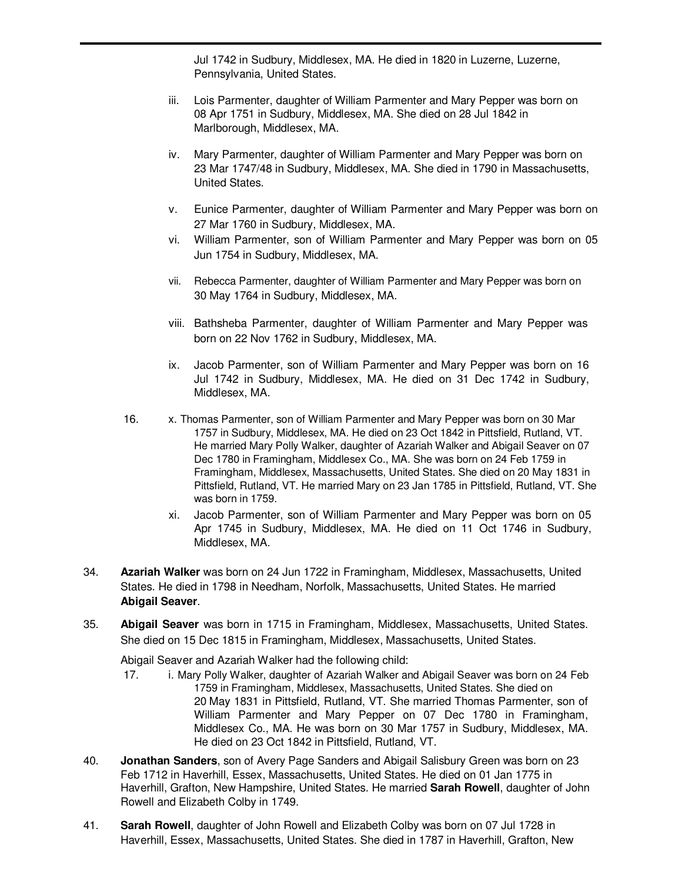Jul 1742 in Sudbury, Middlesex, MA. He died in 1820 in Luzerne, Luzerne, Pennsylvania, United States.

- iii. Lois Parmenter, daughter of William Parmenter and Mary Pepper was born on 08 Apr 1751 in Sudbury, Middlesex, MA. She died on 28 Jul 1842 in Marlborough, Middlesex, MA.
- iv. Mary Parmenter, daughter of William Parmenter and Mary Pepper was born on 23 Mar 1747/48 in Sudbury, Middlesex, MA. She died in 1790 in Massachusetts, United States.
- v. Eunice Parmenter, daughter of William Parmenter and Mary Pepper was born on 27 Mar 1760 in Sudbury, Middlesex, MA.
- vi. William Parmenter, son of William Parmenter and Mary Pepper was born on 05 Jun 1754 in Sudbury, Middlesex, MA.
- vii. Rebecca Parmenter, daughter of William Parmenter and Mary Pepper was born on 30 May 1764 in Sudbury, Middlesex, MA.
- viii. Bathsheba Parmenter, daughter of William Parmenter and Mary Pepper was born on 22 Nov 1762 in Sudbury, Middlesex, MA.
- ix. Jacob Parmenter, son of William Parmenter and Mary Pepper was born on 16 Jul 1742 in Sudbury, Middlesex, MA. He died on 31 Dec 1742 in Sudbury, Middlesex, MA.
- 16. x. Thomas Parmenter, son of William Parmenter and Mary Pepper was born on 30 Mar 1757 in Sudbury, Middlesex, MA. He died on 23 Oct 1842 in Pittsfield, Rutland, VT. He married Mary Polly Walker, daughter of Azariah Walker and Abigail Seaver on 07 Dec 1780 in Framingham, Middlesex Co., MA. She was born on 24 Feb 1759 in Framingham, Middlesex, Massachusetts, United States. She died on 20 May 1831 in Pittsfield, Rutland, VT. He married Mary on 23 Jan 1785 in Pittsfield, Rutland, VT. She was born in 1759.
	- xi. Jacob Parmenter, son of William Parmenter and Mary Pepper was born on 05 Apr 1745 in Sudbury, Middlesex, MA. He died on 11 Oct 1746 in Sudbury, Middlesex, MA.
- 34. **Azariah Walker** was born on 24 Jun 1722 in Framingham, Middlesex, Massachusetts, United States. He died in 1798 in Needham, Norfolk, Massachusetts, United States. He married **Abigail Seaver**.
- 35. **Abigail Seaver** was born in 1715 in Framingham, Middlesex, Massachusetts, United States. She died on 15 Dec 1815 in Framingham, Middlesex, Massachusetts, United States.

Abigail Seaver and Azariah Walker had the following child:

- 17. i. Mary Polly Walker, daughter of Azariah Walker and Abigail Seaver was born on 24 Feb 1759 in Framingham, Middlesex, Massachusetts, United States. She died on 20 May 1831 in Pittsfield, Rutland, VT. She married Thomas Parmenter, son of William Parmenter and Mary Pepper on 07 Dec 1780 in Framingham, Middlesex Co., MA. He was born on 30 Mar 1757 in Sudbury, Middlesex, MA. He died on 23 Oct 1842 in Pittsfield, Rutland, VT.
- 40. **Jonathan Sanders**, son of Avery Page Sanders and Abigail Salisbury Green was born on 23 Feb 1712 in Haverhill, Essex, Massachusetts, United States. He died on 01 Jan 1775 in Haverhill, Grafton, New Hampshire, United States. He married **Sarah Rowell**, daughter of John Rowell and Elizabeth Colby in 1749.
- 41. **Sarah Rowell**, daughter of John Rowell and Elizabeth Colby was born on 07 Jul 1728 in Haverhill, Essex, Massachusetts, United States. She died in 1787 in Haverhill, Grafton, New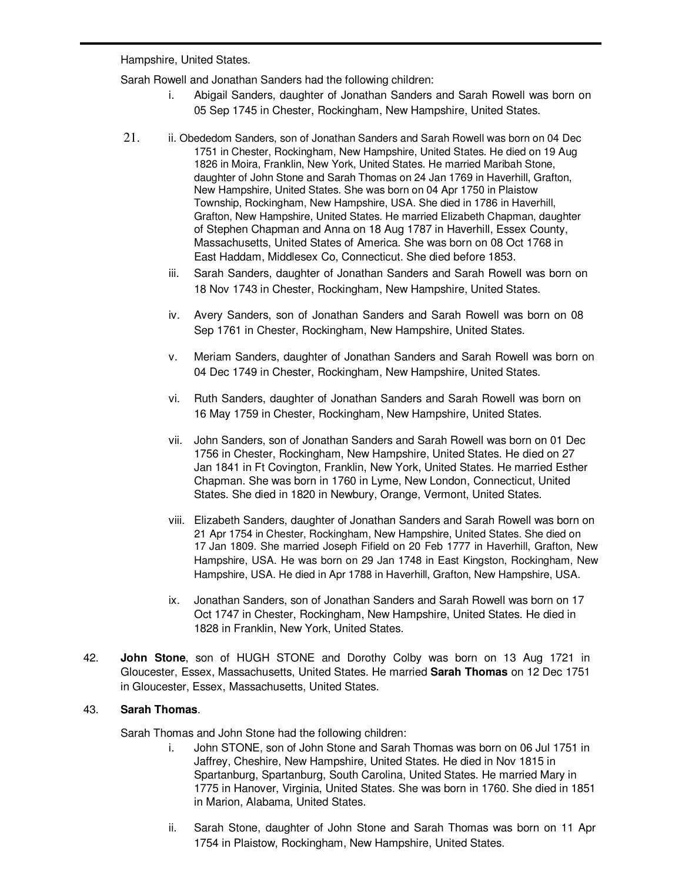Hampshire, United States.

Sarah Rowell and Jonathan Sanders had the following children:

- i. Abigail Sanders, daughter of Jonathan Sanders and Sarah Rowell was born on 05 Sep 1745 in Chester, Rockingham, New Hampshire, United States.
- 21. ii. Obededom Sanders, son of Jonathan Sanders and Sarah Rowell was born on 04 Dec 1751 in Chester, Rockingham, New Hampshire, United States. He died on 19 Aug 1826 in Moira, Franklin, New York, United States. He married Maribah Stone, daughter of John Stone and Sarah Thomas on 24 Jan 1769 in Haverhill, Grafton, New Hampshire, United States. She was born on 04 Apr 1750 in Plaistow Township, Rockingham, New Hampshire, USA. She died in 1786 in Haverhill, Grafton, New Hampshire, United States. He married Elizabeth Chapman, daughter of Stephen Chapman and Anna on 18 Aug 1787 in Haverhill, Essex County, Massachusetts, United States of America. She was born on 08 Oct 1768 in East Haddam, Middlesex Co, Connecticut. She died before 1853.
	- iii. Sarah Sanders, daughter of Jonathan Sanders and Sarah Rowell was born on 18 Nov 1743 in Chester, Rockingham, New Hampshire, United States.
	- iv. Avery Sanders, son of Jonathan Sanders and Sarah Rowell was born on 08 Sep 1761 in Chester, Rockingham, New Hampshire, United States.
	- v. Meriam Sanders, daughter of Jonathan Sanders and Sarah Rowell was born on 04 Dec 1749 in Chester, Rockingham, New Hampshire, United States.
	- vi. Ruth Sanders, daughter of Jonathan Sanders and Sarah Rowell was born on 16 May 1759 in Chester, Rockingham, New Hampshire, United States.
	- vii. John Sanders, son of Jonathan Sanders and Sarah Rowell was born on 01 Dec 1756 in Chester, Rockingham, New Hampshire, United States. He died on 27 Jan 1841 in Ft Covington, Franklin, New York, United States. He married Esther Chapman. She was born in 1760 in Lyme, New London, Connecticut, United States. She died in 1820 in Newbury, Orange, Vermont, United States.
	- viii. Elizabeth Sanders, daughter of Jonathan Sanders and Sarah Rowell was born on 21 Apr 1754 in Chester, Rockingham, New Hampshire, United States. She died on 17 Jan 1809. She married Joseph Fifield on 20 Feb 1777 in Haverhill, Grafton, New Hampshire, USA. He was born on 29 Jan 1748 in East Kingston, Rockingham, New Hampshire, USA. He died in Apr 1788 in Haverhill, Grafton, New Hampshire, USA.
	- ix. Jonathan Sanders, son of Jonathan Sanders and Sarah Rowell was born on 17 Oct 1747 in Chester, Rockingham, New Hampshire, United States. He died in 1828 in Franklin, New York, United States.
- 42. **John Stone**, son of HUGH STONE and Dorothy Colby was born on 13 Aug 1721 in Gloucester, Essex, Massachusetts, United States. He married **Sarah Thomas** on 12 Dec 1751 in Gloucester, Essex, Massachusetts, United States.

### 43. **Sarah Thomas**.

Sarah Thomas and John Stone had the following children:

- i. John STONE, son of John Stone and Sarah Thomas was born on 06 Jul 1751 in Jaffrey, Cheshire, New Hampshire, United States. He died in Nov 1815 in Spartanburg, Spartanburg, South Carolina, United States. He married Mary in 1775 in Hanover, Virginia, United States. She was born in 1760. She died in 1851 in Marion, Alabama, United States.
- ii. Sarah Stone, daughter of John Stone and Sarah Thomas was born on 11 Apr 1754 in Plaistow, Rockingham, New Hampshire, United States.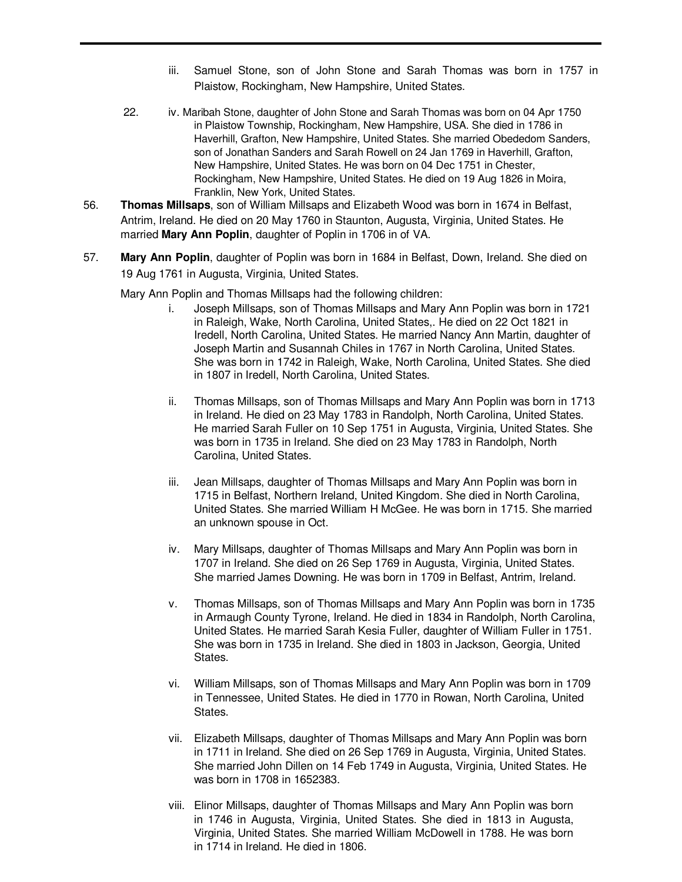- iii. Samuel Stone, son of John Stone and Sarah Thomas was born in 1757 in Plaistow, Rockingham, New Hampshire, United States.
- 22. iv. Maribah Stone, daughter of John Stone and Sarah Thomas was born on 04 Apr 1750 in Plaistow Township, Rockingham, New Hampshire, USA. She died in 1786 in Haverhill, Grafton, New Hampshire, United States. She married Obededom Sanders, son of Jonathan Sanders and Sarah Rowell on 24 Jan 1769 in Haverhill, Grafton, New Hampshire, United States. He was born on 04 Dec 1751 in Chester, Rockingham, New Hampshire, United States. He died on 19 Aug 1826 in Moira, Franklin, New York, United States.
- 56. **Thomas Millsaps**, son of William Millsaps and Elizabeth Wood was born in 1674 in Belfast, Antrim, Ireland. He died on 20 May 1760 in Staunton, Augusta, Virginia, United States. He married **Mary Ann Poplin**, daughter of Poplin in 1706 in of VA.
- 57. **Mary Ann Poplin**, daughter of Poplin was born in 1684 in Belfast, Down, Ireland. She died on 19 Aug 1761 in Augusta, Virginia, United States.

Mary Ann Poplin and Thomas Millsaps had the following children:

- i. Joseph Millsaps, son of Thomas Millsaps and Mary Ann Poplin was born in 1721 in Raleigh, Wake, North Carolina, United States,. He died on 22 Oct 1821 in Iredell, North Carolina, United States. He married Nancy Ann Martin, daughter of Joseph Martin and Susannah Chiles in 1767 in North Carolina, United States. She was born in 1742 in Raleigh, Wake, North Carolina, United States. She died in 1807 in Iredell, North Carolina, United States.
- ii. Thomas Millsaps, son of Thomas Millsaps and Mary Ann Poplin was born in 1713 in Ireland. He died on 23 May 1783 in Randolph, North Carolina, United States. He married Sarah Fuller on 10 Sep 1751 in Augusta, Virginia, United States. She was born in 1735 in Ireland. She died on 23 May 1783 in Randolph, North Carolina, United States.
- iii. Jean Millsaps, daughter of Thomas Millsaps and Mary Ann Poplin was born in 1715 in Belfast, Northern Ireland, United Kingdom. She died in North Carolina, United States. She married William H McGee. He was born in 1715. She married an unknown spouse in Oct.
- iv. Mary Millsaps, daughter of Thomas Millsaps and Mary Ann Poplin was born in 1707 in Ireland. She died on 26 Sep 1769 in Augusta, Virginia, United States. She married James Downing. He was born in 1709 in Belfast, Antrim, Ireland.
- v. Thomas Millsaps, son of Thomas Millsaps and Mary Ann Poplin was born in 1735 in Armaugh County Tyrone, Ireland. He died in 1834 in Randolph, North Carolina, United States. He married Sarah Kesia Fuller, daughter of William Fuller in 1751. She was born in 1735 in Ireland. She died in 1803 in Jackson, Georgia, United States.
- vi. William Millsaps, son of Thomas Millsaps and Mary Ann Poplin was born in 1709 in Tennessee, United States. He died in 1770 in Rowan, North Carolina, United States.
- vii. Elizabeth Millsaps, daughter of Thomas Millsaps and Mary Ann Poplin was born in 1711 in Ireland. She died on 26 Sep 1769 in Augusta, Virginia, United States. She married John Dillen on 14 Feb 1749 in Augusta, Virginia, United States. He was born in 1708 in 1652383.
- viii. Elinor Millsaps, daughter of Thomas Millsaps and Mary Ann Poplin was born in 1746 in Augusta, Virginia, United States. She died in 1813 in Augusta, Virginia, United States. She married William McDowell in 1788. He was born in 1714 in Ireland. He died in 1806.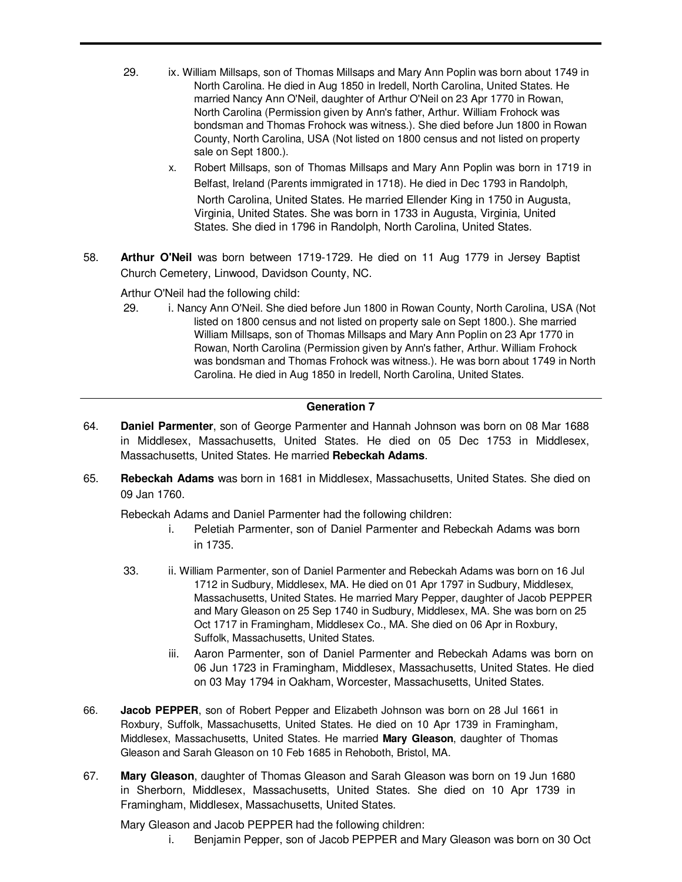- 29. ix. William Millsaps, son of Thomas Millsaps and Mary Ann Poplin was born about 1749 in North Carolina. He died in Aug 1850 in Iredell, North Carolina, United States. He married Nancy Ann O'Neil, daughter of Arthur O'Neil on 23 Apr 1770 in Rowan, North Carolina (Permission given by Ann's father, Arthur. William Frohock was bondsman and Thomas Frohock was witness.). She died before Jun 1800 in Rowan County, North Carolina, USA (Not listed on 1800 census and not listed on property sale on Sept 1800.).
	- x. Robert Millsaps, son of Thomas Millsaps and Mary Ann Poplin was born in 1719 in Belfast, Ireland (Parents immigrated in 1718). He died in Dec 1793 in Randolph, North Carolina, United States. He married Ellender King in 1750 in Augusta, Virginia, United States. She was born in 1733 in Augusta, Virginia, United States. She died in 1796 in Randolph, North Carolina, United States.
- 58. **Arthur O'Neil** was born between 1719-1729. He died on 11 Aug 1779 in Jersey Baptist Church Cemetery, Linwood, Davidson County, NC.

Arthur O'Neil had the following child:

29. i. Nancy Ann O'Neil. She died before Jun 1800 in Rowan County, North Carolina, USA (Not listed on 1800 census and not listed on property sale on Sept 1800.). She married William Millsaps, son of Thomas Millsaps and Mary Ann Poplin on 23 Apr 1770 in Rowan, North Carolina (Permission given by Ann's father, Arthur. William Frohock was bondsman and Thomas Frohock was witness.). He was born about 1749 in North Carolina. He died in Aug 1850 in Iredell, North Carolina, United States.

## **Generation 7**

- 64. **Daniel Parmenter**, son of George Parmenter and Hannah Johnson was born on 08 Mar 1688 in Middlesex, Massachusetts, United States. He died on 05 Dec 1753 in Middlesex, Massachusetts, United States. He married **Rebeckah Adams**.
- 65. **Rebeckah Adams** was born in 1681 in Middlesex, Massachusetts, United States. She died on 09 Jan 1760.

Rebeckah Adams and Daniel Parmenter had the following children:

- i. Peletiah Parmenter, son of Daniel Parmenter and Rebeckah Adams was born in 1735.
- 33. ii. William Parmenter, son of Daniel Parmenter and Rebeckah Adams was born on 16 Jul 1712 in Sudbury, Middlesex, MA. He died on 01 Apr 1797 in Sudbury, Middlesex, Massachusetts, United States. He married Mary Pepper, daughter of Jacob PEPPER and Mary Gleason on 25 Sep 1740 in Sudbury, Middlesex, MA. She was born on 25 Oct 1717 in Framingham, Middlesex Co., MA. She died on 06 Apr in Roxbury, Suffolk, Massachusetts, United States.
	- iii. Aaron Parmenter, son of Daniel Parmenter and Rebeckah Adams was born on 06 Jun 1723 in Framingham, Middlesex, Massachusetts, United States. He died on 03 May 1794 in Oakham, Worcester, Massachusetts, United States.
- 66. **Jacob PEPPER**, son of Robert Pepper and Elizabeth Johnson was born on 28 Jul 1661 in Roxbury, Suffolk, Massachusetts, United States. He died on 10 Apr 1739 in Framingham, Middlesex, Massachusetts, United States. He married **Mary Gleason**, daughter of Thomas Gleason and Sarah Gleason on 10 Feb 1685 in Rehoboth, Bristol, MA.
- 67. **Mary Gleason**, daughter of Thomas Gleason and Sarah Gleason was born on 19 Jun 1680 in Sherborn, Middlesex, Massachusetts, United States. She died on 10 Apr 1739 in Framingham, Middlesex, Massachusetts, United States.

Mary Gleason and Jacob PEPPER had the following children:

i. Benjamin Pepper, son of Jacob PEPPER and Mary Gleason was born on 30 Oct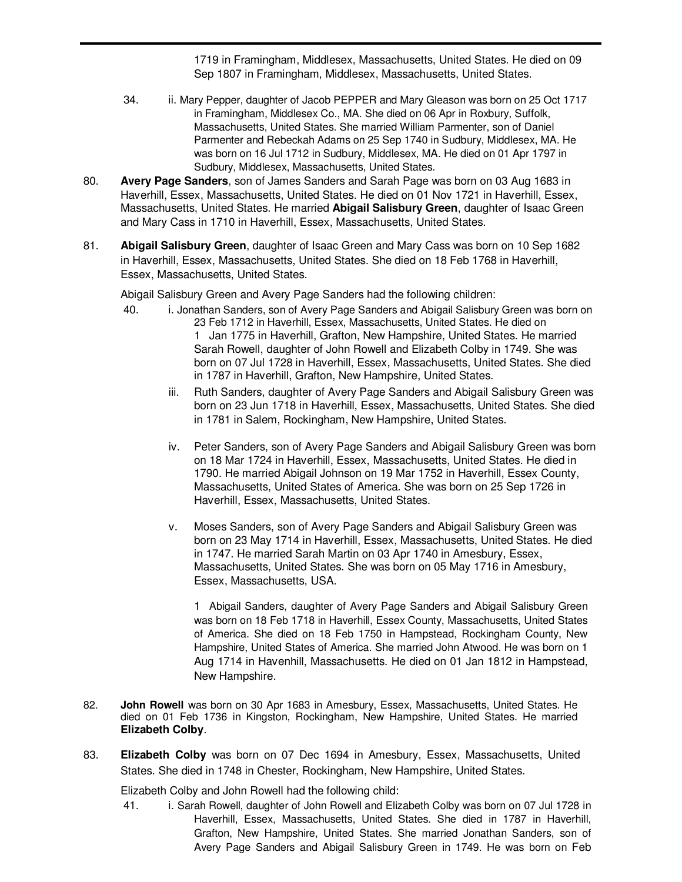1719 in Framingham, Middlesex, Massachusetts, United States. He died on 09 Sep 1807 in Framingham, Middlesex, Massachusetts, United States.

- 34. ii. Mary Pepper, daughter of Jacob PEPPER and Mary Gleason was born on 25 Oct 1717 in Framingham, Middlesex Co., MA. She died on 06 Apr in Roxbury, Suffolk, Massachusetts, United States. She married William Parmenter, son of Daniel Parmenter and Rebeckah Adams on 25 Sep 1740 in Sudbury, Middlesex, MA. He was born on 16 Jul 1712 in Sudbury, Middlesex, MA. He died on 01 Apr 1797 in Sudbury, Middlesex, Massachusetts, United States.
- 80. **Avery Page Sanders**, son of James Sanders and Sarah Page was born on 03 Aug 1683 in Haverhill, Essex, Massachusetts, United States. He died on 01 Nov 1721 in Haverhill, Essex, Massachusetts, United States. He married **Abigail Salisbury Green**, daughter of Isaac Green and Mary Cass in 1710 in Haverhill, Essex, Massachusetts, United States.
- 81. **Abigail Salisbury Green**, daughter of Isaac Green and Mary Cass was born on 10 Sep 1682 in Haverhill, Essex, Massachusetts, United States. She died on 18 Feb 1768 in Haverhill, Essex, Massachusetts, United States.

Abigail Salisbury Green and Avery Page Sanders had the following children:

- 40. i. Jonathan Sanders, son of Avery Page Sanders and Abigail Salisbury Green was born on 23 Feb 1712 in Haverhill, Essex, Massachusetts, United States. He died on 1 Jan 1775 in Haverhill, Grafton, New Hampshire, United States. He married Sarah Rowell, daughter of John Rowell and Elizabeth Colby in 1749. She was born on 07 Jul 1728 in Haverhill, Essex, Massachusetts, United States. She died in 1787 in Haverhill, Grafton, New Hampshire, United States.
	- iii. Ruth Sanders, daughter of Avery Page Sanders and Abigail Salisbury Green was born on 23 Jun 1718 in Haverhill, Essex, Massachusetts, United States. She died in 1781 in Salem, Rockingham, New Hampshire, United States.
	- iv. Peter Sanders, son of Avery Page Sanders and Abigail Salisbury Green was born on 18 Mar 1724 in Haverhill, Essex, Massachusetts, United States. He died in 1790. He married Abigail Johnson on 19 Mar 1752 in Haverhill, Essex County, Massachusetts, United States of America. She was born on 25 Sep 1726 in Haverhill, Essex, Massachusetts, United States.
	- v. Moses Sanders, son of Avery Page Sanders and Abigail Salisbury Green was born on 23 May 1714 in Haverhill, Essex, Massachusetts, United States. He died in 1747. He married Sarah Martin on 03 Apr 1740 in Amesbury, Essex, Massachusetts, United States. She was born on 05 May 1716 in Amesbury, Essex, Massachusetts, USA.

1 Abigail Sanders, daughter of Avery Page Sanders and Abigail Salisbury Green was born on 18 Feb 1718 in Haverhill, Essex County, Massachusetts, United States of America. She died on 18 Feb 1750 in Hampstead, Rockingham County, New Hampshire, United States of America. She married John Atwood. He was born on 1 Aug 1714 in Havenhill, Massachusetts. He died on 01 Jan 1812 in Hampstead, New Hampshire.

- 82. **John Rowell** was born on 30 Apr 1683 in Amesbury, Essex, Massachusetts, United States. He died on 01 Feb 1736 in Kingston, Rockingham, New Hampshire, United States. He married **Elizabeth Colby**.
- 83. **Elizabeth Colby** was born on 07 Dec 1694 in Amesbury, Essex, Massachusetts, United States. She died in 1748 in Chester, Rockingham, New Hampshire, United States.

Elizabeth Colby and John Rowell had the following child:

41. i. Sarah Rowell, daughter of John Rowell and Elizabeth Colby was born on 07 Jul 1728 in Haverhill, Essex, Massachusetts, United States. She died in 1787 in Haverhill, Grafton, New Hampshire, United States. She married Jonathan Sanders, son of Avery Page Sanders and Abigail Salisbury Green in 1749. He was born on Feb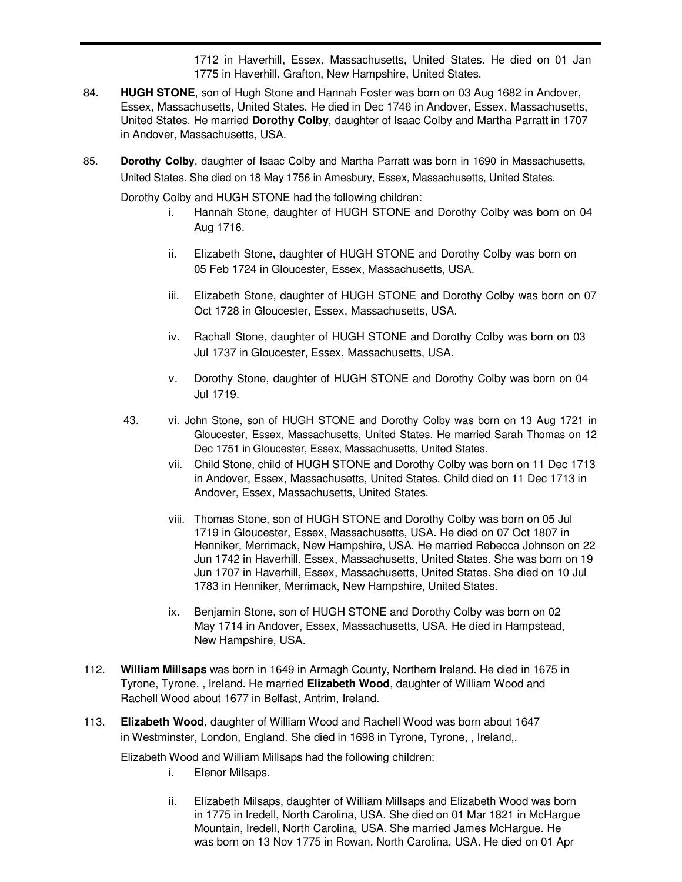1712 in Haverhill, Essex, Massachusetts, United States. He died on 01 Jan 1775 in Haverhill, Grafton, New Hampshire, United States.

- 84. **HUGH STONE**, son of Hugh Stone and Hannah Foster was born on 03 Aug 1682 in Andover, Essex, Massachusetts, United States. He died in Dec 1746 in Andover, Essex, Massachusetts, United States. He married **Dorothy Colby**, daughter of Isaac Colby and Martha Parratt in 1707 in Andover, Massachusetts, USA.
- 85. **Dorothy Colby**, daughter of Isaac Colby and Martha Parratt was born in 1690 in Massachusetts, United States. She died on 18 May 1756 in Amesbury, Essex, Massachusetts, United States.

Dorothy Colby and HUGH STONE had the following children:

- i. Hannah Stone, daughter of HUGH STONE and Dorothy Colby was born on 04 Aug 1716.
- ii. Elizabeth Stone, daughter of HUGH STONE and Dorothy Colby was born on 05 Feb 1724 in Gloucester, Essex, Massachusetts, USA.
- iii. Elizabeth Stone, daughter of HUGH STONE and Dorothy Colby was born on 07 Oct 1728 in Gloucester, Essex, Massachusetts, USA.
- iv. Rachall Stone, daughter of HUGH STONE and Dorothy Colby was born on 03 Jul 1737 in Gloucester, Essex, Massachusetts, USA.
- v. Dorothy Stone, daughter of HUGH STONE and Dorothy Colby was born on 04 Jul 1719.
- 43. vi. John Stone, son of HUGH STONE and Dorothy Colby was born on 13 Aug 1721 in Gloucester, Essex, Massachusetts, United States. He married Sarah Thomas on 12 Dec 1751 in Gloucester, Essex, Massachusetts, United States.
	- vii. Child Stone, child of HUGH STONE and Dorothy Colby was born on 11 Dec 1713 in Andover, Essex, Massachusetts, United States. Child died on 11 Dec 1713 in Andover, Essex, Massachusetts, United States.
	- viii. Thomas Stone, son of HUGH STONE and Dorothy Colby was born on 05 Jul 1719 in Gloucester, Essex, Massachusetts, USA. He died on 07 Oct 1807 in Henniker, Merrimack, New Hampshire, USA. He married Rebecca Johnson on 22 Jun 1742 in Haverhill, Essex, Massachusetts, United States. She was born on 19 Jun 1707 in Haverhill, Essex, Massachusetts, United States. She died on 10 Jul 1783 in Henniker, Merrimack, New Hampshire, United States.
	- ix. Benjamin Stone, son of HUGH STONE and Dorothy Colby was born on 02 May 1714 in Andover, Essex, Massachusetts, USA. He died in Hampstead, New Hampshire, USA.
- 112. **William Millsaps** was born in 1649 in Armagh County, Northern Ireland. He died in 1675 in Tyrone, Tyrone, , Ireland. He married **Elizabeth Wood**, daughter of William Wood and Rachell Wood about 1677 in Belfast, Antrim, Ireland.
- 113. **Elizabeth Wood**, daughter of William Wood and Rachell Wood was born about 1647 in Westminster, London, England. She died in 1698 in Tyrone, Tyrone, , Ireland,.

Elizabeth Wood and William Millsaps had the following children:

- i. Elenor Milsaps.
- ii. Elizabeth Milsaps, daughter of William Millsaps and Elizabeth Wood was born in 1775 in Iredell, North Carolina, USA. She died on 01 Mar 1821 in McHargue Mountain, Iredell, North Carolina, USA. She married James McHargue. He was born on 13 Nov 1775 in Rowan, North Carolina, USA. He died on 01 Apr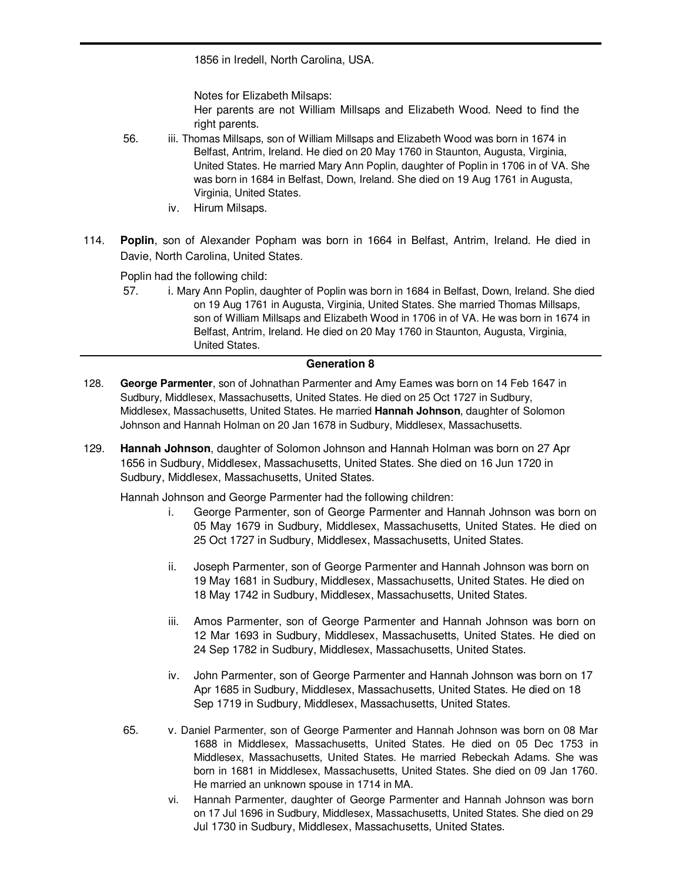1856 in Iredell, North Carolina, USA.

Notes for Elizabeth Milsaps:

Her parents are not William Millsaps and Elizabeth Wood. Need to find the right parents.

- 56. iii. Thomas Millsaps, son of William Millsaps and Elizabeth Wood was born in 1674 in Belfast, Antrim, Ireland. He died on 20 May 1760 in Staunton, Augusta, Virginia, United States. He married Mary Ann Poplin, daughter of Poplin in 1706 in of VA. She was born in 1684 in Belfast, Down, Ireland. She died on 19 Aug 1761 in Augusta, Virginia, United States.
	- iv. Hirum Milsaps.
- 114. **Poplin**, son of Alexander Popham was born in 1664 in Belfast, Antrim, Ireland. He died in Davie, North Carolina, United States.

Poplin had the following child:

57. i. Mary Ann Poplin, daughter of Poplin was born in 1684 in Belfast, Down, Ireland. She died on 19 Aug 1761 in Augusta, Virginia, United States. She married Thomas Millsaps, son of William Millsaps and Elizabeth Wood in 1706 in of VA. He was born in 1674 in Belfast, Antrim, Ireland. He died on 20 May 1760 in Staunton, Augusta, Virginia, United States.

## **Generation 8**

- 128. **George Parmenter**, son of Johnathan Parmenter and Amy Eames was born on 14 Feb 1647 in Sudbury, Middlesex, Massachusetts, United States. He died on 25 Oct 1727 in Sudbury, Middlesex, Massachusetts, United States. He married **Hannah Johnson**, daughter of Solomon Johnson and Hannah Holman on 20 Jan 1678 in Sudbury, Middlesex, Massachusetts.
- 129. **Hannah Johnson**, daughter of Solomon Johnson and Hannah Holman was born on 27 Apr 1656 in Sudbury, Middlesex, Massachusetts, United States. She died on 16 Jun 1720 in Sudbury, Middlesex, Massachusetts, United States.

Hannah Johnson and George Parmenter had the following children:

- i. George Parmenter, son of George Parmenter and Hannah Johnson was born on 05 May 1679 in Sudbury, Middlesex, Massachusetts, United States. He died on 25 Oct 1727 in Sudbury, Middlesex, Massachusetts, United States.
- ii. Joseph Parmenter, son of George Parmenter and Hannah Johnson was born on 19 May 1681 in Sudbury, Middlesex, Massachusetts, United States. He died on 18 May 1742 in Sudbury, Middlesex, Massachusetts, United States.
- iii. Amos Parmenter, son of George Parmenter and Hannah Johnson was born on 12 Mar 1693 in Sudbury, Middlesex, Massachusetts, United States. He died on 24 Sep 1782 in Sudbury, Middlesex, Massachusetts, United States.
- iv. John Parmenter, son of George Parmenter and Hannah Johnson was born on 17 Apr 1685 in Sudbury, Middlesex, Massachusetts, United States. He died on 18 Sep 1719 in Sudbury, Middlesex, Massachusetts, United States.
- 65. v. Daniel Parmenter, son of George Parmenter and Hannah Johnson was born on 08 Mar 1688 in Middlesex, Massachusetts, United States. He died on 05 Dec 1753 in Middlesex, Massachusetts, United States. He married Rebeckah Adams. She was born in 1681 in Middlesex, Massachusetts, United States. She died on 09 Jan 1760. He married an unknown spouse in 1714 in MA.
	- vi. Hannah Parmenter, daughter of George Parmenter and Hannah Johnson was born on 17 Jul 1696 in Sudbury, Middlesex, Massachusetts, United States. She died on 29 Jul 1730 in Sudbury, Middlesex, Massachusetts, United States.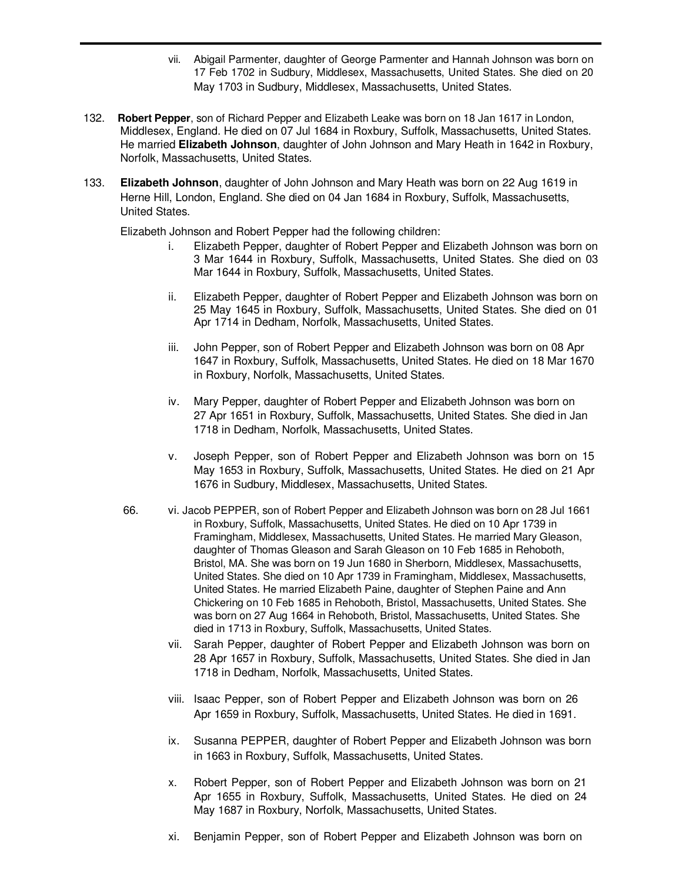- vii. Abigail Parmenter, daughter of George Parmenter and Hannah Johnson was born on 17 Feb 1702 in Sudbury, Middlesex, Massachusetts, United States. She died on 20 May 1703 in Sudbury, Middlesex, Massachusetts, United States.
- 132. **Robert Pepper**, son of Richard Pepper and Elizabeth Leake was born on 18 Jan 1617 in London, Middlesex, England. He died on 07 Jul 1684 in Roxbury, Suffolk, Massachusetts, United States. He married **Elizabeth Johnson**, daughter of John Johnson and Mary Heath in 1642 in Roxbury, Norfolk, Massachusetts, United States.
- 133. **Elizabeth Johnson**, daughter of John Johnson and Mary Heath was born on 22 Aug 1619 in Herne Hill, London, England. She died on 04 Jan 1684 in Roxbury, Suffolk, Massachusetts, United States.

Elizabeth Johnson and Robert Pepper had the following children:

- i. Elizabeth Pepper, daughter of Robert Pepper and Elizabeth Johnson was born on 3 Mar 1644 in Roxbury, Suffolk, Massachusetts, United States. She died on 03 Mar 1644 in Roxbury, Suffolk, Massachusetts, United States.
- ii. Elizabeth Pepper, daughter of Robert Pepper and Elizabeth Johnson was born on 25 May 1645 in Roxbury, Suffolk, Massachusetts, United States. She died on 01 Apr 1714 in Dedham, Norfolk, Massachusetts, United States.
- iii. John Pepper, son of Robert Pepper and Elizabeth Johnson was born on 08 Apr 1647 in Roxbury, Suffolk, Massachusetts, United States. He died on 18 Mar 1670 in Roxbury, Norfolk, Massachusetts, United States.
- iv. Mary Pepper, daughter of Robert Pepper and Elizabeth Johnson was born on 27 Apr 1651 in Roxbury, Suffolk, Massachusetts, United States. She died in Jan 1718 in Dedham, Norfolk, Massachusetts, United States.
- v. Joseph Pepper, son of Robert Pepper and Elizabeth Johnson was born on 15 May 1653 in Roxbury, Suffolk, Massachusetts, United States. He died on 21 Apr 1676 in Sudbury, Middlesex, Massachusetts, United States.
- 66. vi. Jacob PEPPER, son of Robert Pepper and Elizabeth Johnson was born on 28 Jul 1661 in Roxbury, Suffolk, Massachusetts, United States. He died on 10 Apr 1739 in Framingham, Middlesex, Massachusetts, United States. He married Mary Gleason, daughter of Thomas Gleason and Sarah Gleason on 10 Feb 1685 in Rehoboth, Bristol, MA. She was born on 19 Jun 1680 in Sherborn, Middlesex, Massachusetts, United States. She died on 10 Apr 1739 in Framingham, Middlesex, Massachusetts, United States. He married Elizabeth Paine, daughter of Stephen Paine and Ann Chickering on 10 Feb 1685 in Rehoboth, Bristol, Massachusetts, United States. She was born on 27 Aug 1664 in Rehoboth, Bristol, Massachusetts, United States. She died in 1713 in Roxbury, Suffolk, Massachusetts, United States.
	- vii. Sarah Pepper, daughter of Robert Pepper and Elizabeth Johnson was born on 28 Apr 1657 in Roxbury, Suffolk, Massachusetts, United States. She died in Jan 1718 in Dedham, Norfolk, Massachusetts, United States.
	- viii. Isaac Pepper, son of Robert Pepper and Elizabeth Johnson was born on 26 Apr 1659 in Roxbury, Suffolk, Massachusetts, United States. He died in 1691.
	- ix. Susanna PEPPER, daughter of Robert Pepper and Elizabeth Johnson was born in 1663 in Roxbury, Suffolk, Massachusetts, United States.
	- x. Robert Pepper, son of Robert Pepper and Elizabeth Johnson was born on 21 Apr 1655 in Roxbury, Suffolk, Massachusetts, United States. He died on 24 May 1687 in Roxbury, Norfolk, Massachusetts, United States.
	- xi. Benjamin Pepper, son of Robert Pepper and Elizabeth Johnson was born on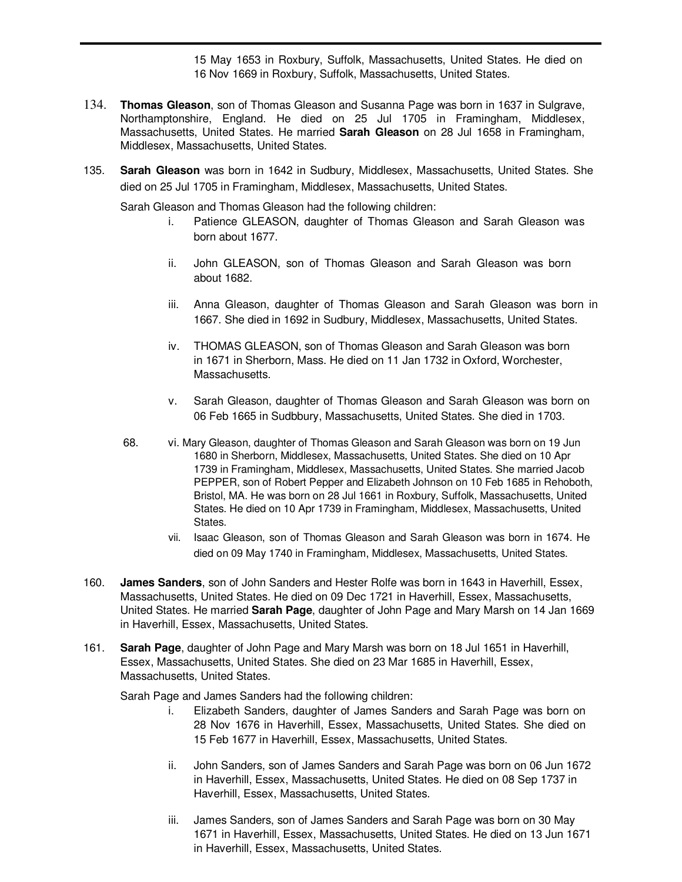15 May 1653 in Roxbury, Suffolk, Massachusetts, United States. He died on 16 Nov 1669 in Roxbury, Suffolk, Massachusetts, United States.

- 134. **Thomas Gleason**, son of Thomas Gleason and Susanna Page was born in 1637 in Sulgrave, Northamptonshire, England. He died on 25 Jul 1705 in Framingham, Middlesex, Massachusetts, United States. He married **Sarah Gleason** on 28 Jul 1658 in Framingham, Middlesex, Massachusetts, United States.
- 135. **Sarah Gleason** was born in 1642 in Sudbury, Middlesex, Massachusetts, United States. She died on 25 Jul 1705 in Framingham, Middlesex, Massachusetts, United States.

Sarah Gleason and Thomas Gleason had the following children:

- i. Patience GLEASON, daughter of Thomas Gleason and Sarah Gleason was born about 1677.
- ii. John GLEASON, son of Thomas Gleason and Sarah Gleason was born about 1682.
- iii. Anna Gleason, daughter of Thomas Gleason and Sarah Gleason was born in 1667. She died in 1692 in Sudbury, Middlesex, Massachusetts, United States.
- iv. THOMAS GLEASON, son of Thomas Gleason and Sarah Gleason was born in 1671 in Sherborn, Mass. He died on 11 Jan 1732 in Oxford, Worchester, Massachusetts.
- v. Sarah Gleason, daughter of Thomas Gleason and Sarah Gleason was born on 06 Feb 1665 in Sudbbury, Massachusetts, United States. She died in 1703.
- 68. vi. Mary Gleason, daughter of Thomas Gleason and Sarah Gleason was born on 19 Jun 1680 in Sherborn, Middlesex, Massachusetts, United States. She died on 10 Apr 1739 in Framingham, Middlesex, Massachusetts, United States. She married Jacob PEPPER, son of Robert Pepper and Elizabeth Johnson on 10 Feb 1685 in Rehoboth, Bristol, MA. He was born on 28 Jul 1661 in Roxbury, Suffolk, Massachusetts, United States. He died on 10 Apr 1739 in Framingham, Middlesex, Massachusetts, United States.
	- vii. Isaac Gleason, son of Thomas Gleason and Sarah Gleason was born in 1674. He died on 09 May 1740 in Framingham, Middlesex, Massachusetts, United States.
- 160. **James Sanders**, son of John Sanders and Hester Rolfe was born in 1643 in Haverhill, Essex, Massachusetts, United States. He died on 09 Dec 1721 in Haverhill, Essex, Massachusetts, United States. He married **Sarah Page**, daughter of John Page and Mary Marsh on 14 Jan 1669 in Haverhill, Essex, Massachusetts, United States.
- 161. **Sarah Page**, daughter of John Page and Mary Marsh was born on 18 Jul 1651 in Haverhill, Essex, Massachusetts, United States. She died on 23 Mar 1685 in Haverhill, Essex, Massachusetts, United States.

Sarah Page and James Sanders had the following children:

- i. Elizabeth Sanders, daughter of James Sanders and Sarah Page was born on 28 Nov 1676 in Haverhill, Essex, Massachusetts, United States. She died on 15 Feb 1677 in Haverhill, Essex, Massachusetts, United States.
- ii. John Sanders, son of James Sanders and Sarah Page was born on 06 Jun 1672 in Haverhill, Essex, Massachusetts, United States. He died on 08 Sep 1737 in Haverhill, Essex, Massachusetts, United States.
- iii. James Sanders, son of James Sanders and Sarah Page was born on 30 May 1671 in Haverhill, Essex, Massachusetts, United States. He died on 13 Jun 1671 in Haverhill, Essex, Massachusetts, United States.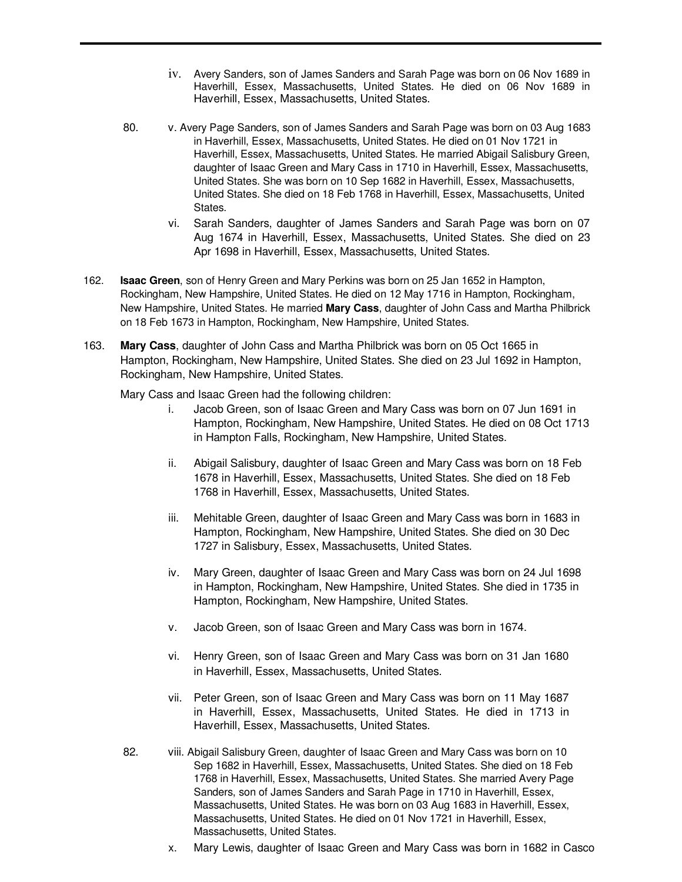- iv. Avery Sanders, son of James Sanders and Sarah Page was born on 06 Nov 1689 in Haverhill, Essex, Massachusetts, United States. He died on 06 Nov 1689 in Haverhill, Essex, Massachusetts, United States.
- 80. v. Avery Page Sanders, son of James Sanders and Sarah Page was born on 03 Aug 1683 in Haverhill, Essex, Massachusetts, United States. He died on 01 Nov 1721 in Haverhill, Essex, Massachusetts, United States. He married Abigail Salisbury Green, daughter of Isaac Green and Mary Cass in 1710 in Haverhill, Essex, Massachusetts, United States. She was born on 10 Sep 1682 in Haverhill, Essex, Massachusetts, United States. She died on 18 Feb 1768 in Haverhill, Essex, Massachusetts, United States.
	- vi. Sarah Sanders, daughter of James Sanders and Sarah Page was born on 07 Aug 1674 in Haverhill, Essex, Massachusetts, United States. She died on 23 Apr 1698 in Haverhill, Essex, Massachusetts, United States.
- 162. **Isaac Green**, son of Henry Green and Mary Perkins was born on 25 Jan 1652 in Hampton, Rockingham, New Hampshire, United States. He died on 12 May 1716 in Hampton, Rockingham, New Hampshire, United States. He married **Mary Cass**, daughter of John Cass and Martha Philbrick on 18 Feb 1673 in Hampton, Rockingham, New Hampshire, United States.
- 163. **Mary Cass**, daughter of John Cass and Martha Philbrick was born on 05 Oct 1665 in Hampton, Rockingham, New Hampshire, United States. She died on 23 Jul 1692 in Hampton, Rockingham, New Hampshire, United States.

Mary Cass and Isaac Green had the following children:

- i. Jacob Green, son of Isaac Green and Mary Cass was born on 07 Jun 1691 in Hampton, Rockingham, New Hampshire, United States. He died on 08 Oct 1713 in Hampton Falls, Rockingham, New Hampshire, United States.
- ii. Abigail Salisbury, daughter of Isaac Green and Mary Cass was born on 18 Feb 1678 in Haverhill, Essex, Massachusetts, United States. She died on 18 Feb 1768 in Haverhill, Essex, Massachusetts, United States.
- iii. Mehitable Green, daughter of Isaac Green and Mary Cass was born in 1683 in Hampton, Rockingham, New Hampshire, United States. She died on 30 Dec 1727 in Salisbury, Essex, Massachusetts, United States.
- iv. Mary Green, daughter of Isaac Green and Mary Cass was born on 24 Jul 1698 in Hampton, Rockingham, New Hampshire, United States. She died in 1735 in Hampton, Rockingham, New Hampshire, United States.
- v. Jacob Green, son of Isaac Green and Mary Cass was born in 1674.
- vi. Henry Green, son of Isaac Green and Mary Cass was born on 31 Jan 1680 in Haverhill, Essex, Massachusetts, United States.
- vii. Peter Green, son of Isaac Green and Mary Cass was born on 11 May 1687 in Haverhill, Essex, Massachusetts, United States. He died in 1713 in Haverhill, Essex, Massachusetts, United States.
- 82. viii. Abigail Salisbury Green, daughter of Isaac Green and Mary Cass was born on 10 Sep 1682 in Haverhill, Essex, Massachusetts, United States. She died on 18 Feb 1768 in Haverhill, Essex, Massachusetts, United States. She married Avery Page Sanders, son of James Sanders and Sarah Page in 1710 in Haverhill, Essex, Massachusetts, United States. He was born on 03 Aug 1683 in Haverhill, Essex, Massachusetts, United States. He died on 01 Nov 1721 in Haverhill, Essex, Massachusetts, United States.
	- x. Mary Lewis, daughter of Isaac Green and Mary Cass was born in 1682 in Casco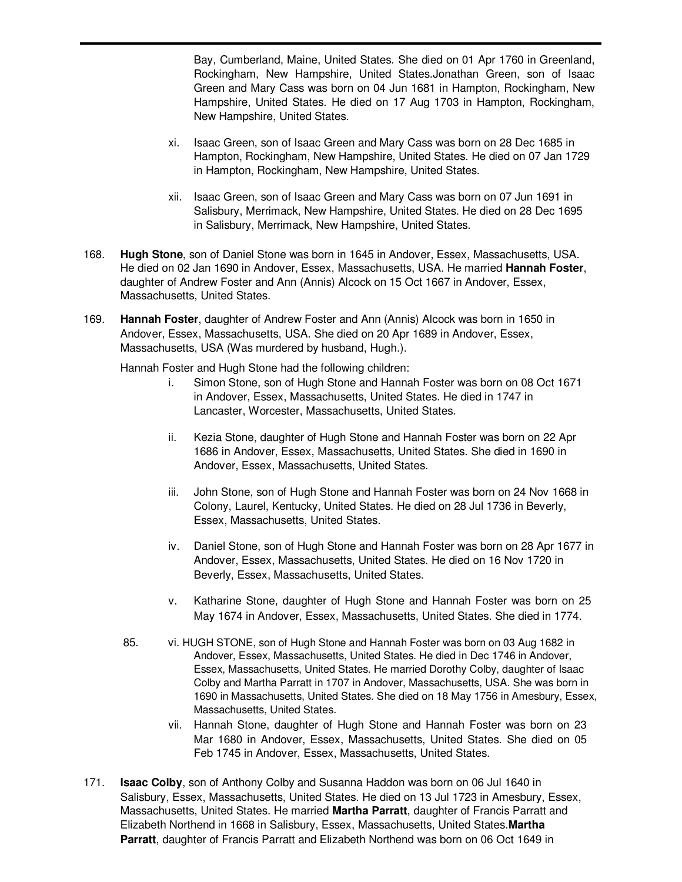Bay, Cumberland, Maine, United States. She died on 01 Apr 1760 in Greenland, Rockingham, New Hampshire, United States.Jonathan Green, son of Isaac Green and Mary Cass was born on 04 Jun 1681 in Hampton, Rockingham, New Hampshire, United States. He died on 17 Aug 1703 in Hampton, Rockingham, New Hampshire, United States.

- xi. Isaac Green, son of Isaac Green and Mary Cass was born on 28 Dec 1685 in Hampton, Rockingham, New Hampshire, United States. He died on 07 Jan 1729 in Hampton, Rockingham, New Hampshire, United States.
- xii. Isaac Green, son of Isaac Green and Mary Cass was born on 07 Jun 1691 in Salisbury, Merrimack, New Hampshire, United States. He died on 28 Dec 1695 in Salisbury, Merrimack, New Hampshire, United States.
- 168. **Hugh Stone**, son of Daniel Stone was born in 1645 in Andover, Essex, Massachusetts, USA. He died on 02 Jan 1690 in Andover, Essex, Massachusetts, USA. He married **Hannah Foster**, daughter of Andrew Foster and Ann (Annis) Alcock on 15 Oct 1667 in Andover, Essex, Massachusetts, United States.
- 169. **Hannah Foster**, daughter of Andrew Foster and Ann (Annis) Alcock was born in 1650 in Andover, Essex, Massachusetts, USA. She died on 20 Apr 1689 in Andover, Essex, Massachusetts, USA (Was murdered by husband, Hugh.).

Hannah Foster and Hugh Stone had the following children:

- i. Simon Stone, son of Hugh Stone and Hannah Foster was born on 08 Oct 1671 in Andover, Essex, Massachusetts, United States. He died in 1747 in Lancaster, Worcester, Massachusetts, United States.
- ii. Kezia Stone, daughter of Hugh Stone and Hannah Foster was born on 22 Apr 1686 in Andover, Essex, Massachusetts, United States. She died in 1690 in Andover, Essex, Massachusetts, United States.
- iii. John Stone, son of Hugh Stone and Hannah Foster was born on 24 Nov 1668 in Colony, Laurel, Kentucky, United States. He died on 28 Jul 1736 in Beverly, Essex, Massachusetts, United States.
- iv. Daniel Stone, son of Hugh Stone and Hannah Foster was born on 28 Apr 1677 in Andover, Essex, Massachusetts, United States. He died on 16 Nov 1720 in Beverly, Essex, Massachusetts, United States.
- v. Katharine Stone, daughter of Hugh Stone and Hannah Foster was born on 25 May 1674 in Andover, Essex, Massachusetts, United States. She died in 1774.
- 85. vi. HUGH STONE, son of Hugh Stone and Hannah Foster was born on 03 Aug 1682 in Andover, Essex, Massachusetts, United States. He died in Dec 1746 in Andover, Essex, Massachusetts, United States. He married Dorothy Colby, daughter of Isaac Colby and Martha Parratt in 1707 in Andover, Massachusetts, USA. She was born in 1690 in Massachusetts, United States. She died on 18 May 1756 in Amesbury, Essex, Massachusetts, United States.
	- vii. Hannah Stone, daughter of Hugh Stone and Hannah Foster was born on 23 Mar 1680 in Andover, Essex, Massachusetts, United States. She died on 05 Feb 1745 in Andover, Essex, Massachusetts, United States.
- 171. **Isaac Colby**, son of Anthony Colby and Susanna Haddon was born on 06 Jul 1640 in Salisbury, Essex, Massachusetts, United States. He died on 13 Jul 1723 in Amesbury, Essex, Massachusetts, United States. He married **Martha Parratt**, daughter of Francis Parratt and Elizabeth Northend in 1668 in Salisbury, Essex, Massachusetts, United States.**Martha Parratt**, daughter of Francis Parratt and Elizabeth Northend was born on 06 Oct 1649 in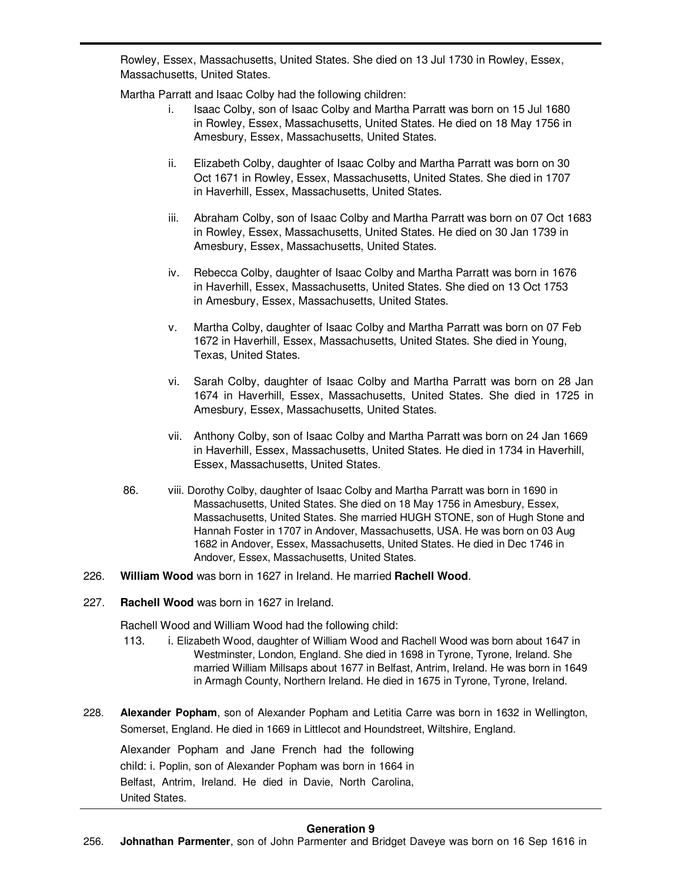Rowley, Essex, Massachusetts, United States. She died on 13 Jul 1730 in Rowley, Essex, Massachusetts, United States.

Martha Parratt and Isaac Colby had the following children:

- i. Isaac Colby, son of Isaac Colby and Martha Parratt was born on 15 Jul 1680 in Rowley, Essex, Massachusetts, United States. He died on 18 May 1756 in Amesbury, Essex, Massachusetts, United States.
- ii. Elizabeth Colby, daughter of Isaac Colby and Martha Parratt was born on 30 Oct 1671 in Rowley, Essex, Massachusetts, United States. She died in 1707 in Haverhill, Essex, Massachusetts, United States.
- iii. Abraham Colby, son of Isaac Colby and Martha Parratt was born on 07 Oct 1683 in Rowley, Essex, Massachusetts, United States. He died on 30 Jan 1739 in Amesbury, Essex, Massachusetts, United States.
- iv. Rebecca Colby, daughter of Isaac Colby and Martha Parratt was born in 1676 in Haverhill, Essex, Massachusetts, United States. She died on 13 Oct 1753 in Amesbury, Essex, Massachusetts, United States.
- v. Martha Colby, daughter of Isaac Colby and Martha Parratt was born on 07 Feb 1672 in Haverhill, Essex, Massachusetts, United States. She died in Young, Texas, United States.
- vi. Sarah Colby, daughter of Isaac Colby and Martha Parratt was born on 28 Jan 1674 in Haverhill, Essex, Massachusetts, United States. She died in 1725 in Amesbury, Essex, Massachusetts, United States.
- vii. Anthony Colby, son of Isaac Colby and Martha Parratt was born on 24 Jan 1669 in Haverhill, Essex, Massachusetts, United States. He died in 1734 in Haverhill, Essex, Massachusetts, United States.
- 86. viii. Dorothy Colby, daughter of Isaac Colby and Martha Parratt was born in 1690 in Massachusetts, United States. She died on 18 May 1756 in Amesbury, Essex, Massachusetts, United States. She married HUGH STONE, son of Hugh Stone and Hannah Foster in 1707 in Andover, Massachusetts, USA. He was born on 03 Aug 1682 in Andover, Essex, Massachusetts, United States. He died in Dec 1746 in Andover, Essex, Massachusetts, United States.
- 226. **William Wood** was born in 1627 in Ireland. He married **Rachell Wood**.
- 227. **Rachell Wood** was born in 1627 in Ireland.

Rachell Wood and William Wood had the following child:

- 113. i. Elizabeth Wood, daughter of William Wood and Rachell Wood was born about 1647 in Westminster, London, England. She died in 1698 in Tyrone, Tyrone, Ireland. She married William Millsaps about 1677 in Belfast, Antrim, Ireland. He was born in 1649 in Armagh County, Northern Ireland. He died in 1675 in Tyrone, Tyrone, Ireland.
- 228. **Alexander Popham**, son of Alexander Popham and Letitia Carre was born in 1632 in Wellington, Somerset, England. He died in 1669 in Littlecot and Houndstreet, Wiltshire, England.

Alexander Popham and Jane French had the following child: i. Poplin, son of Alexander Popham was born in 1664 in Belfast, Antrim, Ireland. He died in Davie, North Carolina, United States.

### **Generation 9**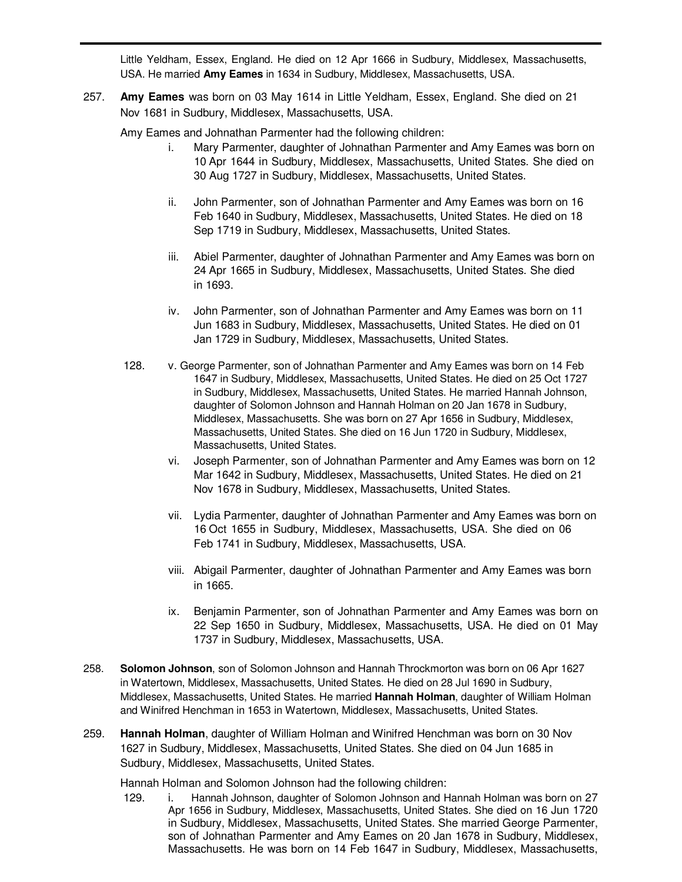Little Yeldham, Essex, England. He died on 12 Apr 1666 in Sudbury, Middlesex, Massachusetts, USA. He married **Amy Eames** in 1634 in Sudbury, Middlesex, Massachusetts, USA.

257. **Amy Eames** was born on 03 May 1614 in Little Yeldham, Essex, England. She died on 21 Nov 1681 in Sudbury, Middlesex, Massachusetts, USA.

Amy Eames and Johnathan Parmenter had the following children:

- i. Mary Parmenter, daughter of Johnathan Parmenter and Amy Eames was born on 10 Apr 1644 in Sudbury, Middlesex, Massachusetts, United States. She died on 30 Aug 1727 in Sudbury, Middlesex, Massachusetts, United States.
- ii. John Parmenter, son of Johnathan Parmenter and Amy Eames was born on 16 Feb 1640 in Sudbury, Middlesex, Massachusetts, United States. He died on 18 Sep 1719 in Sudbury, Middlesex, Massachusetts, United States.
- iii. Abiel Parmenter, daughter of Johnathan Parmenter and Amy Eames was born on 24 Apr 1665 in Sudbury, Middlesex, Massachusetts, United States. She died in 1693.
- iv. John Parmenter, son of Johnathan Parmenter and Amy Eames was born on 11 Jun 1683 in Sudbury, Middlesex, Massachusetts, United States. He died on 01 Jan 1729 in Sudbury, Middlesex, Massachusetts, United States.
- 128. v. George Parmenter, son of Johnathan Parmenter and Amy Eames was born on 14 Feb 1647 in Sudbury, Middlesex, Massachusetts, United States. He died on 25 Oct 1727 in Sudbury, Middlesex, Massachusetts, United States. He married Hannah Johnson, daughter of Solomon Johnson and Hannah Holman on 20 Jan 1678 in Sudbury, Middlesex, Massachusetts. She was born on 27 Apr 1656 in Sudbury, Middlesex, Massachusetts, United States. She died on 16 Jun 1720 in Sudbury, Middlesex, Massachusetts, United States.
	- vi. Joseph Parmenter, son of Johnathan Parmenter and Amy Eames was born on 12 Mar 1642 in Sudbury, Middlesex, Massachusetts, United States. He died on 21 Nov 1678 in Sudbury, Middlesex, Massachusetts, United States.
	- vii. Lydia Parmenter, daughter of Johnathan Parmenter and Amy Eames was born on 16 Oct 1655 in Sudbury, Middlesex, Massachusetts, USA. She died on 06 Feb 1741 in Sudbury, Middlesex, Massachusetts, USA.
	- viii. Abigail Parmenter, daughter of Johnathan Parmenter and Amy Eames was born in 1665.
	- ix. Benjamin Parmenter, son of Johnathan Parmenter and Amy Eames was born on 22 Sep 1650 in Sudbury, Middlesex, Massachusetts, USA. He died on 01 May 1737 in Sudbury, Middlesex, Massachusetts, USA.
- 258. **Solomon Johnson**, son of Solomon Johnson and Hannah Throckmorton was born on 06 Apr 1627 in Watertown, Middlesex, Massachusetts, United States. He died on 28 Jul 1690 in Sudbury, Middlesex, Massachusetts, United States. He married **Hannah Holman**, daughter of William Holman and Winifred Henchman in 1653 in Watertown, Middlesex, Massachusetts, United States.
- 259. **Hannah Holman**, daughter of William Holman and Winifred Henchman was born on 30 Nov 1627 in Sudbury, Middlesex, Massachusetts, United States. She died on 04 Jun 1685 in Sudbury, Middlesex, Massachusetts, United States.

Hannah Holman and Solomon Johnson had the following children:

129. i. Hannah Johnson, daughter of Solomon Johnson and Hannah Holman was born on 27 Apr 1656 in Sudbury, Middlesex, Massachusetts, United States. She died on 16 Jun 1720 in Sudbury, Middlesex, Massachusetts, United States. She married George Parmenter, son of Johnathan Parmenter and Amy Eames on 20 Jan 1678 in Sudbury, Middlesex, Massachusetts. He was born on 14 Feb 1647 in Sudbury, Middlesex, Massachusetts,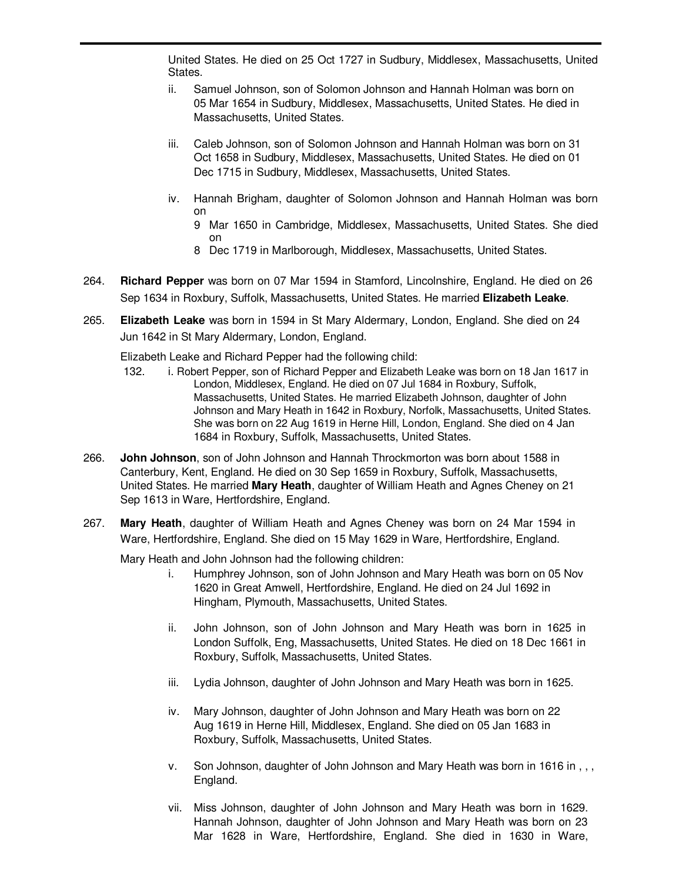United States. He died on 25 Oct 1727 in Sudbury, Middlesex, Massachusetts, United States.

- ii. Samuel Johnson, son of Solomon Johnson and Hannah Holman was born on 05 Mar 1654 in Sudbury, Middlesex, Massachusetts, United States. He died in Massachusetts, United States.
- iii. Caleb Johnson, son of Solomon Johnson and Hannah Holman was born on 31 Oct 1658 in Sudbury, Middlesex, Massachusetts, United States. He died on 01 Dec 1715 in Sudbury, Middlesex, Massachusetts, United States.
- iv. Hannah Brigham, daughter of Solomon Johnson and Hannah Holman was born on
	- 9 Mar 1650 in Cambridge, Middlesex, Massachusetts, United States. She died on
	- 8 Dec 1719 in Marlborough, Middlesex, Massachusetts, United States.
- 264. **Richard Pepper** was born on 07 Mar 1594 in Stamford, Lincolnshire, England. He died on 26 Sep 1634 in Roxbury, Suffolk, Massachusetts, United States. He married **Elizabeth Leake**.
- 265. **Elizabeth Leake** was born in 1594 in St Mary Aldermary, London, England. She died on 24 Jun 1642 in St Mary Aldermary, London, England.

Elizabeth Leake and Richard Pepper had the following child:

- 132. i. Robert Pepper, son of Richard Pepper and Elizabeth Leake was born on 18 Jan 1617 in London, Middlesex, England. He died on 07 Jul 1684 in Roxbury, Suffolk, Massachusetts, United States. He married Elizabeth Johnson, daughter of John Johnson and Mary Heath in 1642 in Roxbury, Norfolk, Massachusetts, United States. She was born on 22 Aug 1619 in Herne Hill, London, England. She died on 4 Jan 1684 in Roxbury, Suffolk, Massachusetts, United States.
- 266. **John Johnson**, son of John Johnson and Hannah Throckmorton was born about 1588 in Canterbury, Kent, England. He died on 30 Sep 1659 in Roxbury, Suffolk, Massachusetts, United States. He married **Mary Heath**, daughter of William Heath and Agnes Cheney on 21 Sep 1613 in Ware, Hertfordshire, England.
- 267. **Mary Heath**, daughter of William Heath and Agnes Cheney was born on 24 Mar 1594 in Ware, Hertfordshire, England. She died on 15 May 1629 in Ware, Hertfordshire, England.

Mary Heath and John Johnson had the following children:

- i. Humphrey Johnson, son of John Johnson and Mary Heath was born on 05 Nov 1620 in Great Amwell, Hertfordshire, England. He died on 24 Jul 1692 in Hingham, Plymouth, Massachusetts, United States.
- ii. John Johnson, son of John Johnson and Mary Heath was born in 1625 in London Suffolk, Eng, Massachusetts, United States. He died on 18 Dec 1661 in Roxbury, Suffolk, Massachusetts, United States.
- iii. Lydia Johnson, daughter of John Johnson and Mary Heath was born in 1625.
- iv. Mary Johnson, daughter of John Johnson and Mary Heath was born on 22 Aug 1619 in Herne Hill, Middlesex, England. She died on 05 Jan 1683 in Roxbury, Suffolk, Massachusetts, United States.
- v. Son Johnson, daughter of John Johnson and Mary Heath was born in 1616 in , , , England.
- vii. Miss Johnson, daughter of John Johnson and Mary Heath was born in 1629. Hannah Johnson, daughter of John Johnson and Mary Heath was born on 23 Mar 1628 in Ware, Hertfordshire, England. She died in 1630 in Ware,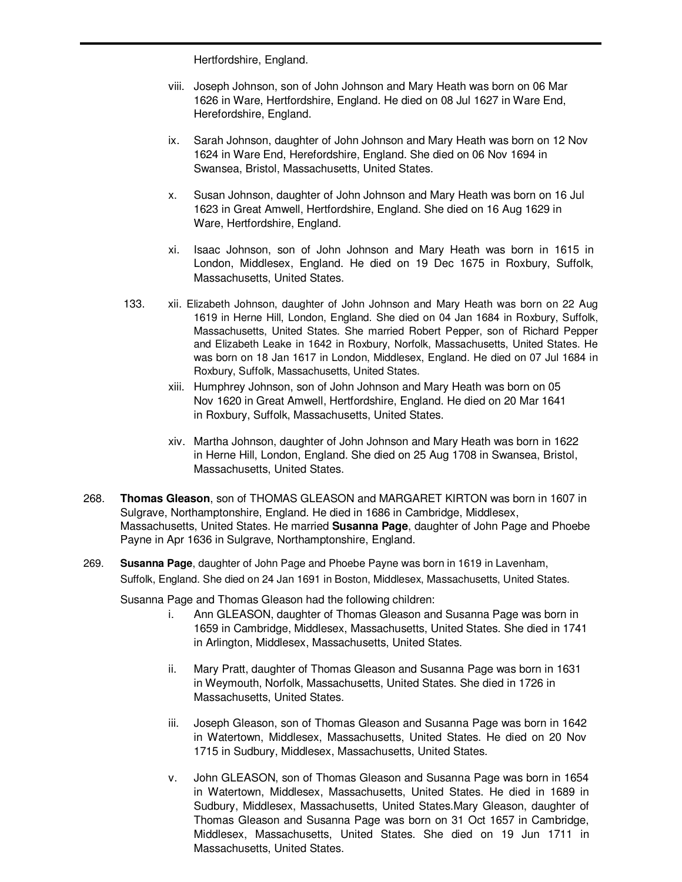Hertfordshire, England.

- viii. Joseph Johnson, son of John Johnson and Mary Heath was born on 06 Mar 1626 in Ware, Hertfordshire, England. He died on 08 Jul 1627 in Ware End, Herefordshire, England.
- ix. Sarah Johnson, daughter of John Johnson and Mary Heath was born on 12 Nov 1624 in Ware End, Herefordshire, England. She died on 06 Nov 1694 in Swansea, Bristol, Massachusetts, United States.
- x. Susan Johnson, daughter of John Johnson and Mary Heath was born on 16 Jul 1623 in Great Amwell, Hertfordshire, England. She died on 16 Aug 1629 in Ware, Hertfordshire, England.
- xi. Isaac Johnson, son of John Johnson and Mary Heath was born in 1615 in London, Middlesex, England. He died on 19 Dec 1675 in Roxbury, Suffolk, Massachusetts, United States.
- 133. xii. Elizabeth Johnson, daughter of John Johnson and Mary Heath was born on 22 Aug 1619 in Herne Hill, London, England. She died on 04 Jan 1684 in Roxbury, Suffolk, Massachusetts, United States. She married Robert Pepper, son of Richard Pepper and Elizabeth Leake in 1642 in Roxbury, Norfolk, Massachusetts, United States. He was born on 18 Jan 1617 in London, Middlesex, England. He died on 07 Jul 1684 in Roxbury, Suffolk, Massachusetts, United States.
	- xiii. Humphrey Johnson, son of John Johnson and Mary Heath was born on 05 Nov 1620 in Great Amwell, Hertfordshire, England. He died on 20 Mar 1641 in Roxbury, Suffolk, Massachusetts, United States.
	- xiv. Martha Johnson, daughter of John Johnson and Mary Heath was born in 1622 in Herne Hill, London, England. She died on 25 Aug 1708 in Swansea, Bristol, Massachusetts, United States.
- 268. **Thomas Gleason**, son of THOMAS GLEASON and MARGARET KIRTON was born in 1607 in Sulgrave, Northamptonshire, England. He died in 1686 in Cambridge, Middlesex, Massachusetts, United States. He married **Susanna Page**, daughter of John Page and Phoebe Payne in Apr 1636 in Sulgrave, Northamptonshire, England.
- 269. **Susanna Page**, daughter of John Page and Phoebe Payne was born in 1619 in Lavenham, Suffolk, England. She died on 24 Jan 1691 in Boston, Middlesex, Massachusetts, United States.

Susanna Page and Thomas Gleason had the following children:

- i. Ann GLEASON, daughter of Thomas Gleason and Susanna Page was born in 1659 in Cambridge, Middlesex, Massachusetts, United States. She died in 1741 in Arlington, Middlesex, Massachusetts, United States.
- ii. Mary Pratt, daughter of Thomas Gleason and Susanna Page was born in 1631 in Weymouth, Norfolk, Massachusetts, United States. She died in 1726 in Massachusetts, United States.
- iii. Joseph Gleason, son of Thomas Gleason and Susanna Page was born in 1642 in Watertown, Middlesex, Massachusetts, United States. He died on 20 Nov 1715 in Sudbury, Middlesex, Massachusetts, United States.
- v. John GLEASON, son of Thomas Gleason and Susanna Page was born in 1654 in Watertown, Middlesex, Massachusetts, United States. He died in 1689 in Sudbury, Middlesex, Massachusetts, United States.Mary Gleason, daughter of Thomas Gleason and Susanna Page was born on 31 Oct 1657 in Cambridge, Middlesex, Massachusetts, United States. She died on 19 Jun 1711 in Massachusetts, United States.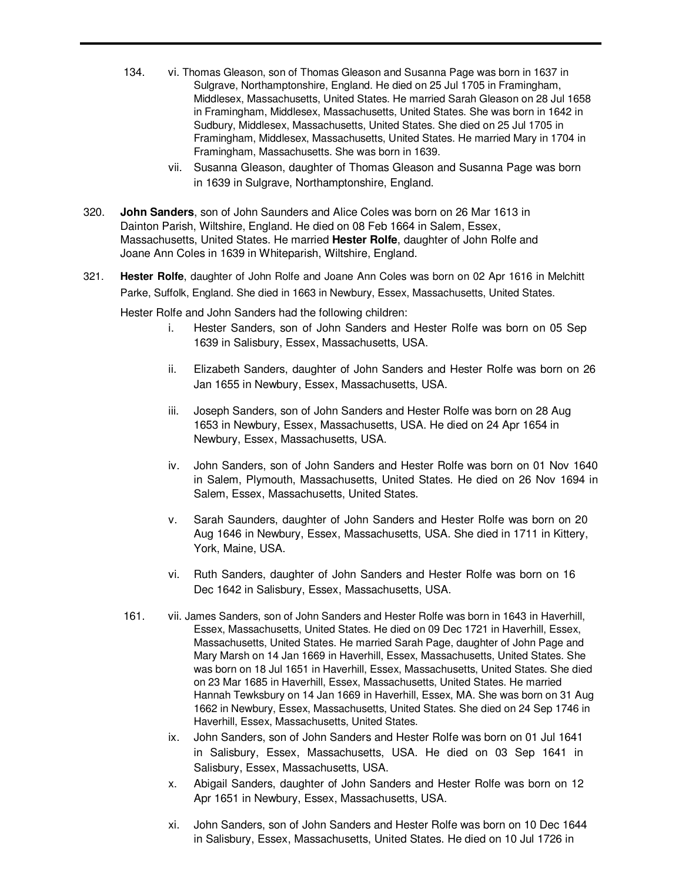- 134. vi. Thomas Gleason, son of Thomas Gleason and Susanna Page was born in 1637 in Sulgrave, Northamptonshire, England. He died on 25 Jul 1705 in Framingham, Middlesex, Massachusetts, United States. He married Sarah Gleason on 28 Jul 1658 in Framingham, Middlesex, Massachusetts, United States. She was born in 1642 in Sudbury, Middlesex, Massachusetts, United States. She died on 25 Jul 1705 in Framingham, Middlesex, Massachusetts, United States. He married Mary in 1704 in Framingham, Massachusetts. She was born in 1639.
	- vii. Susanna Gleason, daughter of Thomas Gleason and Susanna Page was born in 1639 in Sulgrave, Northamptonshire, England.
- 320. **John Sanders**, son of John Saunders and Alice Coles was born on 26 Mar 1613 in Dainton Parish, Wiltshire, England. He died on 08 Feb 1664 in Salem, Essex, Massachusetts, United States. He married **Hester Rolfe**, daughter of John Rolfe and Joane Ann Coles in 1639 in Whiteparish, Wiltshire, England.
- 321. **Hester Rolfe**, daughter of John Rolfe and Joane Ann Coles was born on 02 Apr 1616 in Melchitt Parke, Suffolk, England. She died in 1663 in Newbury, Essex, Massachusetts, United States.

Hester Rolfe and John Sanders had the following children:

- i. Hester Sanders, son of John Sanders and Hester Rolfe was born on 05 Sep 1639 in Salisbury, Essex, Massachusetts, USA.
- ii. Elizabeth Sanders, daughter of John Sanders and Hester Rolfe was born on 26 Jan 1655 in Newbury, Essex, Massachusetts, USA.
- iii. Joseph Sanders, son of John Sanders and Hester Rolfe was born on 28 Aug 1653 in Newbury, Essex, Massachusetts, USA. He died on 24 Apr 1654 in Newbury, Essex, Massachusetts, USA.
- iv. John Sanders, son of John Sanders and Hester Rolfe was born on 01 Nov 1640 in Salem, Plymouth, Massachusetts, United States. He died on 26 Nov 1694 in Salem, Essex, Massachusetts, United States.
- v. Sarah Saunders, daughter of John Sanders and Hester Rolfe was born on 20 Aug 1646 in Newbury, Essex, Massachusetts, USA. She died in 1711 in Kittery, York, Maine, USA.
- vi. Ruth Sanders, daughter of John Sanders and Hester Rolfe was born on 16 Dec 1642 in Salisbury, Essex, Massachusetts, USA.
- 161. vii. James Sanders, son of John Sanders and Hester Rolfe was born in 1643 in Haverhill, Essex, Massachusetts, United States. He died on 09 Dec 1721 in Haverhill, Essex, Massachusetts, United States. He married Sarah Page, daughter of John Page and Mary Marsh on 14 Jan 1669 in Haverhill, Essex, Massachusetts, United States. She was born on 18 Jul 1651 in Haverhill, Essex, Massachusetts, United States. She died on 23 Mar 1685 in Haverhill, Essex, Massachusetts, United States. He married Hannah Tewksbury on 14 Jan 1669 in Haverhill, Essex, MA. She was born on 31 Aug 1662 in Newbury, Essex, Massachusetts, United States. She died on 24 Sep 1746 in Haverhill, Essex, Massachusetts, United States.
	- ix. John Sanders, son of John Sanders and Hester Rolfe was born on 01 Jul 1641 in Salisbury, Essex, Massachusetts, USA. He died on 03 Sep 1641 in Salisbury, Essex, Massachusetts, USA.
	- x. Abigail Sanders, daughter of John Sanders and Hester Rolfe was born on 12 Apr 1651 in Newbury, Essex, Massachusetts, USA.
	- xi. John Sanders, son of John Sanders and Hester Rolfe was born on 10 Dec 1644 in Salisbury, Essex, Massachusetts, United States. He died on 10 Jul 1726 in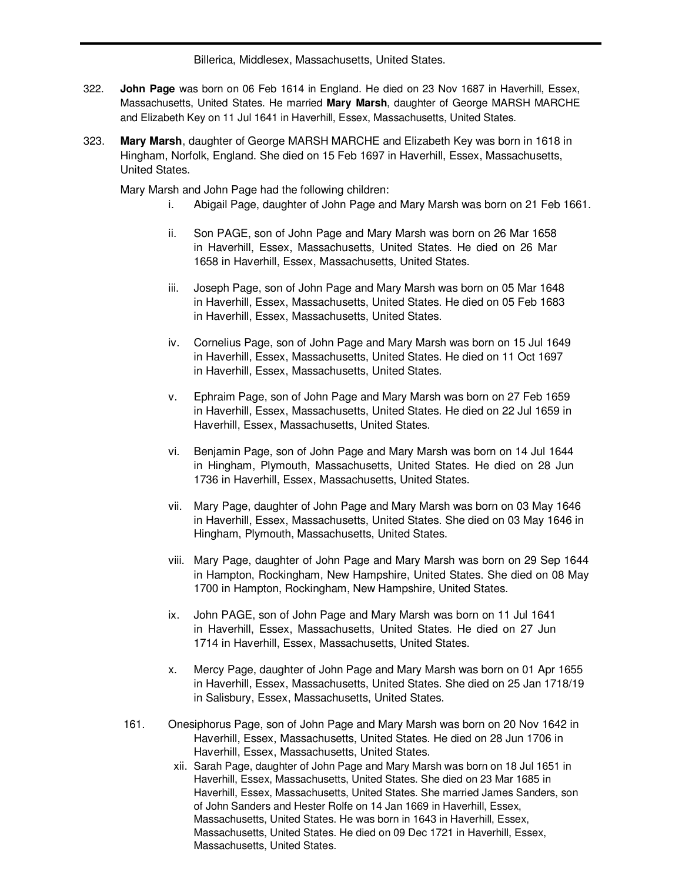Billerica, Middlesex, Massachusetts, United States.

- 322. **John Page** was born on 06 Feb 1614 in England. He died on 23 Nov 1687 in Haverhill, Essex, Massachusetts, United States. He married **Mary Marsh**, daughter of George MARSH MARCHE and Elizabeth Key on 11 Jul 1641 in Haverhill, Essex, Massachusetts, United States.
- 323. **Mary Marsh**, daughter of George MARSH MARCHE and Elizabeth Key was born in 1618 in Hingham, Norfolk, England. She died on 15 Feb 1697 in Haverhill, Essex, Massachusetts, United States.

Mary Marsh and John Page had the following children:

- i. Abigail Page, daughter of John Page and Mary Marsh was born on 21 Feb 1661.
- ii. Son PAGE, son of John Page and Mary Marsh was born on 26 Mar 1658 in Haverhill, Essex, Massachusetts, United States. He died on 26 Mar 1658 in Haverhill, Essex, Massachusetts, United States.
- iii. Joseph Page, son of John Page and Mary Marsh was born on 05 Mar 1648 in Haverhill, Essex, Massachusetts, United States. He died on 05 Feb 1683 in Haverhill, Essex, Massachusetts, United States.
- iv. Cornelius Page, son of John Page and Mary Marsh was born on 15 Jul 1649 in Haverhill, Essex, Massachusetts, United States. He died on 11 Oct 1697 in Haverhill, Essex, Massachusetts, United States.
- v. Ephraim Page, son of John Page and Mary Marsh was born on 27 Feb 1659 in Haverhill, Essex, Massachusetts, United States. He died on 22 Jul 1659 in Haverhill, Essex, Massachusetts, United States.
- vi. Benjamin Page, son of John Page and Mary Marsh was born on 14 Jul 1644 in Hingham, Plymouth, Massachusetts, United States. He died on 28 Jun 1736 in Haverhill, Essex, Massachusetts, United States.
- vii. Mary Page, daughter of John Page and Mary Marsh was born on 03 May 1646 in Haverhill, Essex, Massachusetts, United States. She died on 03 May 1646 in Hingham, Plymouth, Massachusetts, United States.
- viii. Mary Page, daughter of John Page and Mary Marsh was born on 29 Sep 1644 in Hampton, Rockingham, New Hampshire, United States. She died on 08 May 1700 in Hampton, Rockingham, New Hampshire, United States.
- ix. John PAGE, son of John Page and Mary Marsh was born on 11 Jul 1641 in Haverhill, Essex, Massachusetts, United States. He died on 27 Jun 1714 in Haverhill, Essex, Massachusetts, United States.
- x. Mercy Page, daughter of John Page and Mary Marsh was born on 01 Apr 1655 in Haverhill, Essex, Massachusetts, United States. She died on 25 Jan 1718/19 in Salisbury, Essex, Massachusetts, United States.
- 161. Onesiphorus Page, son of John Page and Mary Marsh was born on 20 Nov 1642 in Haverhill, Essex, Massachusetts, United States. He died on 28 Jun 1706 in Haverhill, Essex, Massachusetts, United States.
	- xii. Sarah Page, daughter of John Page and Mary Marsh was born on 18 Jul 1651 in Haverhill, Essex, Massachusetts, United States. She died on 23 Mar 1685 in Haverhill, Essex, Massachusetts, United States. She married James Sanders, son of John Sanders and Hester Rolfe on 14 Jan 1669 in Haverhill, Essex, Massachusetts, United States. He was born in 1643 in Haverhill, Essex, Massachusetts, United States. He died on 09 Dec 1721 in Haverhill, Essex, Massachusetts, United States.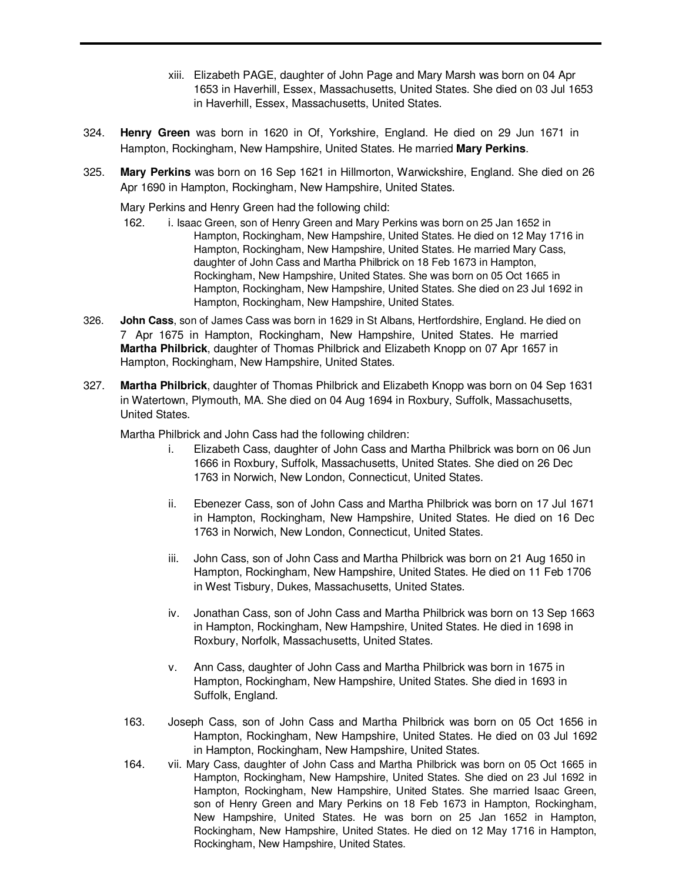- xiii. Elizabeth PAGE, daughter of John Page and Mary Marsh was born on 04 Apr 1653 in Haverhill, Essex, Massachusetts, United States. She died on 03 Jul 1653 in Haverhill, Essex, Massachusetts, United States.
- 324. **Henry Green** was born in 1620 in Of, Yorkshire, England. He died on 29 Jun 1671 in Hampton, Rockingham, New Hampshire, United States. He married **Mary Perkins**.
- 325. **Mary Perkins** was born on 16 Sep 1621 in Hillmorton, Warwickshire, England. She died on 26 Apr 1690 in Hampton, Rockingham, New Hampshire, United States.

Mary Perkins and Henry Green had the following child:

- 162. i. Isaac Green, son of Henry Green and Mary Perkins was born on 25 Jan 1652 in Hampton, Rockingham, New Hampshire, United States. He died on 12 May 1716 in Hampton, Rockingham, New Hampshire, United States. He married Mary Cass, daughter of John Cass and Martha Philbrick on 18 Feb 1673 in Hampton, Rockingham, New Hampshire, United States. She was born on 05 Oct 1665 in Hampton, Rockingham, New Hampshire, United States. She died on 23 Jul 1692 in Hampton, Rockingham, New Hampshire, United States.
- 326. **John Cass**, son of James Cass was born in 1629 in St Albans, Hertfordshire, England. He died on 7 Apr 1675 in Hampton, Rockingham, New Hampshire, United States. He married **Martha Philbrick**, daughter of Thomas Philbrick and Elizabeth Knopp on 07 Apr 1657 in Hampton, Rockingham, New Hampshire, United States.
- 327. **Martha Philbrick**, daughter of Thomas Philbrick and Elizabeth Knopp was born on 04 Sep 1631 in Watertown, Plymouth, MA. She died on 04 Aug 1694 in Roxbury, Suffolk, Massachusetts, United States.

Martha Philbrick and John Cass had the following children:

- i. Elizabeth Cass, daughter of John Cass and Martha Philbrick was born on 06 Jun 1666 in Roxbury, Suffolk, Massachusetts, United States. She died on 26 Dec 1763 in Norwich, New London, Connecticut, United States.
- ii. Ebenezer Cass, son of John Cass and Martha Philbrick was born on 17 Jul 1671 in Hampton, Rockingham, New Hampshire, United States. He died on 16 Dec 1763 in Norwich, New London, Connecticut, United States.
- iii. John Cass, son of John Cass and Martha Philbrick was born on 21 Aug 1650 in Hampton, Rockingham, New Hampshire, United States. He died on 11 Feb 1706 in West Tisbury, Dukes, Massachusetts, United States.
- iv. Jonathan Cass, son of John Cass and Martha Philbrick was born on 13 Sep 1663 in Hampton, Rockingham, New Hampshire, United States. He died in 1698 in Roxbury, Norfolk, Massachusetts, United States.
- v. Ann Cass, daughter of John Cass and Martha Philbrick was born in 1675 in Hampton, Rockingham, New Hampshire, United States. She died in 1693 in Suffolk, England.
- 163. Joseph Cass, son of John Cass and Martha Philbrick was born on 05 Oct 1656 in Hampton, Rockingham, New Hampshire, United States. He died on 03 Jul 1692 in Hampton, Rockingham, New Hampshire, United States.
- 164. vii. Mary Cass, daughter of John Cass and Martha Philbrick was born on 05 Oct 1665 in Hampton, Rockingham, New Hampshire, United States. She died on 23 Jul 1692 in Hampton, Rockingham, New Hampshire, United States. She married Isaac Green, son of Henry Green and Mary Perkins on 18 Feb 1673 in Hampton, Rockingham, New Hampshire, United States. He was born on 25 Jan 1652 in Hampton, Rockingham, New Hampshire, United States. He died on 12 May 1716 in Hampton, Rockingham, New Hampshire, United States.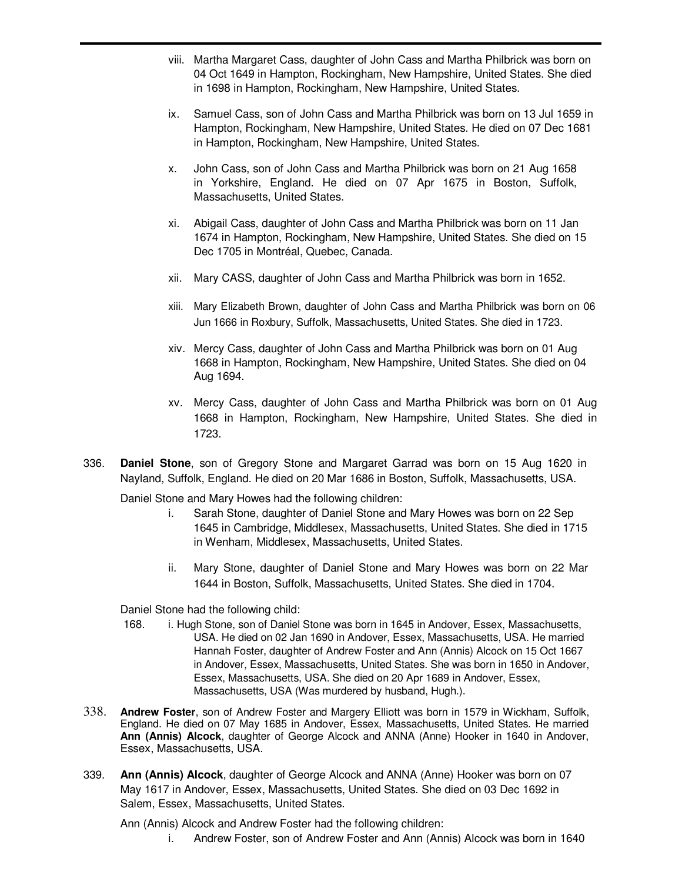- viii. Martha Margaret Cass, daughter of John Cass and Martha Philbrick was born on 04 Oct 1649 in Hampton, Rockingham, New Hampshire, United States. She died in 1698 in Hampton, Rockingham, New Hampshire, United States.
- ix. Samuel Cass, son of John Cass and Martha Philbrick was born on 13 Jul 1659 in Hampton, Rockingham, New Hampshire, United States. He died on 07 Dec 1681 in Hampton, Rockingham, New Hampshire, United States.
- x. John Cass, son of John Cass and Martha Philbrick was born on 21 Aug 1658 in Yorkshire, England. He died on 07 Apr 1675 in Boston, Suffolk, Massachusetts, United States.
- xi. Abigail Cass, daughter of John Cass and Martha Philbrick was born on 11 Jan 1674 in Hampton, Rockingham, New Hampshire, United States. She died on 15 Dec 1705 in Montréal, Quebec, Canada.
- xii. Mary CASS, daughter of John Cass and Martha Philbrick was born in 1652.
- xiii. Mary Elizabeth Brown, daughter of John Cass and Martha Philbrick was born on 06 Jun 1666 in Roxbury, Suffolk, Massachusetts, United States. She died in 1723.
- xiv. Mercy Cass, daughter of John Cass and Martha Philbrick was born on 01 Aug 1668 in Hampton, Rockingham, New Hampshire, United States. She died on 04 Aug 1694.
- xv. Mercy Cass, daughter of John Cass and Martha Philbrick was born on 01 Aug 1668 in Hampton, Rockingham, New Hampshire, United States. She died in 1723.
- 336. **Daniel Stone**, son of Gregory Stone and Margaret Garrad was born on 15 Aug 1620 in Nayland, Suffolk, England. He died on 20 Mar 1686 in Boston, Suffolk, Massachusetts, USA.

Daniel Stone and Mary Howes had the following children:

- i. Sarah Stone, daughter of Daniel Stone and Mary Howes was born on 22 Sep 1645 in Cambridge, Middlesex, Massachusetts, United States. She died in 1715 in Wenham, Middlesex, Massachusetts, United States.
- ii. Mary Stone, daughter of Daniel Stone and Mary Howes was born on 22 Mar 1644 in Boston, Suffolk, Massachusetts, United States. She died in 1704.

Daniel Stone had the following child:

- 168. i. Hugh Stone, son of Daniel Stone was born in 1645 in Andover, Essex, Massachusetts, USA. He died on 02 Jan 1690 in Andover, Essex, Massachusetts, USA. He married Hannah Foster, daughter of Andrew Foster and Ann (Annis) Alcock on 15 Oct 1667 in Andover, Essex, Massachusetts, United States. She was born in 1650 in Andover, Essex, Massachusetts, USA. She died on 20 Apr 1689 in Andover, Essex, Massachusetts, USA (Was murdered by husband, Hugh.).
- 338. **Andrew Foster**, son of Andrew Foster and Margery Elliott was born in 1579 in Wickham, Suffolk, England. He died on 07 May 1685 in Andover, Essex, Massachusetts, United States. He married **Ann (Annis) Alcock**, daughter of George Alcock and ANNA (Anne) Hooker in 1640 in Andover, Essex, Massachusetts, USA.
- 339. **Ann (Annis) Alcock**, daughter of George Alcock and ANNA (Anne) Hooker was born on 07 May 1617 in Andover, Essex, Massachusetts, United States. She died on 03 Dec 1692 in Salem, Essex, Massachusetts, United States.

Ann (Annis) Alcock and Andrew Foster had the following children:

i. Andrew Foster, son of Andrew Foster and Ann (Annis) Alcock was born in 1640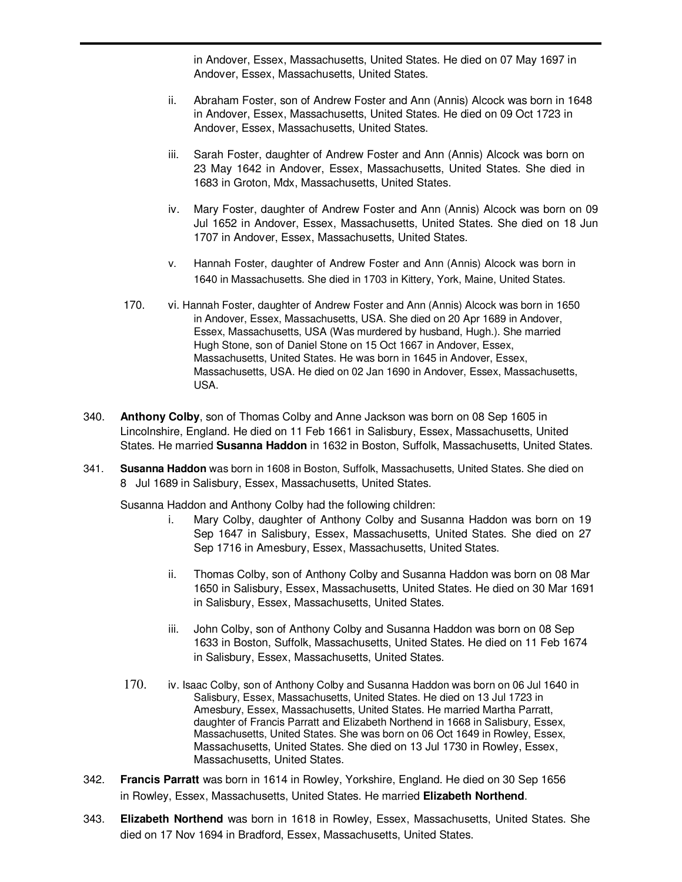in Andover, Essex, Massachusetts, United States. He died on 07 May 1697 in Andover, Essex, Massachusetts, United States.

- ii. Abraham Foster, son of Andrew Foster and Ann (Annis) Alcock was born in 1648 in Andover, Essex, Massachusetts, United States. He died on 09 Oct 1723 in Andover, Essex, Massachusetts, United States.
- iii. Sarah Foster, daughter of Andrew Foster and Ann (Annis) Alcock was born on 23 May 1642 in Andover, Essex, Massachusetts, United States. She died in 1683 in Groton, Mdx, Massachusetts, United States.
- iv. Mary Foster, daughter of Andrew Foster and Ann (Annis) Alcock was born on 09 Jul 1652 in Andover, Essex, Massachusetts, United States. She died on 18 Jun 1707 in Andover, Essex, Massachusetts, United States.
- v. Hannah Foster, daughter of Andrew Foster and Ann (Annis) Alcock was born in 1640 in Massachusetts. She died in 1703 in Kittery, York, Maine, United States.
- 170. vi. Hannah Foster, daughter of Andrew Foster and Ann (Annis) Alcock was born in 1650 in Andover, Essex, Massachusetts, USA. She died on 20 Apr 1689 in Andover, Essex, Massachusetts, USA (Was murdered by husband, Hugh.). She married Hugh Stone, son of Daniel Stone on 15 Oct 1667 in Andover, Essex, Massachusetts, United States. He was born in 1645 in Andover, Essex, Massachusetts, USA. He died on 02 Jan 1690 in Andover, Essex, Massachusetts, USA.
- 340. **Anthony Colby**, son of Thomas Colby and Anne Jackson was born on 08 Sep 1605 in Lincolnshire, England. He died on 11 Feb 1661 in Salisbury, Essex, Massachusetts, United States. He married **Susanna Haddon** in 1632 in Boston, Suffolk, Massachusetts, United States.
- 341. **Susanna Haddon** was born in 1608 in Boston, Suffolk, Massachusetts, United States. She died on 8 Jul 1689 in Salisbury, Essex, Massachusetts, United States.

Susanna Haddon and Anthony Colby had the following children:

- i. Mary Colby, daughter of Anthony Colby and Susanna Haddon was born on 19 Sep 1647 in Salisbury, Essex, Massachusetts, United States. She died on 27 Sep 1716 in Amesbury, Essex, Massachusetts, United States.
- ii. Thomas Colby, son of Anthony Colby and Susanna Haddon was born on 08 Mar 1650 in Salisbury, Essex, Massachusetts, United States. He died on 30 Mar 1691 in Salisbury, Essex, Massachusetts, United States.
- iii. John Colby, son of Anthony Colby and Susanna Haddon was born on 08 Sep 1633 in Boston, Suffolk, Massachusetts, United States. He died on 11 Feb 1674 in Salisbury, Essex, Massachusetts, United States.
- 170. iv. Isaac Colby, son of Anthony Colby and Susanna Haddon was born on 06 Jul 1640 in Salisbury, Essex, Massachusetts, United States. He died on 13 Jul 1723 in Amesbury, Essex, Massachusetts, United States. He married Martha Parratt, daughter of Francis Parratt and Elizabeth Northend in 1668 in Salisbury, Essex, Massachusetts, United States. She was born on 06 Oct 1649 in Rowley, Essex, Massachusetts, United States. She died on 13 Jul 1730 in Rowley, Essex, Massachusetts, United States.
- 342. **Francis Parratt** was born in 1614 in Rowley, Yorkshire, England. He died on 30 Sep 1656 in Rowley, Essex, Massachusetts, United States. He married **Elizabeth Northend**.
- 343. **Elizabeth Northend** was born in 1618 in Rowley, Essex, Massachusetts, United States. She died on 17 Nov 1694 in Bradford, Essex, Massachusetts, United States.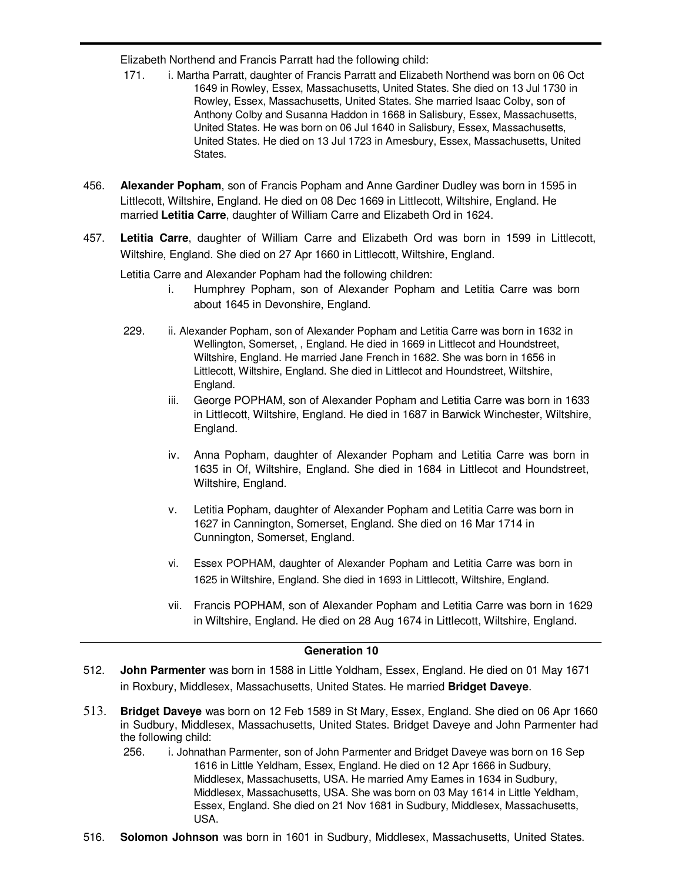Elizabeth Northend and Francis Parratt had the following child:

- 171. i. Martha Parratt, daughter of Francis Parratt and Elizabeth Northend was born on 06 Oct 1649 in Rowley, Essex, Massachusetts, United States. She died on 13 Jul 1730 in Rowley, Essex, Massachusetts, United States. She married Isaac Colby, son of Anthony Colby and Susanna Haddon in 1668 in Salisbury, Essex, Massachusetts, United States. He was born on 06 Jul 1640 in Salisbury, Essex, Massachusetts, United States. He died on 13 Jul 1723 in Amesbury, Essex, Massachusetts, United States.
- 456. **Alexander Popham**, son of Francis Popham and Anne Gardiner Dudley was born in 1595 in Littlecott, Wiltshire, England. He died on 08 Dec 1669 in Littlecott, Wiltshire, England. He married **Letitia Carre**, daughter of William Carre and Elizabeth Ord in 1624.
- 457. **Letitia Carre**, daughter of William Carre and Elizabeth Ord was born in 1599 in Littlecott, Wiltshire, England. She died on 27 Apr 1660 in Littlecott, Wiltshire, England.

Letitia Carre and Alexander Popham had the following children:

- i. Humphrey Popham, son of Alexander Popham and Letitia Carre was born about 1645 in Devonshire, England.
- 229. ii. Alexander Popham, son of Alexander Popham and Letitia Carre was born in 1632 in Wellington, Somerset, , England. He died in 1669 in Littlecot and Houndstreet, Wiltshire, England. He married Jane French in 1682. She was born in 1656 in Littlecott, Wiltshire, England. She died in Littlecot and Houndstreet, Wiltshire, England.
	- iii. George POPHAM, son of Alexander Popham and Letitia Carre was born in 1633 in Littlecott, Wiltshire, England. He died in 1687 in Barwick Winchester, Wiltshire, England.
	- iv. Anna Popham, daughter of Alexander Popham and Letitia Carre was born in 1635 in Of, Wiltshire, England. She died in 1684 in Littlecot and Houndstreet, Wiltshire, England.
	- v. Letitia Popham, daughter of Alexander Popham and Letitia Carre was born in 1627 in Cannington, Somerset, England. She died on 16 Mar 1714 in Cunnington, Somerset, England.
	- vi. Essex POPHAM, daughter of Alexander Popham and Letitia Carre was born in 1625 in Wiltshire, England. She died in 1693 in Littlecott, Wiltshire, England.
	- vii. Francis POPHAM, son of Alexander Popham and Letitia Carre was born in 1629 in Wiltshire, England. He died on 28 Aug 1674 in Littlecott, Wiltshire, England.

# **Generation 10**

- 512. **John Parmenter** was born in 1588 in Little Yoldham, Essex, England. He died on 01 May 1671 in Roxbury, Middlesex, Massachusetts, United States. He married **Bridget Daveye**.
- 513. **Bridget Daveye** was born on 12 Feb 1589 in St Mary, Essex, England. She died on 06 Apr 1660 in Sudbury, Middlesex, Massachusetts, United States. Bridget Daveye and John Parmenter had the following child:
	- 256. i. Johnathan Parmenter, son of John Parmenter and Bridget Daveye was born on 16 Sep 1616 in Little Yeldham, Essex, England. He died on 12 Apr 1666 in Sudbury, Middlesex, Massachusetts, USA. He married Amy Eames in 1634 in Sudbury, Middlesex, Massachusetts, USA. She was born on 03 May 1614 in Little Yeldham, Essex, England. She died on 21 Nov 1681 in Sudbury, Middlesex, Massachusetts, USA.
- 516. **Solomon Johnson** was born in 1601 in Sudbury, Middlesex, Massachusetts, United States.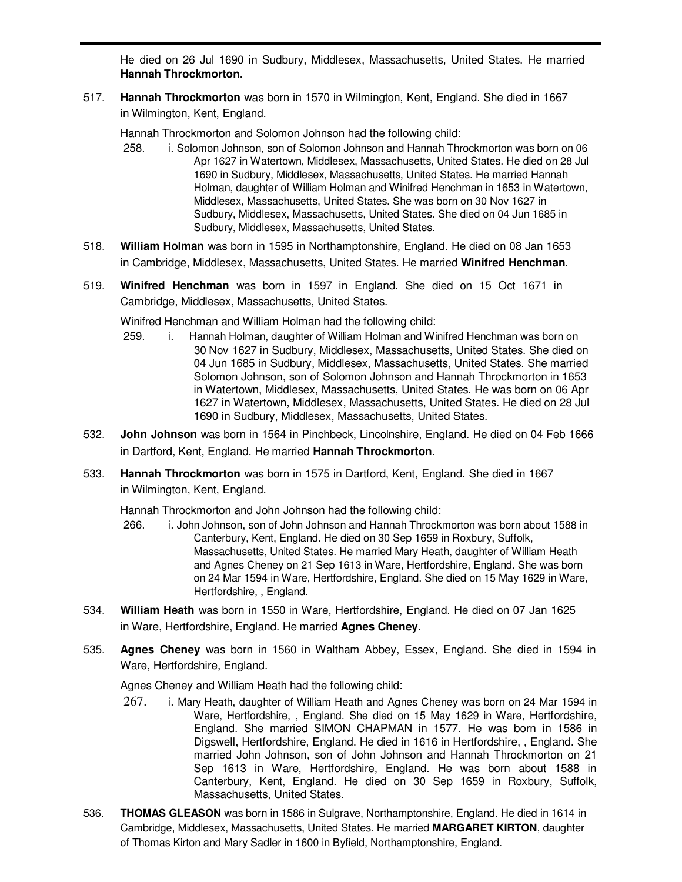He died on 26 Jul 1690 in Sudbury, Middlesex, Massachusetts, United States. He married **Hannah Throckmorton**.

517. **Hannah Throckmorton** was born in 1570 in Wilmington, Kent, England. She died in 1667 in Wilmington, Kent, England.

Hannah Throckmorton and Solomon Johnson had the following child:

- 258. i. Solomon Johnson, son of Solomon Johnson and Hannah Throckmorton was born on 06 Apr 1627 in Watertown, Middlesex, Massachusetts, United States. He died on 28 Jul 1690 in Sudbury, Middlesex, Massachusetts, United States. He married Hannah Holman, daughter of William Holman and Winifred Henchman in 1653 in Watertown, Middlesex, Massachusetts, United States. She was born on 30 Nov 1627 in Sudbury, Middlesex, Massachusetts, United States. She died on 04 Jun 1685 in Sudbury, Middlesex, Massachusetts, United States.
- 518. **William Holman** was born in 1595 in Northamptonshire, England. He died on 08 Jan 1653 in Cambridge, Middlesex, Massachusetts, United States. He married **Winifred Henchman**.
- 519. **Winifred Henchman** was born in 1597 in England. She died on 15 Oct 1671 in Cambridge, Middlesex, Massachusetts, United States.

Winifred Henchman and William Holman had the following child:

- 259. i. Hannah Holman, daughter of William Holman and Winifred Henchman was born on 30 Nov 1627 in Sudbury, Middlesex, Massachusetts, United States. She died on 04 Jun 1685 in Sudbury, Middlesex, Massachusetts, United States. She married Solomon Johnson, son of Solomon Johnson and Hannah Throckmorton in 1653 in Watertown, Middlesex, Massachusetts, United States. He was born on 06 Apr 1627 in Watertown, Middlesex, Massachusetts, United States. He died on 28 Jul 1690 in Sudbury, Middlesex, Massachusetts, United States.
- 532. **John Johnson** was born in 1564 in Pinchbeck, Lincolnshire, England. He died on 04 Feb 1666 in Dartford, Kent, England. He married **Hannah Throckmorton**.
- 533. **Hannah Throckmorton** was born in 1575 in Dartford, Kent, England. She died in 1667 in Wilmington, Kent, England.

Hannah Throckmorton and John Johnson had the following child:

- 266. i. John Johnson, son of John Johnson and Hannah Throckmorton was born about 1588 in Canterbury, Kent, England. He died on 30 Sep 1659 in Roxbury, Suffolk, Massachusetts, United States. He married Mary Heath, daughter of William Heath and Agnes Cheney on 21 Sep 1613 in Ware, Hertfordshire, England. She was born on 24 Mar 1594 in Ware, Hertfordshire, England. She died on 15 May 1629 in Ware, Hertfordshire, , England.
- 534. **William Heath** was born in 1550 in Ware, Hertfordshire, England. He died on 07 Jan 1625 in Ware, Hertfordshire, England. He married **Agnes Cheney**.
- 535. **Agnes Cheney** was born in 1560 in Waltham Abbey, Essex, England. She died in 1594 in Ware, Hertfordshire, England.

Agnes Cheney and William Heath had the following child:

- 267. i. Mary Heath, daughter of William Heath and Agnes Cheney was born on 24 Mar 1594 in Ware, Hertfordshire, , England. She died on 15 May 1629 in Ware, Hertfordshire, England. She married SIMON CHAPMAN in 1577. He was born in 1586 in Digswell, Hertfordshire, England. He died in 1616 in Hertfordshire, , England. She married John Johnson, son of John Johnson and Hannah Throckmorton on 21 Sep 1613 in Ware, Hertfordshire, England. He was born about 1588 in Canterbury, Kent, England. He died on 30 Sep 1659 in Roxbury, Suffolk, Massachusetts, United States.
- 536. **THOMAS GLEASON** was born in 1586 in Sulgrave, Northamptonshire, England. He died in 1614 in Cambridge, Middlesex, Massachusetts, United States. He married **MARGARET KIRTON**, daughter of Thomas Kirton and Mary Sadler in 1600 in Byfield, Northamptonshire, England.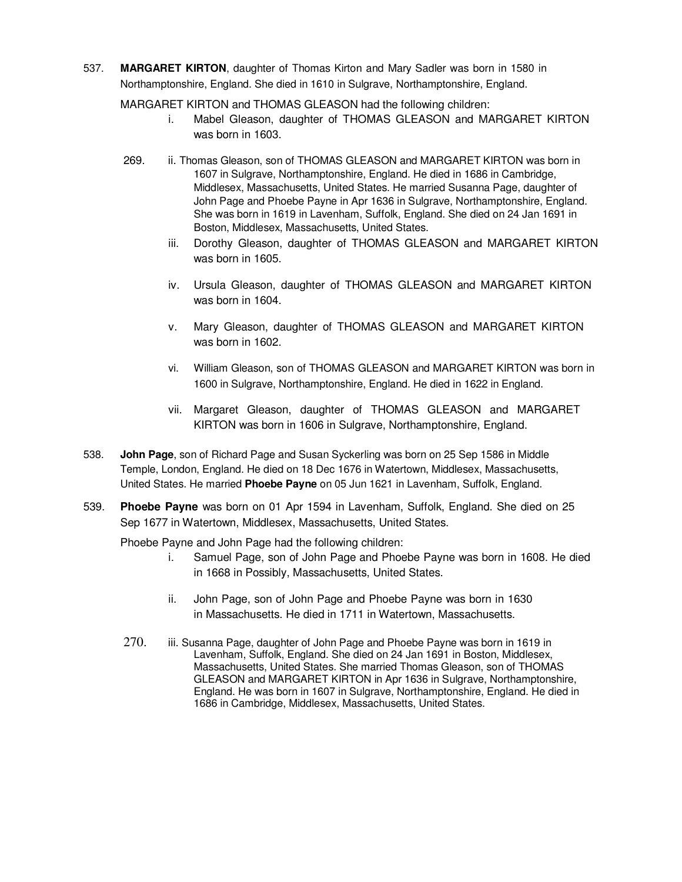537. **MARGARET KIRTON**, daughter of Thomas Kirton and Mary Sadler was born in 1580 in Northamptonshire, England. She died in 1610 in Sulgrave, Northamptonshire, England.

MARGARET KIRTON and THOMAS GLEASON had the following children:

- i. Mabel Gleason, daughter of THOMAS GLEASON and MARGARET KIRTON was born in 1603.
- 269. ii. Thomas Gleason, son of THOMAS GLEASON and MARGARET KIRTON was born in 1607 in Sulgrave, Northamptonshire, England. He died in 1686 in Cambridge, Middlesex, Massachusetts, United States. He married Susanna Page, daughter of John Page and Phoebe Payne in Apr 1636 in Sulgrave, Northamptonshire, England. She was born in 1619 in Lavenham, Suffolk, England. She died on 24 Jan 1691 in Boston, Middlesex, Massachusetts, United States.
	- iii. Dorothy Gleason, daughter of THOMAS GLEASON and MARGARET KIRTON was born in 1605.
	- iv. Ursula Gleason, daughter of THOMAS GLEASON and MARGARET KIRTON was born in 1604.
	- v. Mary Gleason, daughter of THOMAS GLEASON and MARGARET KIRTON was born in 1602.
	- vi. William Gleason, son of THOMAS GLEASON and MARGARET KIRTON was born in 1600 in Sulgrave, Northamptonshire, England. He died in 1622 in England.
	- vii. Margaret Gleason, daughter of THOMAS GLEASON and MARGARET KIRTON was born in 1606 in Sulgrave, Northamptonshire, England.
- 538. **John Page**, son of Richard Page and Susan Syckerling was born on 25 Sep 1586 in Middle Temple, London, England. He died on 18 Dec 1676 in Watertown, Middlesex, Massachusetts, United States. He married **Phoebe Payne** on 05 Jun 1621 in Lavenham, Suffolk, England.
- 539. **Phoebe Payne** was born on 01 Apr 1594 in Lavenham, Suffolk, England. She died on 25 Sep 1677 in Watertown, Middlesex, Massachusetts, United States.

Phoebe Payne and John Page had the following children:

- i. Samuel Page, son of John Page and Phoebe Payne was born in 1608. He died in 1668 in Possibly, Massachusetts, United States.
- ii. John Page, son of John Page and Phoebe Payne was born in 1630 in Massachusetts. He died in 1711 in Watertown, Massachusetts.
- 270. iii. Susanna Page, daughter of John Page and Phoebe Payne was born in 1619 in Lavenham, Suffolk, England. She died on 24 Jan 1691 in Boston, Middlesex, Massachusetts, United States. She married Thomas Gleason, son of THOMAS GLEASON and MARGARET KIRTON in Apr 1636 in Sulgrave, Northamptonshire, England. He was born in 1607 in Sulgrave, Northamptonshire, England. He died in 1686 in Cambridge, Middlesex, Massachusetts, United States.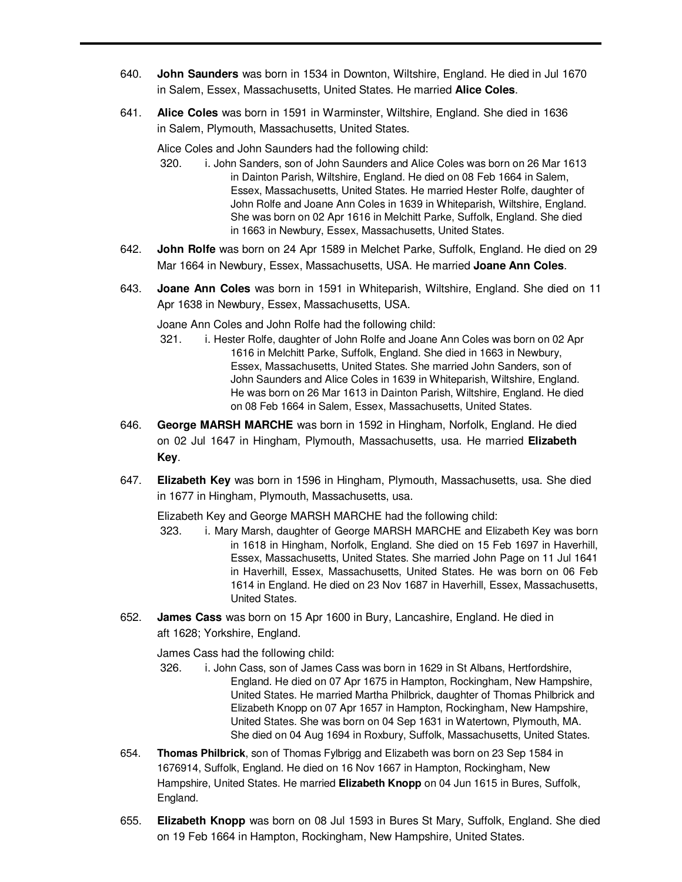- 640. **John Saunders** was born in 1534 in Downton, Wiltshire, England. He died in Jul 1670 in Salem, Essex, Massachusetts, United States. He married **Alice Coles**.
- 641. **Alice Coles** was born in 1591 in Warminster, Wiltshire, England. She died in 1636 in Salem, Plymouth, Massachusetts, United States.

Alice Coles and John Saunders had the following child:

- 320. i. John Sanders, son of John Saunders and Alice Coles was born on 26 Mar 1613 in Dainton Parish, Wiltshire, England. He died on 08 Feb 1664 in Salem, Essex, Massachusetts, United States. He married Hester Rolfe, daughter of John Rolfe and Joane Ann Coles in 1639 in Whiteparish, Wiltshire, England. She was born on 02 Apr 1616 in Melchitt Parke, Suffolk, England. She died in 1663 in Newbury, Essex, Massachusetts, United States.
- 642. **John Rolfe** was born on 24 Apr 1589 in Melchet Parke, Suffolk, England. He died on 29 Mar 1664 in Newbury, Essex, Massachusetts, USA. He married **Joane Ann Coles**.
- 643. **Joane Ann Coles** was born in 1591 in Whiteparish, Wiltshire, England. She died on 11 Apr 1638 in Newbury, Essex, Massachusetts, USA.

Joane Ann Coles and John Rolfe had the following child:

- 321. i. Hester Rolfe, daughter of John Rolfe and Joane Ann Coles was born on 02 Apr 1616 in Melchitt Parke, Suffolk, England. She died in 1663 in Newbury, Essex, Massachusetts, United States. She married John Sanders, son of John Saunders and Alice Coles in 1639 in Whiteparish, Wiltshire, England. He was born on 26 Mar 1613 in Dainton Parish, Wiltshire, England. He died on 08 Feb 1664 in Salem, Essex, Massachusetts, United States.
- 646. **George MARSH MARCHE** was born in 1592 in Hingham, Norfolk, England. He died on 02 Jul 1647 in Hingham, Plymouth, Massachusetts, usa. He married **Elizabeth Key**.
- 647. **Elizabeth Key** was born in 1596 in Hingham, Plymouth, Massachusetts, usa. She died in 1677 in Hingham, Plymouth, Massachusetts, usa.

Elizabeth Key and George MARSH MARCHE had the following child:

- 323. i. Mary Marsh, daughter of George MARSH MARCHE and Elizabeth Key was born in 1618 in Hingham, Norfolk, England. She died on 15 Feb 1697 in Haverhill, Essex, Massachusetts, United States. She married John Page on 11 Jul 1641 in Haverhill, Essex, Massachusetts, United States. He was born on 06 Feb 1614 in England. He died on 23 Nov 1687 in Haverhill, Essex, Massachusetts, United States.
- 652. **James Cass** was born on 15 Apr 1600 in Bury, Lancashire, England. He died in aft 1628; Yorkshire, England.

James Cass had the following child:

- 326. i. John Cass, son of James Cass was born in 1629 in St Albans, Hertfordshire, England. He died on 07 Apr 1675 in Hampton, Rockingham, New Hampshire, United States. He married Martha Philbrick, daughter of Thomas Philbrick and Elizabeth Knopp on 07 Apr 1657 in Hampton, Rockingham, New Hampshire, United States. She was born on 04 Sep 1631 in Watertown, Plymouth, MA. She died on 04 Aug 1694 in Roxbury, Suffolk, Massachusetts, United States.
- 654. **Thomas Philbrick**, son of Thomas Fylbrigg and Elizabeth was born on 23 Sep 1584 in 1676914, Suffolk, England. He died on 16 Nov 1667 in Hampton, Rockingham, New Hampshire, United States. He married **Elizabeth Knopp** on 04 Jun 1615 in Bures, Suffolk, England.
- 655. **Elizabeth Knopp** was born on 08 Jul 1593 in Bures St Mary, Suffolk, England. She died on 19 Feb 1664 in Hampton, Rockingham, New Hampshire, United States.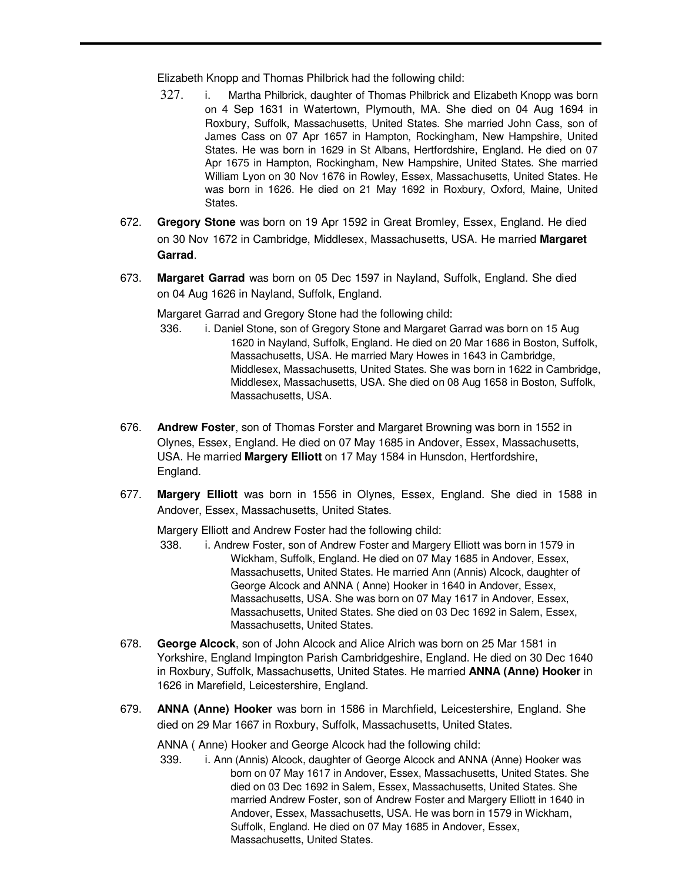Elizabeth Knopp and Thomas Philbrick had the following child:

- 327. i. Martha Philbrick, daughter of Thomas Philbrick and Elizabeth Knopp was born on 4 Sep 1631 in Watertown, Plymouth, MA. She died on 04 Aug 1694 in Roxbury, Suffolk, Massachusetts, United States. She married John Cass, son of James Cass on 07 Apr 1657 in Hampton, Rockingham, New Hampshire, United States. He was born in 1629 in St Albans, Hertfordshire, England. He died on 07 Apr 1675 in Hampton, Rockingham, New Hampshire, United States. She married William Lyon on 30 Nov 1676 in Rowley, Essex, Massachusetts, United States. He was born in 1626. He died on 21 May 1692 in Roxbury, Oxford, Maine, United States.
- 672. **Gregory Stone** was born on 19 Apr 1592 in Great Bromley, Essex, England. He died on 30 Nov 1672 in Cambridge, Middlesex, Massachusetts, USA. He married **Margaret Garrad**.
- 673. **Margaret Garrad** was born on 05 Dec 1597 in Nayland, Suffolk, England. She died on 04 Aug 1626 in Nayland, Suffolk, England.

Margaret Garrad and Gregory Stone had the following child:

- 336. i. Daniel Stone, son of Gregory Stone and Margaret Garrad was born on 15 Aug 1620 in Nayland, Suffolk, England. He died on 20 Mar 1686 in Boston, Suffolk, Massachusetts, USA. He married Mary Howes in 1643 in Cambridge, Middlesex, Massachusetts, United States. She was born in 1622 in Cambridge, Middlesex, Massachusetts, USA. She died on 08 Aug 1658 in Boston, Suffolk, Massachusetts, USA.
- 676. **Andrew Foster**, son of Thomas Forster and Margaret Browning was born in 1552 in Olynes, Essex, England. He died on 07 May 1685 in Andover, Essex, Massachusetts, USA. He married **Margery Elliott** on 17 May 1584 in Hunsdon, Hertfordshire, England.
- 677. **Margery Elliott** was born in 1556 in Olynes, Essex, England. She died in 1588 in Andover, Essex, Massachusetts, United States.

Margery Elliott and Andrew Foster had the following child:

- 338. i. Andrew Foster, son of Andrew Foster and Margery Elliott was born in 1579 in Wickham, Suffolk, England. He died on 07 May 1685 in Andover, Essex, Massachusetts, United States. He married Ann (Annis) Alcock, daughter of George Alcock and ANNA ( Anne) Hooker in 1640 in Andover, Essex, Massachusetts, USA. She was born on 07 May 1617 in Andover, Essex, Massachusetts, United States. She died on 03 Dec 1692 in Salem, Essex, Massachusetts, United States.
- 678. **George Alcock**, son of John Alcock and Alice Alrich was born on 25 Mar 1581 in Yorkshire, England Impington Parish Cambridgeshire, England. He died on 30 Dec 1640 in Roxbury, Suffolk, Massachusetts, United States. He married **ANNA (Anne) Hooker** in 1626 in Marefield, Leicestershire, England.
- 679. **ANNA (Anne) Hooker** was born in 1586 in Marchfield, Leicestershire, England. She died on 29 Mar 1667 in Roxbury, Suffolk, Massachusetts, United States.

ANNA ( Anne) Hooker and George Alcock had the following child:

339. i. Ann (Annis) Alcock, daughter of George Alcock and ANNA (Anne) Hooker was born on 07 May 1617 in Andover, Essex, Massachusetts, United States. She died on 03 Dec 1692 in Salem, Essex, Massachusetts, United States. She married Andrew Foster, son of Andrew Foster and Margery Elliott in 1640 in Andover, Essex, Massachusetts, USA. He was born in 1579 in Wickham, Suffolk, England. He died on 07 May 1685 in Andover, Essex, Massachusetts, United States.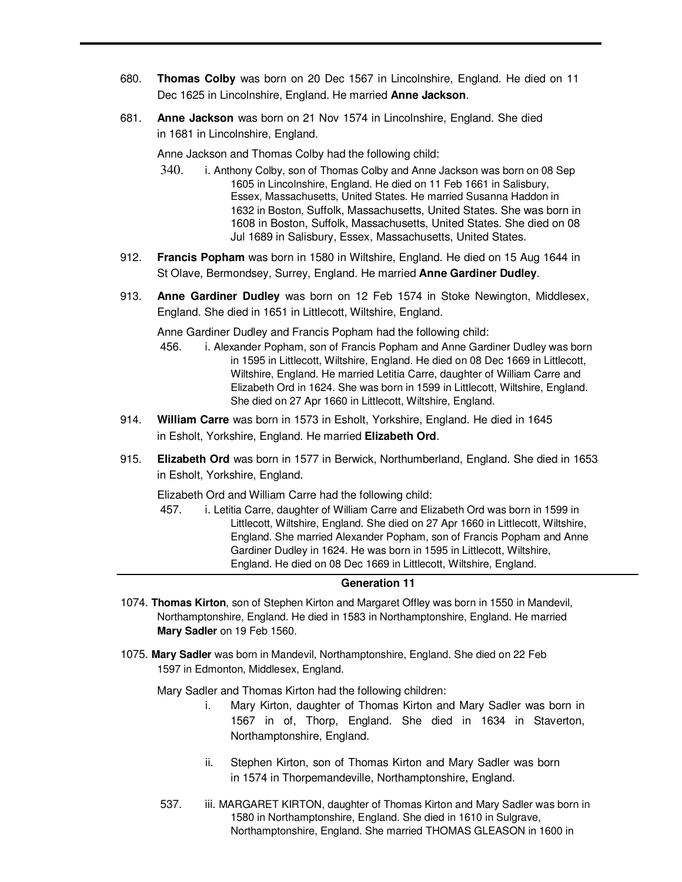- 680. **Thomas Colby** was born on 20 Dec 1567 in Lincolnshire, England. He died on 11 Dec 1625 in Lincolnshire, England. He married **Anne Jackson**.
- 681. **Anne Jackson** was born on 21 Nov 1574 in Lincolnshire, England. She died in 1681 in Lincolnshire, England.

Anne Jackson and Thomas Colby had the following child:

- 340. i. Anthony Colby, son of Thomas Colby and Anne Jackson was born on 08 Sep 1605 in Lincolnshire, England. He died on 11 Feb 1661 in Salisbury, Essex, Massachusetts, United States. He married Susanna Haddon in 1632 in Boston, Suffolk, Massachusetts, United States. She was born in 1608 in Boston, Suffolk, Massachusetts, United States. She died on 08 Jul 1689 in Salisbury, Essex, Massachusetts, United States.
- 912. **Francis Popham** was born in 1580 in Wiltshire, England. He died on 15 Aug 1644 in St Olave, Bermondsey, Surrey, England. He married **Anne Gardiner Dudley**.
- 913. **Anne Gardiner Dudley** was born on 12 Feb 1574 in Stoke Newington, Middlesex, England. She died in 1651 in Littlecott, Wiltshire, England.

Anne Gardiner Dudley and Francis Popham had the following child:

- 456. i. Alexander Popham, son of Francis Popham and Anne Gardiner Dudley was born in 1595 in Littlecott, Wiltshire, England. He died on 08 Dec 1669 in Littlecott, Wiltshire, England. He married Letitia Carre, daughter of William Carre and Elizabeth Ord in 1624. She was born in 1599 in Littlecott, Wiltshire, England. She died on 27 Apr 1660 in Littlecott, Wiltshire, England.
- 914. **William Carre** was born in 1573 in Esholt, Yorkshire, England. He died in 1645 in Esholt, Yorkshire, England. He married **Elizabeth Ord**.
- 915. **Elizabeth Ord** was born in 1577 in Berwick, Northumberland, England. She died in 1653 in Esholt, Yorkshire, England.

Elizabeth Ord and William Carre had the following child:

457. i. Letitia Carre, daughter of William Carre and Elizabeth Ord was born in 1599 in Littlecott, Wiltshire, England. She died on 27 Apr 1660 in Littlecott, Wiltshire, England. She married Alexander Popham, son of Francis Popham and Anne Gardiner Dudley in 1624. He was born in 1595 in Littlecott, Wiltshire, England. He died on 08 Dec 1669 in Littlecott, Wiltshire, England.

### **Generation 11**

- 1074. **Thomas Kirton**, son of Stephen Kirton and Margaret Offley was born in 1550 in Mandevil, Northamptonshire, England. He died in 1583 in Northamptonshire, England. He married **Mary Sadler** on 19 Feb 1560.
- 1075. **Mary Sadler** was born in Mandevil, Northamptonshire, England. She died on 22 Feb 1597 in Edmonton, Middlesex, England.

Mary Sadler and Thomas Kirton had the following children:

- i. Mary Kirton, daughter of Thomas Kirton and Mary Sadler was born in 1567 in of, Thorp, England. She died in 1634 in Staverton, Northamptonshire, England.
- ii. Stephen Kirton, son of Thomas Kirton and Mary Sadler was born in 1574 in Thorpemandeville, Northamptonshire, England.
- 537. iii. MARGARET KIRTON, daughter of Thomas Kirton and Mary Sadler was born in 1580 in Northamptonshire, England. She died in 1610 in Sulgrave, Northamptonshire, England. She married THOMAS GLEASON in 1600 in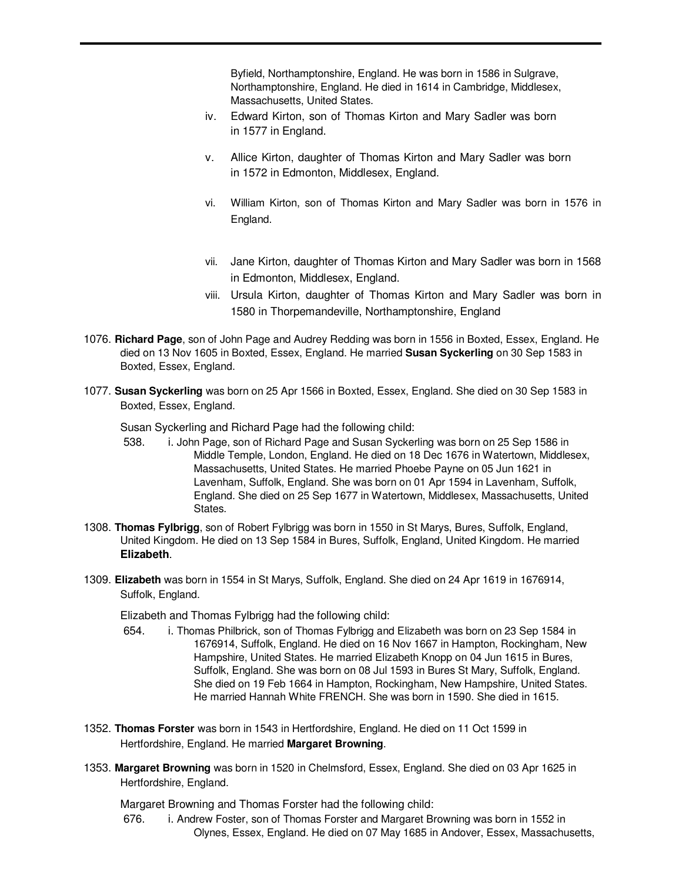Byfield, Northamptonshire, England. He was born in 1586 in Sulgrave, Northamptonshire, England. He died in 1614 in Cambridge, Middlesex, Massachusetts, United States.

- iv. Edward Kirton, son of Thomas Kirton and Mary Sadler was born in 1577 in England.
- v. Allice Kirton, daughter of Thomas Kirton and Mary Sadler was born in 1572 in Edmonton, Middlesex, England.
- vi. William Kirton, son of Thomas Kirton and Mary Sadler was born in 1576 in England.
- vii. Jane Kirton, daughter of Thomas Kirton and Mary Sadler was born in 1568 in Edmonton, Middlesex, England.
- viii. Ursula Kirton, daughter of Thomas Kirton and Mary Sadler was born in 1580 in Thorpemandeville, Northamptonshire, England
- 1076. **Richard Page**, son of John Page and Audrey Redding was born in 1556 in Boxted, Essex, England. He died on 13 Nov 1605 in Boxted, Essex, England. He married **Susan Syckerling** on 30 Sep 1583 in Boxted, Essex, England.
- 1077. **Susan Syckerling** was born on 25 Apr 1566 in Boxted, Essex, England. She died on 30 Sep 1583 in Boxted, Essex, England.

Susan Syckerling and Richard Page had the following child:

- 538. i. John Page, son of Richard Page and Susan Syckerling was born on 25 Sep 1586 in Middle Temple, London, England. He died on 18 Dec 1676 in Watertown, Middlesex, Massachusetts, United States. He married Phoebe Payne on 05 Jun 1621 in Lavenham, Suffolk, England. She was born on 01 Apr 1594 in Lavenham, Suffolk, England. She died on 25 Sep 1677 in Watertown, Middlesex, Massachusetts, United States.
- 1308. **Thomas Fylbrigg**, son of Robert Fylbrigg was born in 1550 in St Marys, Bures, Suffolk, England, United Kingdom. He died on 13 Sep 1584 in Bures, Suffolk, England, United Kingdom. He married **Elizabeth**.
- 1309. **Elizabeth** was born in 1554 in St Marys, Suffolk, England. She died on 24 Apr 1619 in 1676914, Suffolk, England.

Elizabeth and Thomas Fylbrigg had the following child:

- 654. i. Thomas Philbrick, son of Thomas Fylbrigg and Elizabeth was born on 23 Sep 1584 in 1676914, Suffolk, England. He died on 16 Nov 1667 in Hampton, Rockingham, New Hampshire, United States. He married Elizabeth Knopp on 04 Jun 1615 in Bures, Suffolk, England. She was born on 08 Jul 1593 in Bures St Mary, Suffolk, England. She died on 19 Feb 1664 in Hampton, Rockingham, New Hampshire, United States. He married Hannah White FRENCH. She was born in 1590. She died in 1615.
- 1352. **Thomas Forster** was born in 1543 in Hertfordshire, England. He died on 11 Oct 1599 in Hertfordshire, England. He married **Margaret Browning**.
- 1353. **Margaret Browning** was born in 1520 in Chelmsford, Essex, England. She died on 03 Apr 1625 in Hertfordshire, England.

Margaret Browning and Thomas Forster had the following child:

676. i. Andrew Foster, son of Thomas Forster and Margaret Browning was born in 1552 in Olynes, Essex, England. He died on 07 May 1685 in Andover, Essex, Massachusetts,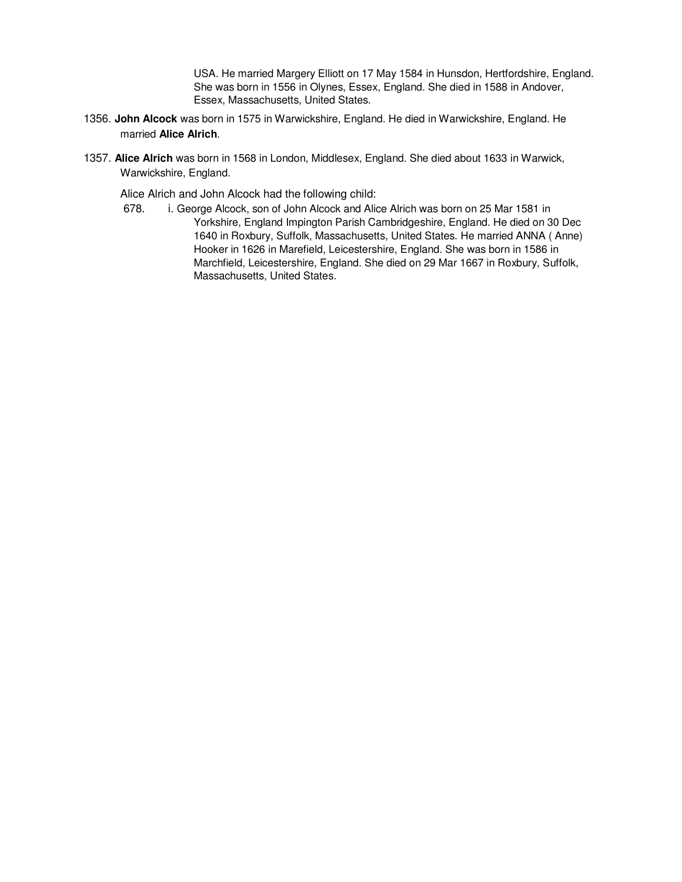USA. He married Margery Elliott on 17 May 1584 in Hunsdon, Hertfordshire, England. She was born in 1556 in Olynes, Essex, England. She died in 1588 in Andover, Essex, Massachusetts, United States.

- 1356. **John Alcock** was born in 1575 in Warwickshire, England. He died in Warwickshire, England. He married **Alice Alrich**.
- 1357. **Alice Alrich** was born in 1568 in London, Middlesex, England. She died about 1633 in Warwick, Warwickshire, England.

Alice Alrich and John Alcock had the following child:

678. i. George Alcock, son of John Alcock and Alice Alrich was born on 25 Mar 1581 in Yorkshire, England Impington Parish Cambridgeshire, England. He died on 30 Dec 1640 in Roxbury, Suffolk, Massachusetts, United States. He married ANNA ( Anne) Hooker in 1626 in Marefield, Leicestershire, England. She was born in 1586 in Marchfield, Leicestershire, England. She died on 29 Mar 1667 in Roxbury, Suffolk, Massachusetts, United States.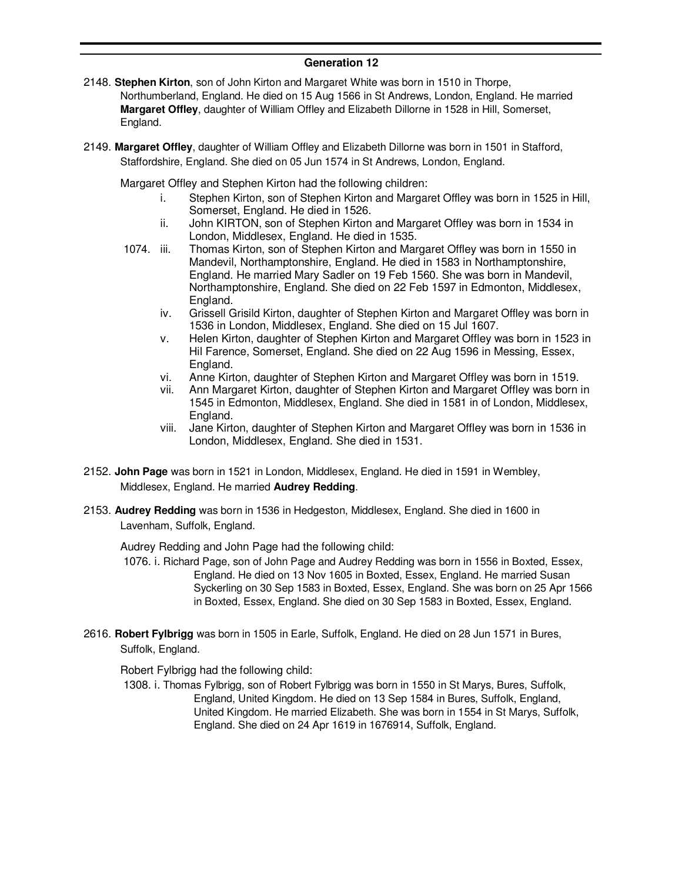# **Generation 12**

- 2148. **Stephen Kirton**, son of John Kirton and Margaret White was born in 1510 in Thorpe, Northumberland, England. He died on 15 Aug 1566 in St Andrews, London, England. He married **Margaret Offley**, daughter of William Offley and Elizabeth Dillorne in 1528 in Hill, Somerset, England.
- 2149. **Margaret Offley**, daughter of William Offley and Elizabeth Dillorne was born in 1501 in Stafford, Staffordshire, England. She died on 05 Jun 1574 in St Andrews, London, England.

Margaret Offley and Stephen Kirton had the following children:

- i. Stephen Kirton, son of Stephen Kirton and Margaret Offley was born in 1525 in Hill, Somerset, England. He died in 1526.
- ii. John KIRTON, son of Stephen Kirton and Margaret Offley was born in 1534 in London, Middlesex, England. He died in 1535.
- 1074. iii. Thomas Kirton, son of Stephen Kirton and Margaret Offley was born in 1550 in Mandevil, Northamptonshire, England. He died in 1583 in Northamptonshire, England. He married Mary Sadler on 19 Feb 1560. She was born in Mandevil, Northamptonshire, England. She died on 22 Feb 1597 in Edmonton, Middlesex, England.
	- iv. Grissell Grisild Kirton, daughter of Stephen Kirton and Margaret Offley was born in 1536 in London, Middlesex, England. She died on 15 Jul 1607.
	- v. Helen Kirton, daughter of Stephen Kirton and Margaret Offley was born in 1523 in Hil Farence, Somerset, England. She died on 22 Aug 1596 in Messing, Essex, England.
	- vi. Anne Kirton, daughter of Stephen Kirton and Margaret Offley was born in 1519.
	- vii. Ann Margaret Kirton, daughter of Stephen Kirton and Margaret Offley was born in 1545 in Edmonton, Middlesex, England. She died in 1581 in of London, Middlesex, England.
	- viii. Jane Kirton, daughter of Stephen Kirton and Margaret Offley was born in 1536 in London, Middlesex, England. She died in 1531.
- 2152. **John Page** was born in 1521 in London, Middlesex, England. He died in 1591 in Wembley, Middlesex, England. He married **Audrey Redding**.
- 2153. **Audrey Redding** was born in 1536 in Hedgeston, Middlesex, England. She died in 1600 in Lavenham, Suffolk, England.

Audrey Redding and John Page had the following child:

- 1076. i. Richard Page, son of John Page and Audrey Redding was born in 1556 in Boxted, Essex, England. He died on 13 Nov 1605 in Boxted, Essex, England. He married Susan Syckerling on 30 Sep 1583 in Boxted, Essex, England. She was born on 25 Apr 1566 in Boxted, Essex, England. She died on 30 Sep 1583 in Boxted, Essex, England.
- 2616. **Robert Fylbrigg** was born in 1505 in Earle, Suffolk, England. He died on 28 Jun 1571 in Bures, Suffolk, England.

Robert Fylbrigg had the following child:

1308. i. Thomas Fylbrigg, son of Robert Fylbrigg was born in 1550 in St Marys, Bures, Suffolk, England, United Kingdom. He died on 13 Sep 1584 in Bures, Suffolk, England, United Kingdom. He married Elizabeth. She was born in 1554 in St Marys, Suffolk, England. She died on 24 Apr 1619 in 1676914, Suffolk, England.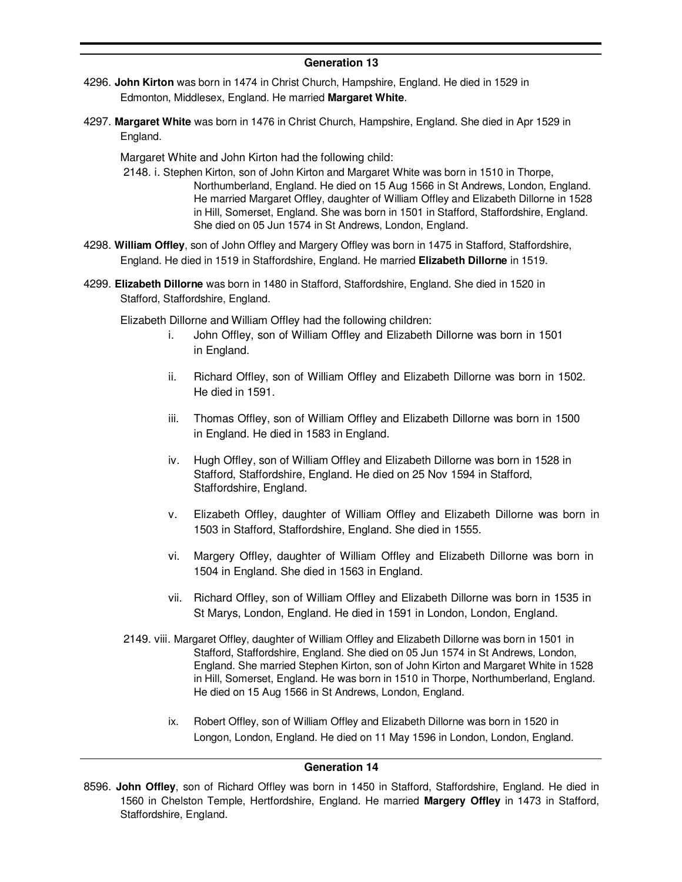# **Generation 13**

- 4296. **John Kirton** was born in 1474 in Christ Church, Hampshire, England. He died in 1529 in Edmonton, Middlesex, England. He married **Margaret White**.
- 4297. **Margaret White** was born in 1476 in Christ Church, Hampshire, England. She died in Apr 1529 in England.

Margaret White and John Kirton had the following child:

- 2148. i. Stephen Kirton, son of John Kirton and Margaret White was born in 1510 in Thorpe, Northumberland, England. He died on 15 Aug 1566 in St Andrews, London, England. He married Margaret Offley, daughter of William Offley and Elizabeth Dillorne in 1528 in Hill, Somerset, England. She was born in 1501 in Stafford, Staffordshire, England. She died on 05 Jun 1574 in St Andrews, London, England.
- 4298. **William Offley**, son of John Offley and Margery Offley was born in 1475 in Stafford, Staffordshire, England. He died in 1519 in Staffordshire, England. He married **Elizabeth Dillorne** in 1519.
- 4299. **Elizabeth Dillorne** was born in 1480 in Stafford, Staffordshire, England. She died in 1520 in Stafford, Staffordshire, England.

Elizabeth Dillorne and William Offley had the following children:

- i. John Offley, son of William Offley and Elizabeth Dillorne was born in 1501 in England.
- ii. Richard Offley, son of William Offley and Elizabeth Dillorne was born in 1502. He died in 1591.
- iii. Thomas Offley, son of William Offley and Elizabeth Dillorne was born in 1500 in England. He died in 1583 in England.
- iv. Hugh Offley, son of William Offley and Elizabeth Dillorne was born in 1528 in Stafford, Staffordshire, England. He died on 25 Nov 1594 in Stafford, Staffordshire, England.
- v. Elizabeth Offley, daughter of William Offley and Elizabeth Dillorne was born in 1503 in Stafford, Staffordshire, England. She died in 1555.
- vi. Margery Offley, daughter of William Offley and Elizabeth Dillorne was born in 1504 in England. She died in 1563 in England.
- vii. Richard Offley, son of William Offley and Elizabeth Dillorne was born in 1535 in St Marys, London, England. He died in 1591 in London, London, England.
- 2149. viii. Margaret Offley, daughter of William Offley and Elizabeth Dillorne was born in 1501 in Stafford, Staffordshire, England. She died on 05 Jun 1574 in St Andrews, London, England. She married Stephen Kirton, son of John Kirton and Margaret White in 1528 in Hill, Somerset, England. He was born in 1510 in Thorpe, Northumberland, England. He died on 15 Aug 1566 in St Andrews, London, England.
	- ix. Robert Offley, son of William Offley and Elizabeth Dillorne was born in 1520 in Longon, London, England. He died on 11 May 1596 in London, London, England.

### **Generation 14**

<sup>8596.</sup> **John Offley**, son of Richard Offley was born in 1450 in Stafford, Staffordshire, England. He died in 1560 in Chelston Temple, Hertfordshire, England. He married **Margery Offley** in 1473 in Stafford, Staffordshire, England.